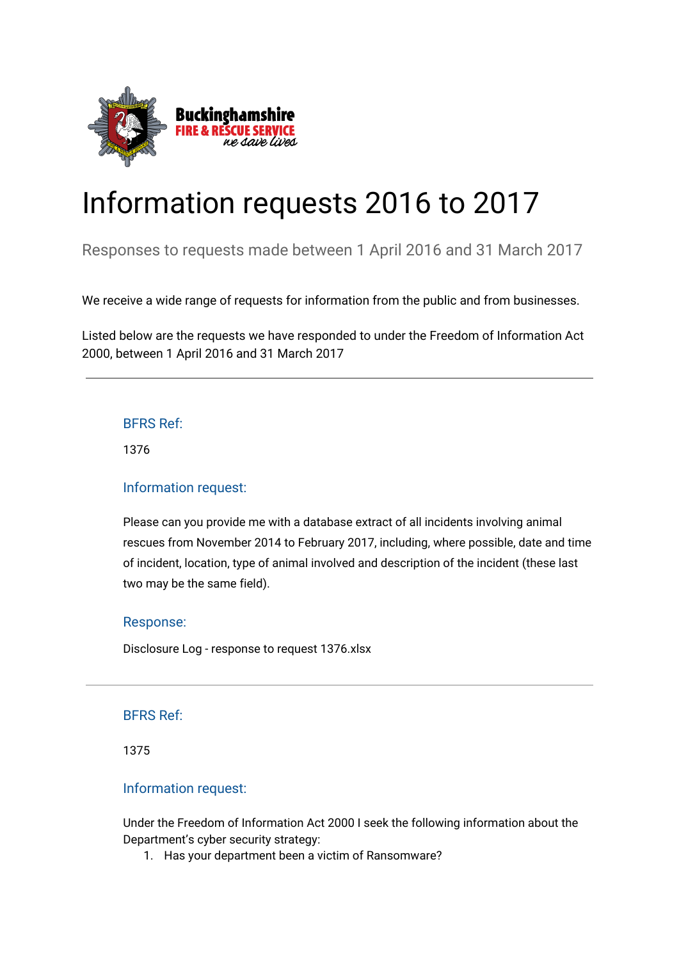

# Information requests 2016 to 2017

Responses to requests made between 1 April 2016 and 31 March 2017

We receive a wide range of requests for information from the public and from businesses.

Listed below are the requests we have responded to under the Freedom of Information Act 2000, between 1 April 2016 and 31 March 2017

# BFRS Ref:

1376

## Information request:

Please can you provide me with a database extract of all incidents involving animal rescues from November 2014 to February 2017, including, where possible, date and time of incident, location, type of animal involved and description of the incident (these last two may be the same field).

## Response:

[Disclosure Log - response to request 1376.xlsx](https://bucksfire.gov.uk/index.php/download_file/view/2528/1125/)

## BFRS Ref:

1375

## Information request:

Under the Freedom of Information Act 2000 I seek the following information about the Department's cyber security strategy:

1. Has your department been a victim of Ransomware?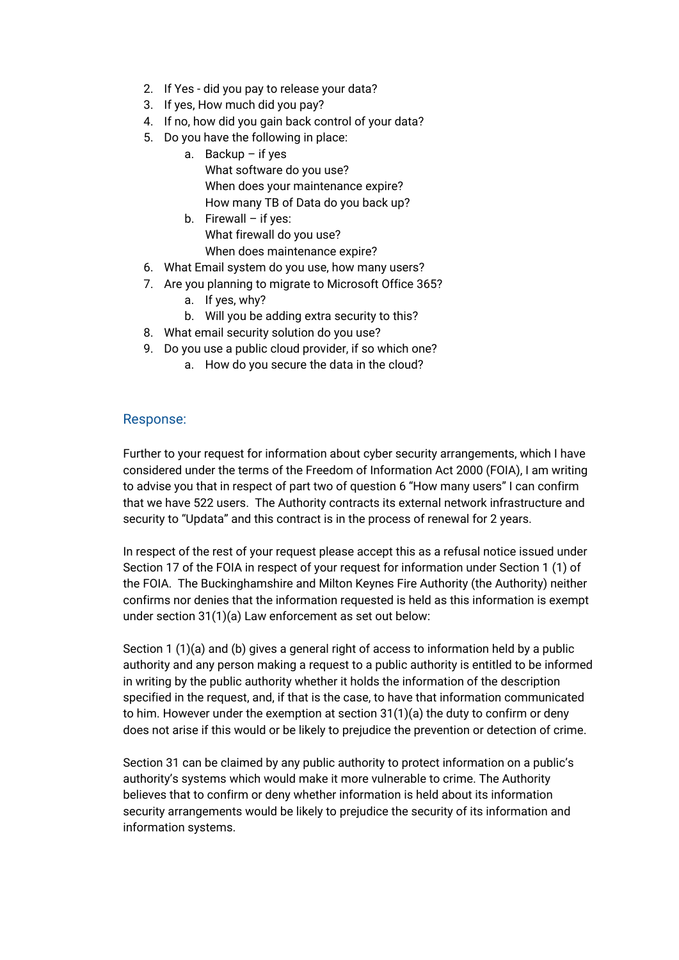- 2. If Yes did you pay to release your data?
- 3. If yes, How much did you pay?
- 4. If no, how did you gain back control of your data?
- 5. Do you have the following in place:
	- a. Backup if yes
		- What software do you use? When does your maintenance expire? How many TB of Data do you back up?
		- b. Firewall if yes: What firewall do you use? When does maintenance expire?
- 6. What Email system do you use, how many users?
- 7. Are you planning to migrate to Microsoft Office 365?
	- a. If yes, why?
	- b. Will you be adding extra security to this?
- 8. What email security solution do you use?
- 9. Do you use a public cloud provider, if so which one?
	- a. How do you secure the data in the cloud?

Further to your request for information about cyber security arrangements, which I have considered under the terms of the Freedom of Information Act 2000 (FOIA), I am writing to advise you that in respect of part two of question 6 "How many users" I can confirm that we have 522 users. The Authority contracts its external network infrastructure and security to "Updata" and this contract is in the process of renewal for 2 years.

In respect of the rest of your request please accept this as a refusal notice issued under Section 17 of the FOIA in respect of your request for information under Section 1 (1) of the FOIA. The Buckinghamshire and Milton Keynes Fire Authority (the Authority) neither confirms nor denies that the information requested is held as this information is exempt under section 31(1)(a) Law enforcement as set out below:

Section 1 (1)(a) and (b) gives a general right of access to information held by a public authority and any person making a request to a public authority is entitled to be informed in writing by the public authority whether it holds the information of the description specified in the request, and, if that is the case, to have that information communicated to him. However under the exemption at section 31(1)(a) the duty to confirm or deny does not arise if this would or be likely to prejudice the prevention or detection of crime.

Section 31 can be claimed by any public authority to protect information on a public's authority's systems which would make it more vulnerable to crime. The Authority believes that to confirm or deny whether information is held about its information security arrangements would be likely to prejudice the security of its information and information systems.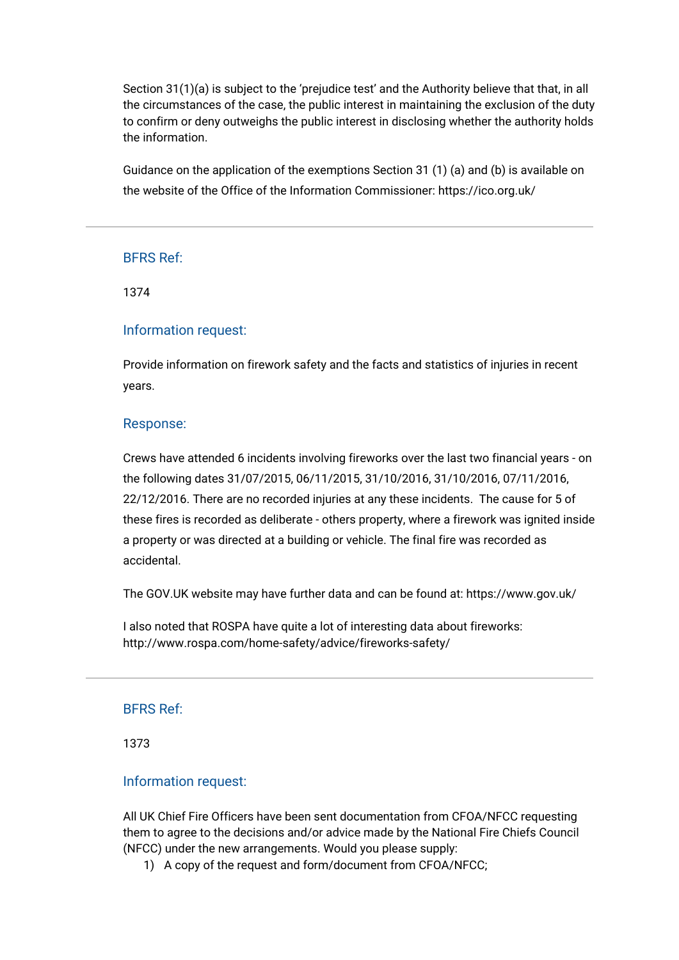Section 31(1)(a) is subject to the 'prejudice test' and the Authority believe that that, in all the circumstances of the case, the public interest in maintaining the exclusion of the duty to confirm or deny outweighs the public interest in disclosing whether the authority holds the information.

Guidance on the application of the exemptions Section 31 (1) (a) and (b) is available on the website of the Office of the Information Commissioner: <https://ico.org.uk/>

## BFRS Ref:

1374

#### Information request:

Provide information on firework safety and the facts and statistics of injuries in recent years.

#### Response:

Crews have attended 6 incidents involving fireworks over the last two financial years - on the following dates 31/07/2015, 06/11/2015, 31/10/2016, 31/10/2016, 07/11/2016, 22/12/2016. There are no recorded injuries at any these incidents. The cause for 5 of these fires is recorded as deliberate - others property, where a firework was ignited inside a property or was directed at a building or vehicle. The final fire was recorded as accidental.

The GOV.UK website may have further data and can be found at: <https://www.gov.uk/>

I also noted that ROSPA have quite a lot of interesting data about fireworks: <http://www.rospa.com/home-safety/advice/fireworks-safety/>

## BFRS Ref:

1373

#### Information request:

All UK Chief Fire Officers have been sent documentation from CFOA/NFCC requesting them to agree to the decisions and/or advice made by the National Fire Chiefs Council (NFCC) under the new arrangements. Would you please supply:

1) A copy of the request and form/document from CFOA/NFCC;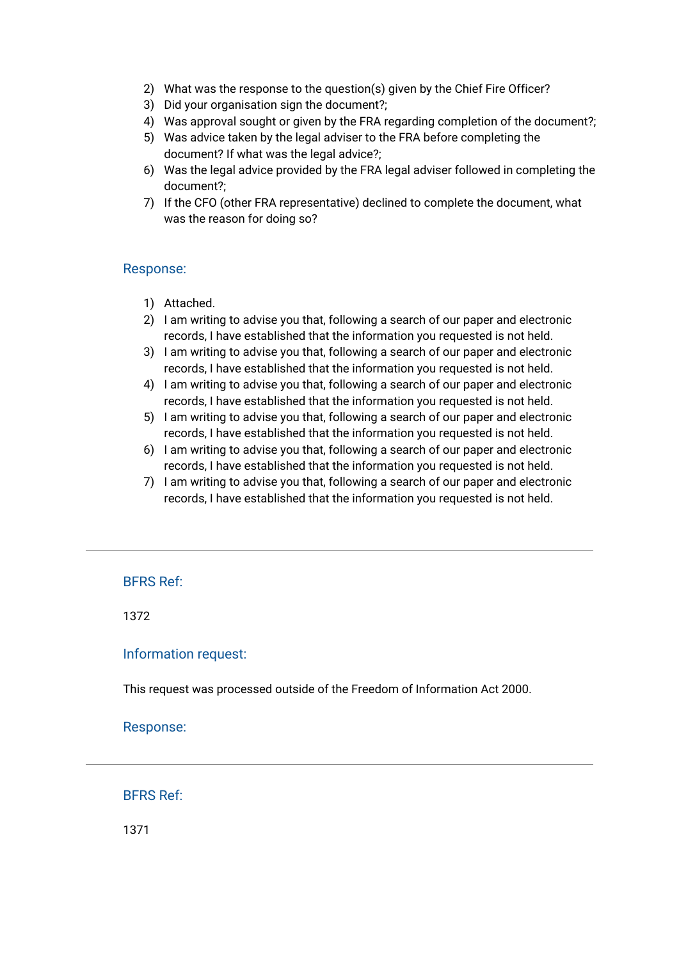- 2) What was the response to the question(s) given by the Chief Fire Officer?
- 3) Did your organisation sign the document?;
- 4) Was approval sought or given by the FRA regarding completion of the document?;
- 5) Was advice taken by the legal adviser to the FRA before completing the document? If what was the legal advice?;
- 6) Was the legal advice provided by the FRA legal adviser followed in completing the document?;
- 7) If the CFO (other FRA representative) declined to complete the document, what was the reason for doing so?

- 1) Attached.
- 2) I am writing to advise you that, following a search of our paper and electronic records, I have established that the information you requested is not held.
- 3) I am writing to advise you that, following a search of our paper and electronic records, I have established that the information you requested is not held.
- 4) I am writing to advise you that, following a search of our paper and electronic records, I have established that the information you requested is not held.
- 5) I am writing to advise you that, following a search of our paper and electronic records, I have established that the information you requested is not held.
- 6) I am writing to advise you that, following a search of our paper and electronic records, I have established that the information you requested is not held.
- 7) I am writing to advise you that, following a search of our paper and electronic records, I have established that the information you requested is not held.

## BFRS Ref:

1372

#### Information request:

This request was processed outside of the Freedom of Information Act 2000.

Response:

BFRS Ref:

1371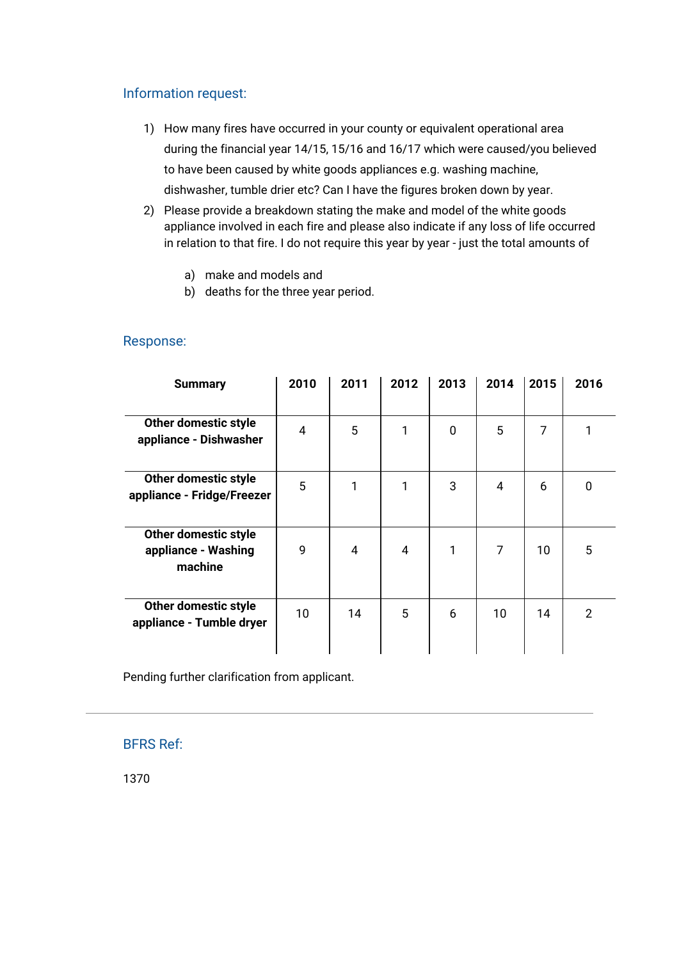# Information request:

- 1) How many fires have occurred in your county or equivalent operational area during the financial year 14/15, 15/16 and 16/17 which were caused/you believed to have been caused by white goods appliances e.g. washing machine, dishwasher, tumble drier etc? Can I have the figures broken down by year.
- 2) Please provide a breakdown stating the make and model of the white goods appliance involved in each fire and please also indicate if any loss of life occurred in relation to that fire. I do not require this year by year - just the total amounts of
	- a) make and models and
	- b) deaths for the three year period.

| <b>Summary</b>                                         | 2010 | 2011 | 2012 | 2013 | 2014 | 2015 | 2016 |
|--------------------------------------------------------|------|------|------|------|------|------|------|
|                                                        |      |      |      |      |      |      |      |
| Other domestic style<br>appliance - Dishwasher         | 4    | 5    | 1    | 0    | 5    | 7    | 1    |
| Other domestic style<br>appliance - Fridge/Freezer     | 5    | 1    | 1    | 3    | 4    | 6    | 0    |
| Other domestic style<br>appliance - Washing<br>machine | 9    | 4    | 4    | 1    | 7    | 10   | 5    |
| Other domestic style<br>appliance - Tumble dryer       | 10   | 14   | 5    | 6    | 10   | 14   | 2    |

## Response:

Pending further clarification from applicant.

# BFRS Ref:

1370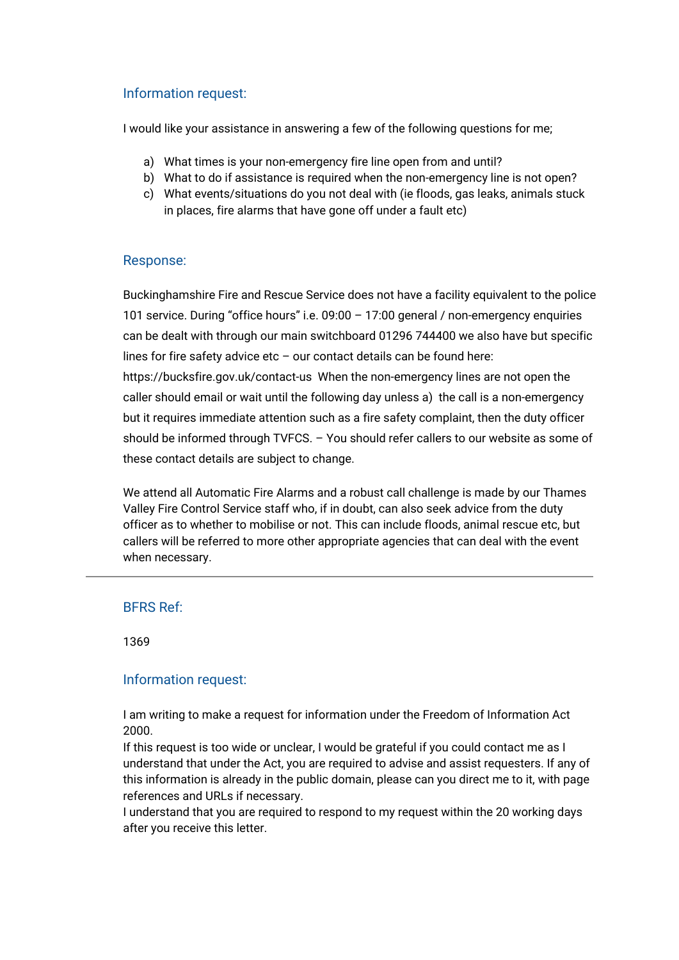# Information request:

I would like your assistance in answering a few of the following questions for me;

- a) What times is your non-emergency fire line open from and until?
- b) What to do if assistance is required when the non-emergency line is not open?
- c) What events/situations do you not deal with (ie floods, gas leaks, animals stuck in places, fire alarms that have gone off under a fault etc)

## Response:

Buckinghamshire Fire and Rescue Service does not have a facility equivalent to the police 101 service. During "office hours" i.e. 09:00 – 17:00 general / non-emergency enquiries can be dealt with through our main switchboard 01296 744400 we also have but specific lines for fire safety advice etc  $-$  our contact details can be found here:

<https://bucksfire.gov.uk/contact-us>When the non-emergency lines are not open the caller should email or wait until the following day unless a) the call is a non-emergency but it requires immediate attention such as a fire safety complaint, then the duty officer should be informed through TVFCS. – You should refer callers to our website as some of these contact details are subject to change.

We attend all Automatic Fire Alarms and a robust call challenge is made by our Thames Valley Fire Control Service staff who, if in doubt, can also seek advice from the duty officer as to whether to mobilise or not. This can include floods, animal rescue etc, but callers will be referred to more other appropriate agencies that can deal with the event when necessary.

# BFRS Ref:

1369

## Information request:

I am writing to make a request for information under the Freedom of Information Act 2000.

If this request is too wide or unclear, I would be grateful if you could contact me as I understand that under the Act, you are required to advise and assist requesters. If any of this information is already in the public domain, please can you direct me to it, with page references and URLs if necessary.

I understand that you are required to respond to my request within the 20 working days after you receive this letter.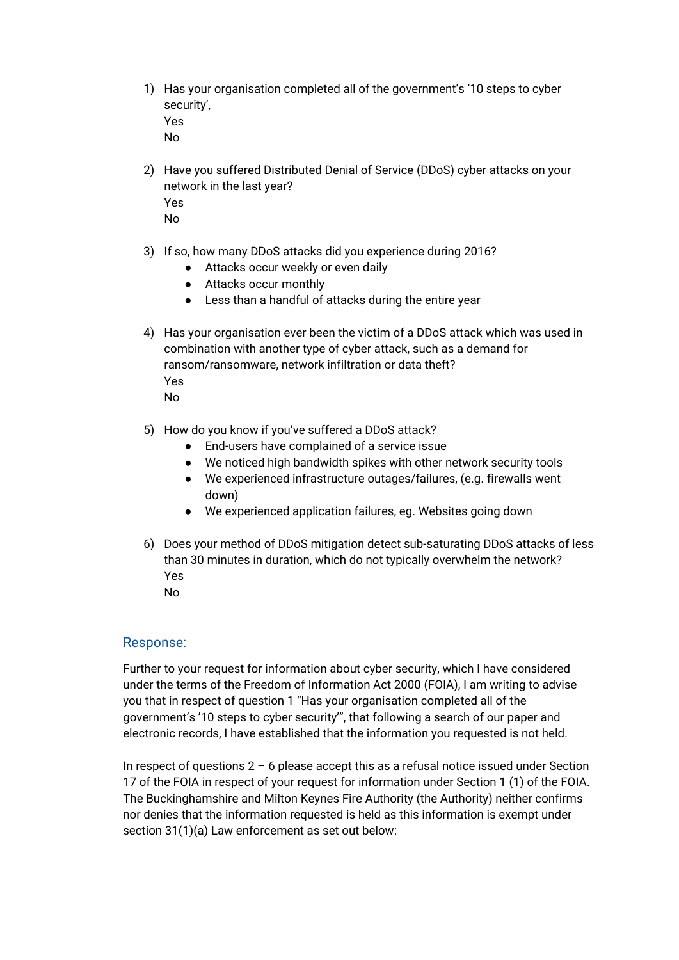1) Has your organisation completed all of the government's '[10 steps to cyber](https://www.gov.uk/government/publications/cyber-risk-management-a-board-level-responsibility/10-steps-summary#steps-to-cyber-security-at-a-glance) [security'](https://www.gov.uk/government/publications/cyber-risk-management-a-board-level-responsibility/10-steps-summary#steps-to-cyber-security-at-a-glance), Yes

No

- 2) Have you suffered Distributed Denial of Service (DDoS) cyber attacks on your network in the last year? Yes No
- 3) If so, how many DDoS attacks did you experience during 2016?
	- Attacks occur weekly or even daily
	- Attacks occur monthly
	- Less than a handful of attacks during the entire year
- 4) Has your organisation ever been the victim of a DDoS attack which was used in combination with another type of cyber attack, such as a demand for ransom/ransomware, network infiltration or data theft? Yes No
- 5) How do you know if you've suffered a DDoS attack?
	- End-users have complained of a service issue
	- We noticed high bandwidth spikes with other network security tools
	- We experienced infrastructure outages/failures, (e.g. firewalls went down)
	- We experienced application failures, eg. Websites going down
- 6) Does your method of DDoS mitigation detect sub-saturating DDoS attacks of less than 30 minutes in duration, which do not typically overwhelm the network? Yes No
	-

## Response:

Further to your request for information about cyber security, which I have considered under the terms of the Freedom of Information Act 2000 (FOIA), I am writing to advise you that in respect of question 1 "Has your organisation completed all of the government's ['10 steps to cyber security'"](https://www.gov.uk/government/publications/cyber-risk-management-a-board-level-responsibility/10-steps-summary#steps-to-cyber-security-at-a-glance), that following a search of our paper and electronic records, I have established that the information you requested is not held.

In respect of questions  $2 - 6$  please accept this as a refusal notice issued under Section 17 of the FOIA in respect of your request for information under Section 1 (1) of the FOIA. The Buckinghamshire and Milton Keynes Fire Authority (the Authority) neither confirms nor denies that the information requested is held as this information is exempt under section 31(1)(a) Law enforcement as set out below: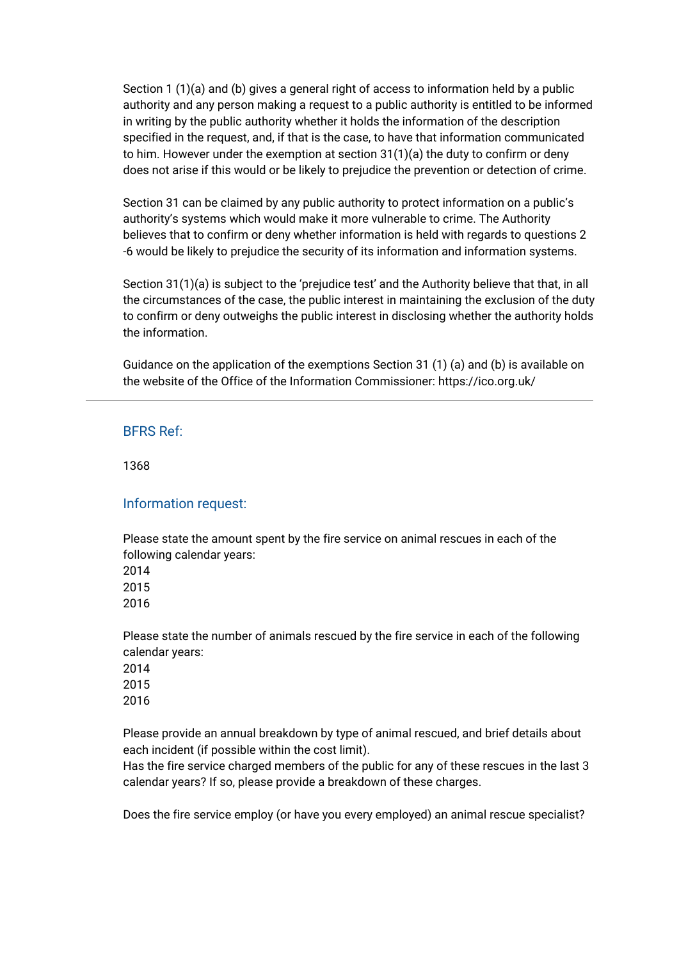Section 1 (1)(a) and (b) gives a general right of access to information held by a public authority and any person making a request to a public authority is entitled to be informed in writing by the public authority whether it holds the information of the description specified in the request, and, if that is the case, to have that information communicated to him. However under the exemption at section  $31(1)(a)$  the duty to confirm or deny does not arise if this would or be likely to prejudice the prevention or detection of crime.

Section 31 can be claimed by any public authority to protect information on a public's authority's systems which would make it more vulnerable to crime. The Authority believes that to confirm or deny whether information is held with regards to questions 2 -6 would be likely to prejudice the security of its information and information systems.

Section 31(1)(a) is subject to the 'prejudice test' and the Authority believe that that, in all the circumstances of the case, the public interest in maintaining the exclusion of the duty to confirm or deny outweighs the public interest in disclosing whether the authority holds the information.

Guidance on the application of the exemptions Section 31 (1) (a) and (b) is available on the website of the Office of the Information Commissioner: <https://ico.org.uk/>

### BFRS Ref:

1368

## Information request:

Please state the amount spent by the fire service on animal rescues in each of the following calendar years: 2014

2015

2016

Please state the number of animals rescued by the fire service in each of the following calendar years: 2014 2015 2016

Please provide an annual breakdown by type of animal rescued, and brief details about each incident (if possible within the cost limit).

Has the fire service charged members of the public for any of these rescues in the last 3 calendar years? If so, please provide a breakdown of these charges.

Does the fire service employ (or have you every employed) an animal rescue specialist?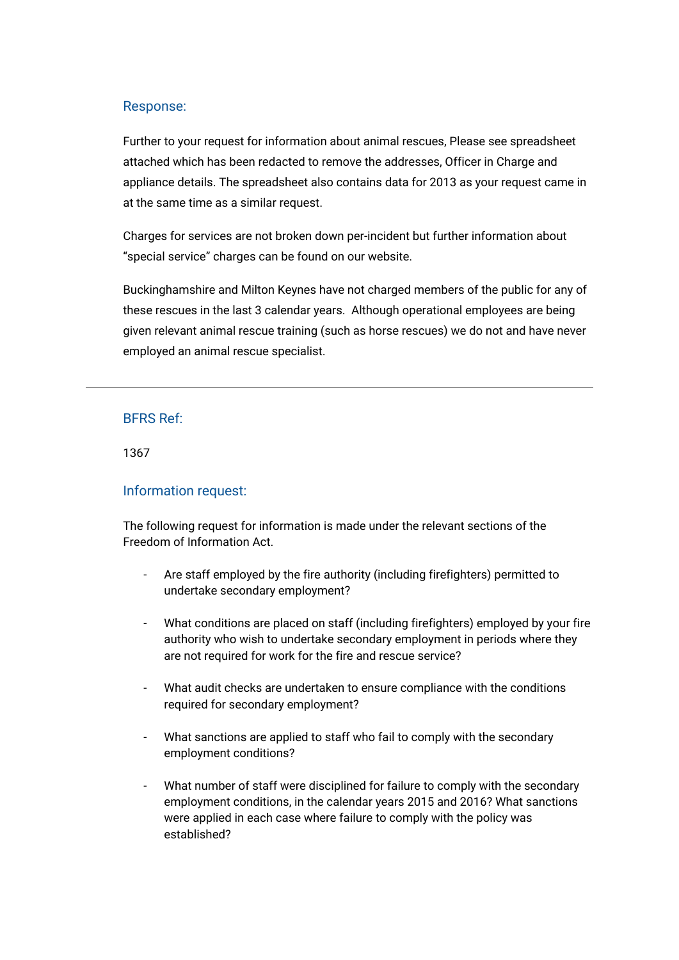Further to your request for information about animal rescues, Please see [spreadsheet](https://bucksfire.gov.uk/index.php/download_file/view/2527/1125/) [attached](https://bucksfire.gov.uk/index.php/download_file/view/2527/1125/) which has been redacted to remove the addresses, Officer in Charge and appliance details. The spreadsheet also contains data for 2013 as your request came in at the same time as a similar request.

Charges for services are not broken down per-incident but further information about "special service" charges can be found on our website.

Buckinghamshire and Milton Keynes have not charged members of the public for any of these rescues in the last 3 calendar years. Although operational employees are being given relevant animal rescue training (such as horse rescues) we do not and have never employed an animal rescue specialist.

### BFRS Ref:

1367

## Information request:

The following request for information is made under the relevant sections of the Freedom of Information Act.

- Are staff employed by the fire authority (including firefighters) permitted to undertake secondary employment?
- What conditions are placed on staff (including firefighters) employed by your fire authority who wish to undertake secondary employment in periods where they are not required for work for the fire and rescue service?
- What audit checks are undertaken to ensure compliance with the conditions required for secondary employment?
- What sanctions are applied to staff who fail to comply with the secondary employment conditions?
- What number of staff were disciplined for failure to comply with the secondary employment conditions, in the calendar years 2015 and 2016? What sanctions were applied in each case where failure to comply with the policy was established?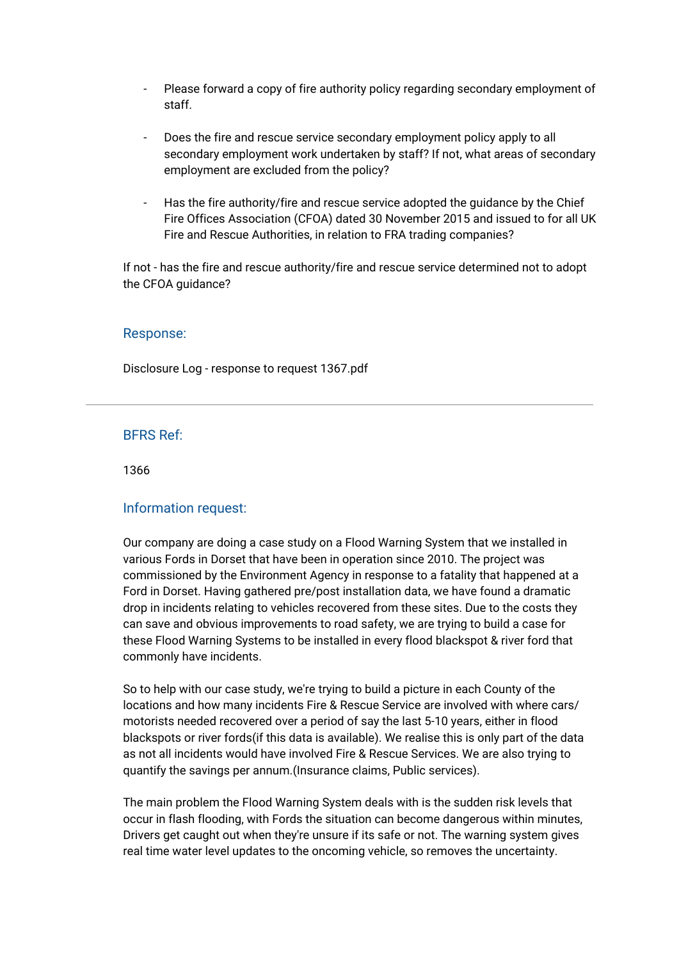- Please forward a copy of fire authority policy regarding secondary employment of staff.
- Does the fire and rescue service secondary employment policy apply to all secondary employment work undertaken by staff? If not, what areas of secondary employment are excluded from the policy?
- Has the fire authority/fire and rescue service adopted the guidance by the Chief Fire Offices Association (CFOA) dated 30 November 2015 and issued to for all UK Fire and Rescue Authorities, in relation to FRA trading companies?

If not - has the fire and rescue authority/fire and rescue service determined not to adopt the CFOA guidance?

#### Response:

[Disclosure Log - response to request 1367.pdf](https://bucksfire.gov.uk/index.php/download_file/view/2526/1125/)

## BFRS Ref:

1366

#### Information request:

Our company are doing a case study on a Flood Warning System that we installed in various Fords in Dorset that have been in operation since 2010. The project was commissioned by the Environment Agency in response to a fatality that happened at a Ford in Dorset. Having gathered pre/post installation data, we have found a dramatic drop in incidents relating to vehicles recovered from these sites. Due to the costs they can save and obvious improvements to road safety, we are trying to build a case for these Flood Warning Systems to be installed in every flood blackspot & river ford that commonly have incidents.

So to help with our case study, we're trying to build a picture in each County of the locations and how many incidents Fire & Rescue Service are involved with where cars/ motorists needed recovered over a period of say the last 5-10 years, either in flood blackspots or river fords(if this data is available). We realise this is only part of the data as not all incidents would have involved Fire & Rescue Services. We are also trying to quantify the savings per annum.(Insurance claims, Public services).

The main problem the Flood Warning System deals with is the sudden risk levels that occur in flash flooding, with Fords the situation can become dangerous within minutes, Drivers get caught out when they're unsure if its safe or not. The warning system gives real time water level updates to the oncoming vehicle, so removes the uncertainty.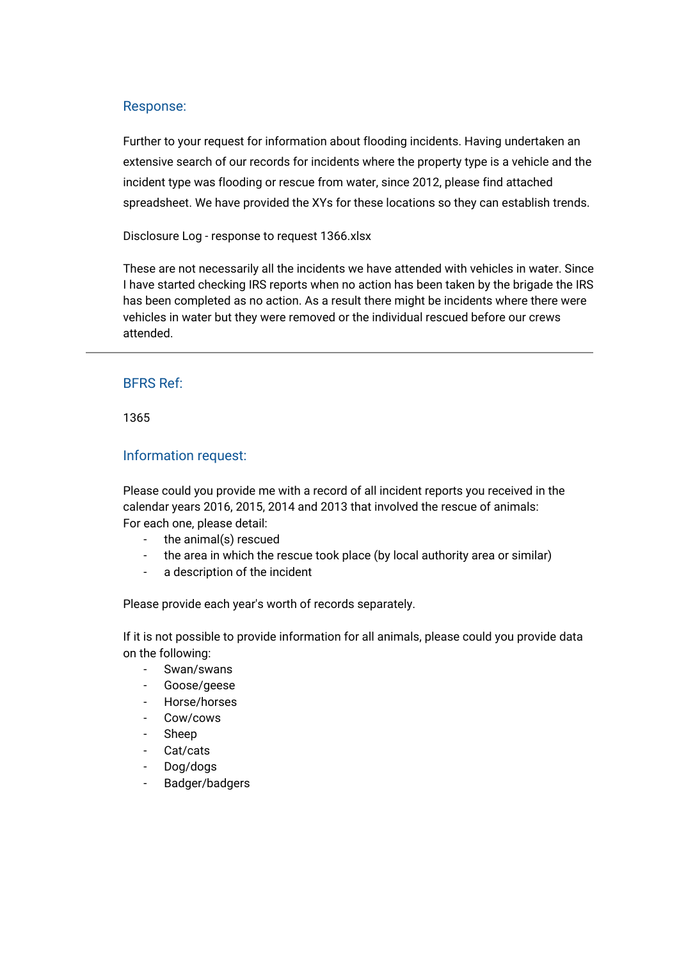Further to your request for information about flooding incidents. Having undertaken an extensive search of our records for incidents where the property type is a vehicle and the incident type was flooding or rescue from water, since 2012, please find attached spreadsheet. We have provided the XYs for these locations so they can establish trends.

[Disclosure Log - response to request 1366.xlsx](https://bucksfire.gov.uk/index.php/download_file/view/2525/1125/)

These are not necessarily all the incidents we have attended with vehicles in water. Since I have started checking IRS reports when no action has been taken by the brigade the IRS has been completed as no action. As a result there might be incidents where there were vehicles in water but they were removed or the individual rescued before our crews attended.

## BFRS Ref:

1365

## Information request:

Please could you provide me with a record of all incident reports you received in the calendar years 2016, 2015, 2014 and 2013 that involved the rescue of animals: For each one, please detail:

- the animal(s) rescued
- the area in which the rescue took place (by local authority area or similar)
- a description of the incident

Please provide each year's worth of records separately.

If it is not possible to provide information for all animals, please could you provide data on the following:

- Swan/swans
- Goose/geese
- Horse/horses
- Cow/cows
- Sheep
- Cat/cats
- Dog/dogs
- Badger/badgers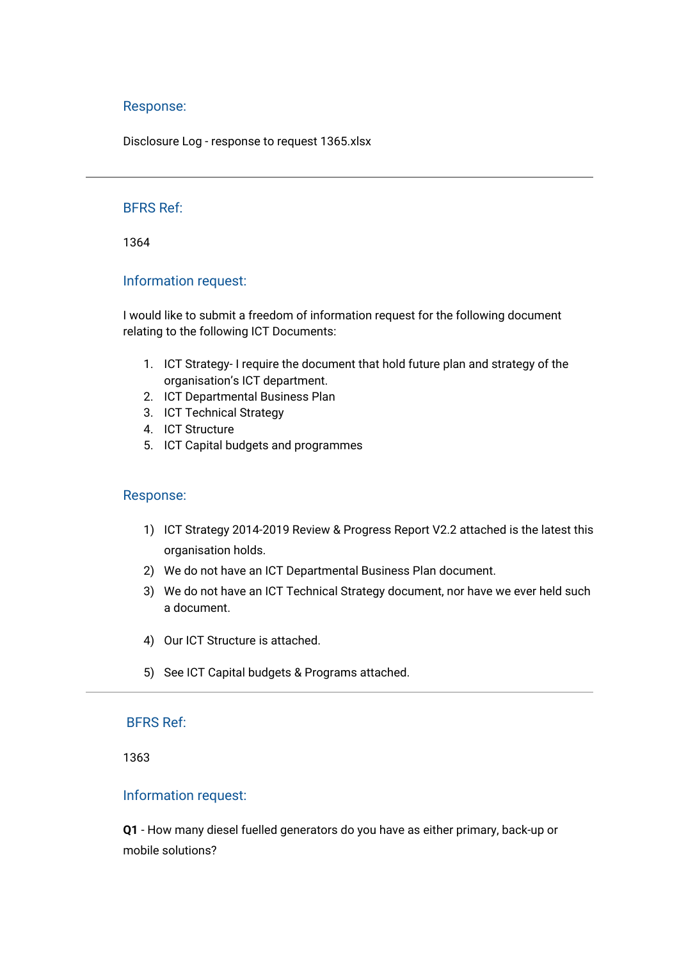[Disclosure Log - response to request 1365.xlsx](https://bucksfire.gov.uk/index.php/download_file/view/2524/1125/)

## BFRS Ref:

1364

#### Information request:

I would like to submit a freedom of information request for the following document relating to the following ICT Documents:

- 1. ICT Strategy- I require the document that hold future plan and strategy of the organisation's ICT department.
- 2. ICT Departmental Business Plan
- 3. ICT Technical Strategy
- 4. ICT Structure
- 5. ICT Capital budgets and programmes

#### Response:

- 1) [ICT Strategy 2014-2019](https://bucksfire.gov.uk/index.php/download_file/view/2521/1125/) Review & Progress Report V2.2 attached is the latest this organisation holds.
- 2) We do not have an ICT Departmental Business Plan document.
- 3) We do not have an ICT Technical Strategy document, nor have we ever held such a document.
- 4) Our [ICT Structure](https://bucksfire.gov.uk/index.php/download_file/view/2522/1125/) is attached.
- 5) See [ICT Capital budgets & Programs](https://bucksfire.gov.uk/index.php/download_file/view/2523/1125/) attached.

## BFRS Ref:

1363

#### Information request:

**Q1** - How many diesel fuelled generators do you have as either primary, back-up or mobile solutions?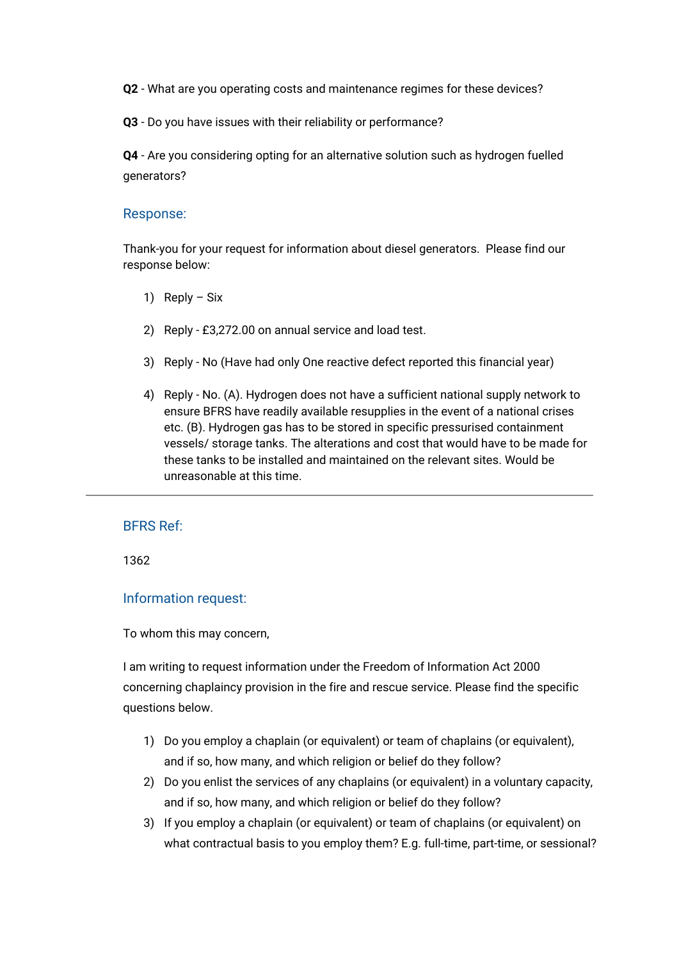**Q2** - What are you operating costs and maintenance regimes for these devices?

**Q3** - Do you have issues with their reliability or performance?

**Q4** - Are you considering opting for an alternative solution such as hydrogen fuelled generators?

## Response:

Thank-you for your request for information about diesel generators. Please find our response below:

- 1) Reply Six
- 2) Reply £3,272.00 on annual service and load test.
- 3) Reply No (Have had only One reactive defect reported this financial year)
- 4) Reply No. (A). Hydrogen does not have a sufficient national supply network to ensure BFRS have readily available resupplies in the event of a national crises etc. (B). Hydrogen gas has to be stored in specific pressurised containment vessels/ storage tanks. The alterations and cost that would have to be made for these tanks to be installed and maintained on the relevant sites. Would be unreasonable at this time.

# BFRS Ref:

1362

#### Information request:

To whom this may concern,

I am writing to request information under the Freedom of Information Act 2000 concerning chaplaincy provision in the fire and rescue service. Please find the specific questions below.

- 1) Do you employ a chaplain (or equivalent) or team of chaplains (or equivalent), and if so, how many, and which religion or belief do they follow?
- 2) Do you enlist the services of any chaplains (or equivalent) in a voluntary capacity, and if so, how many, and which religion or belief do they follow?
- 3) If you employ a chaplain (or equivalent) or team of chaplains (or equivalent) on what contractual basis to you employ them? E.g. full-time, part-time, or sessional?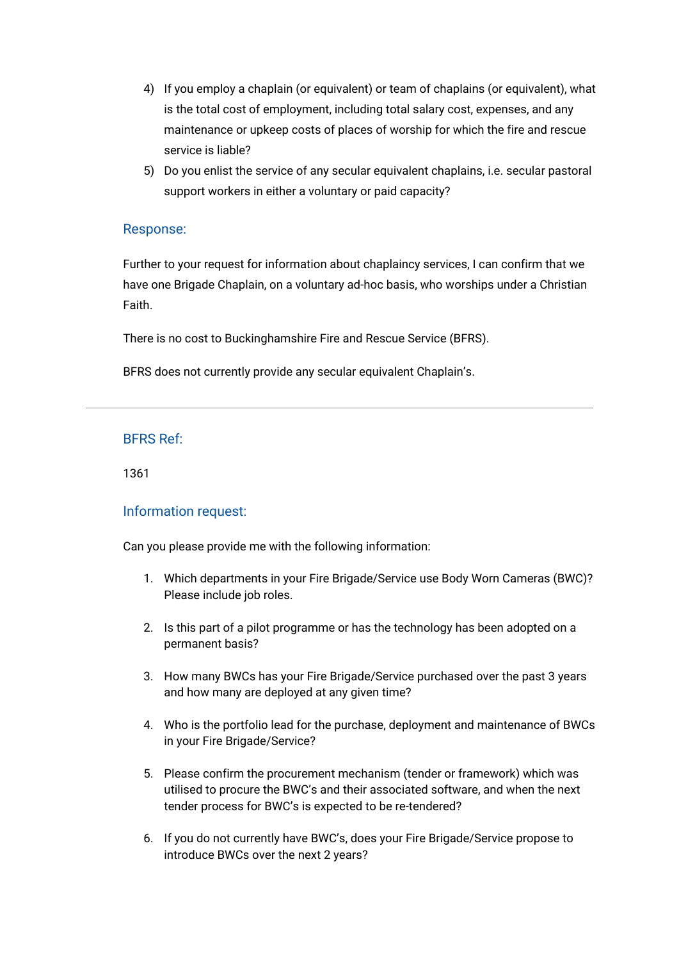- 4) If you employ a chaplain (or equivalent) or team of chaplains (or equivalent), what is the total cost of employment, including total salary cost, expenses, and any maintenance or upkeep costs of places of worship for which the fire and rescue service is liable?
- 5) Do you enlist the service of any secular equivalent chaplains, i.e. secular pastoral support workers in either a voluntary or paid capacity?

Further to your request for information about chaplaincy services, I can confirm that we have one Brigade Chaplain, on a voluntary ad-hoc basis, who worships under a Christian **Faith** 

There is no cost to Buckinghamshire Fire and Rescue Service (BFRS).

BFRS does not currently provide any secular equivalent Chaplain's.

## BFRS Ref:

1361

## Information request:

Can you please provide me with the following information:

- 1. Which departments in your Fire Brigade/Service use Body Worn Cameras (BWC)? Please include job roles.
- 2. Is this part of a pilot programme or has the technology has been adopted on a permanent basis?
- 3. How many BWCs has your Fire Brigade/Service purchased over the past 3 years and how many are deployed at any given time?
- 4. Who is the portfolio lead for the purchase, deployment and maintenance of BWCs in your Fire Brigade/Service?
- 5. Please confirm the procurement mechanism (tender or framework) which was utilised to procure the BWC's and their associated software, and when the next tender process for BWC's is expected to be re-tendered?
- 6. If you do not currently have BWC's, does your Fire Brigade/Service propose to introduce BWCs over the next 2 years?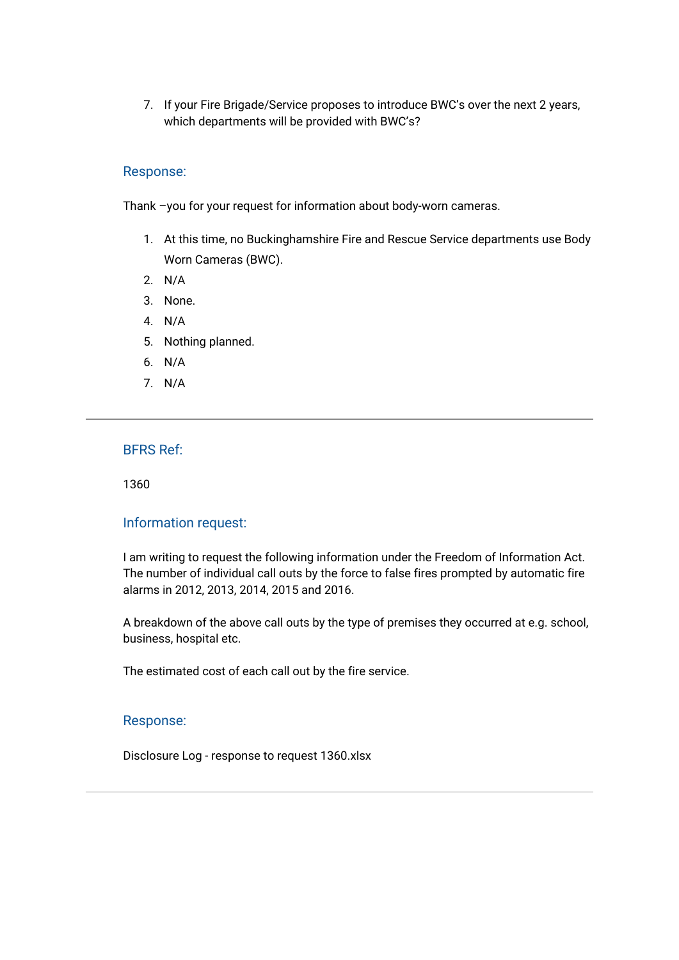7. If your Fire Brigade/Service proposes to introduce BWC's over the next 2 years, which departments will be provided with BWC's?

## Response:

Thank –you for your request for information about body-worn cameras.

- 1. At this time, no Buckinghamshire Fire and Rescue Service departments use Body Worn Cameras (BWC).
- 2. N/A
- 3. None.
- 4. N/A
- 5. Nothing planned.
- 6. N/A
- 7. N/A

# BFRS Ref:

1360

### Information request:

I am writing to request the following information under the Freedom of Information Act. The number of individual call outs by the force to false fires prompted by automatic fire alarms in 2012, 2013, 2014, 2015 and 2016.

A breakdown of the above call outs by the type of premises they occurred at e.g. school, business, hospital etc.

The estimated cost of each call out by the fire service.

#### Response:

[Disclosure Log - response to request 1360.xlsx](https://bucksfire.gov.uk/index.php/download_file/view/2520/1125/)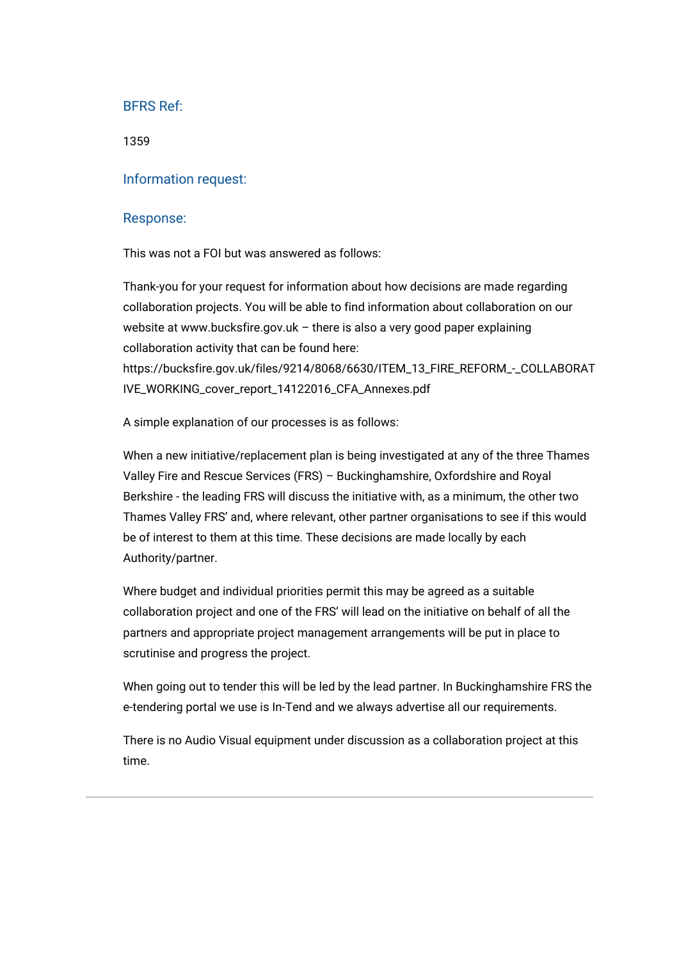1359

### Information request:

#### Response:

This was not a FOI but was answered as follows:

Thank-you for your request for information about how decisions are made regarding collaboration projects. You will be able to find information about collaboration on our website at [www.bucksfire.gov.uk](http://www.bucksfire.gov.uk/) – there is also a very good paper explaining collaboration activity that can be found here: [https://bucksfire.gov.uk/files/9214/8068/6630/ITEM\\_13\\_FIRE\\_REFORM\\_-\\_COLLABORAT](https://bucksfire.gov.uk/files/9214/8068/6630/ITEM_13_FIRE_REFORM_-_COLLABORATIVE_WORKING_cover_report_14122016_CFA_Annexes.pdf) [IVE\\_WORKING\\_cover\\_report\\_14122016\\_CFA\\_Annexes.pdf](https://bucksfire.gov.uk/files/9214/8068/6630/ITEM_13_FIRE_REFORM_-_COLLABORATIVE_WORKING_cover_report_14122016_CFA_Annexes.pdf)

A simple explanation of our processes is as follows:

When a new initiative/replacement plan is being investigated at any of the three Thames Valley Fire and Rescue Services (FRS) – Buckinghamshire, Oxfordshire and Royal Berkshire - the leading FRS will discuss the initiative with, as a minimum, the other two Thames Valley FRS' and, where relevant, other partner organisations to see if this would be of interest to them at this time. These decisions are made locally by each Authority/partner.

Where budget and individual priorities permit this may be agreed as a suitable collaboration project and one of the FRS' will lead on the initiative on behalf of all the partners and appropriate project management arrangements will be put in place to scrutinise and progress the project.

When going out to tender this will be led by the lead partner. In Buckinghamshire FRS the e-tendering portal we use is In-Tend and we always advertise all our requirements.

There is no Audio Visual equipment under discussion as a collaboration project at this time.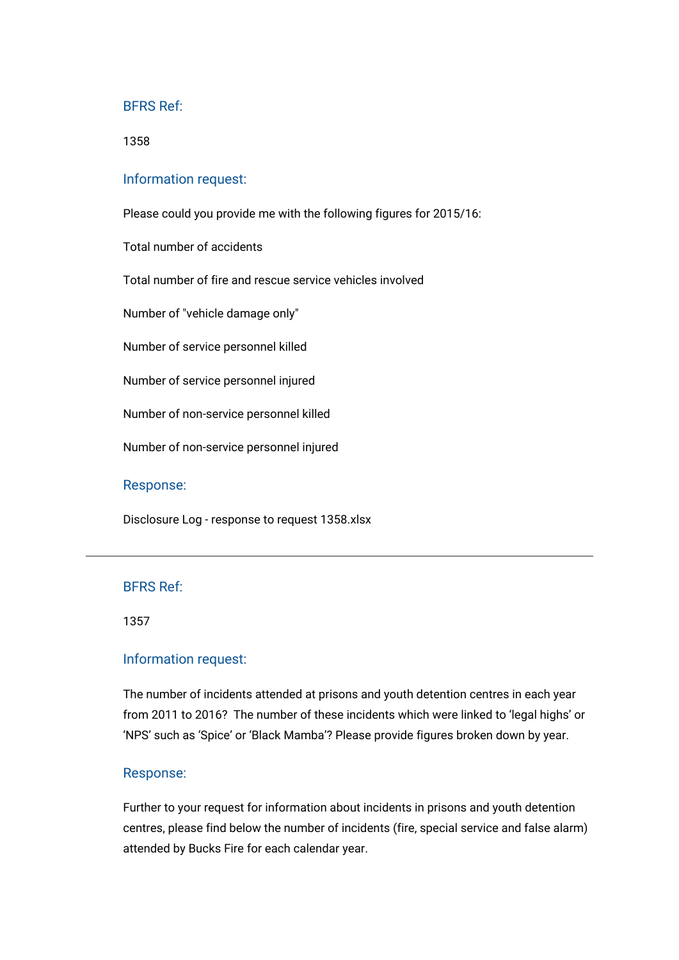1358

#### Information request:

Please could you provide me with the following figures for 2015/16:

Total number of accidents

Total number of fire and rescue service vehicles involved

Number of "vehicle damage only"

Number of service personnel killed

Number of service personnel injured

Number of non-service personnel killed

Number of non-service personnel injured

#### Response:

[Disclosure Log - response to request 1358.xlsx](https://bucksfire.gov.uk/index.php/download_file/view/2519/1125/)

#### BFRS Ref:

1357

#### Information request:

The number of incidents attended at prisons and youth detention centres in each year from 2011 to 2016? The number of these incidents which were linked to 'legal highs' or 'NPS' such as 'Spice' or 'Black Mamba'? Please provide figures broken down by year.

#### Response:

Further to your request for information about incidents in prisons and youth detention centres, please find below the number of incidents (fire, special service and false alarm) attended by Bucks Fire for each calendar year.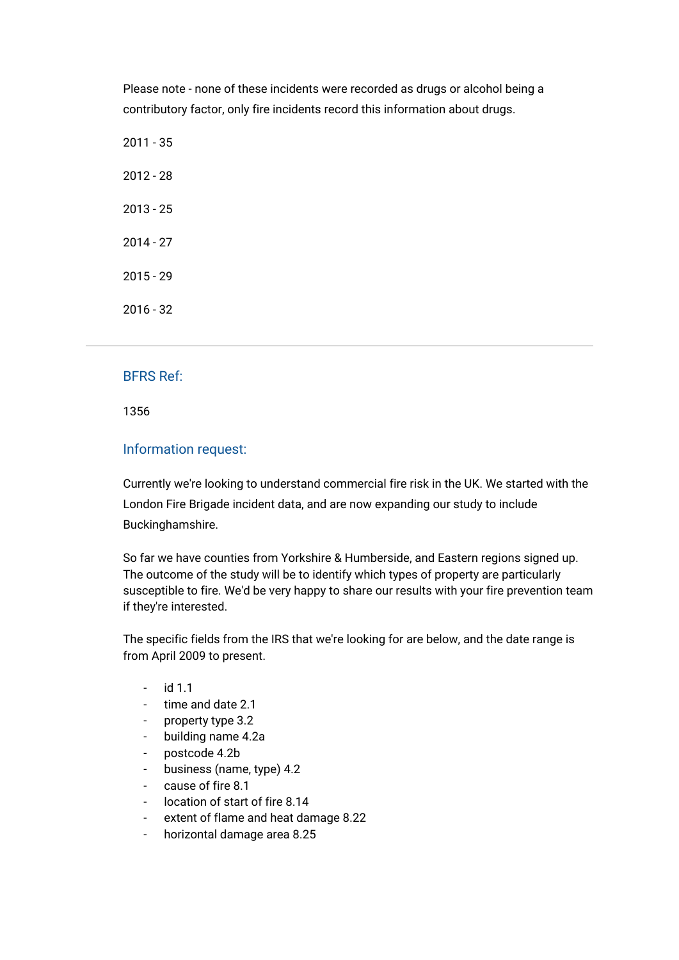Please note - none of these incidents were recorded as drugs or alcohol being a contributory factor, only fire incidents record this information about drugs.

# BFRS Ref:

1356

## Information request:

Currently we're looking to understand commercial fire risk in the UK. We started with the London Fire Brigade incident data, and are now expanding our study to include Buckinghamshire.

So far we have counties from Yorkshire & Humberside, and Eastern regions signed up. The outcome of the study will be to identify which types of property are particularly susceptible to fire. We'd be very happy to share our results with your fire prevention team if they're interested.

The specific fields from the IRS that we're looking for are below, and the date range is from April 2009 to present.

- id 1.1
- time and date 2.1
- property type 3.2
- building name 4.2a
- postcode 4.2b
- business (name, type) 4.2
- cause of fire 8.1
- location of start of fire 8.14
- extent of flame and heat damage 8.22
- horizontal damage area 8.25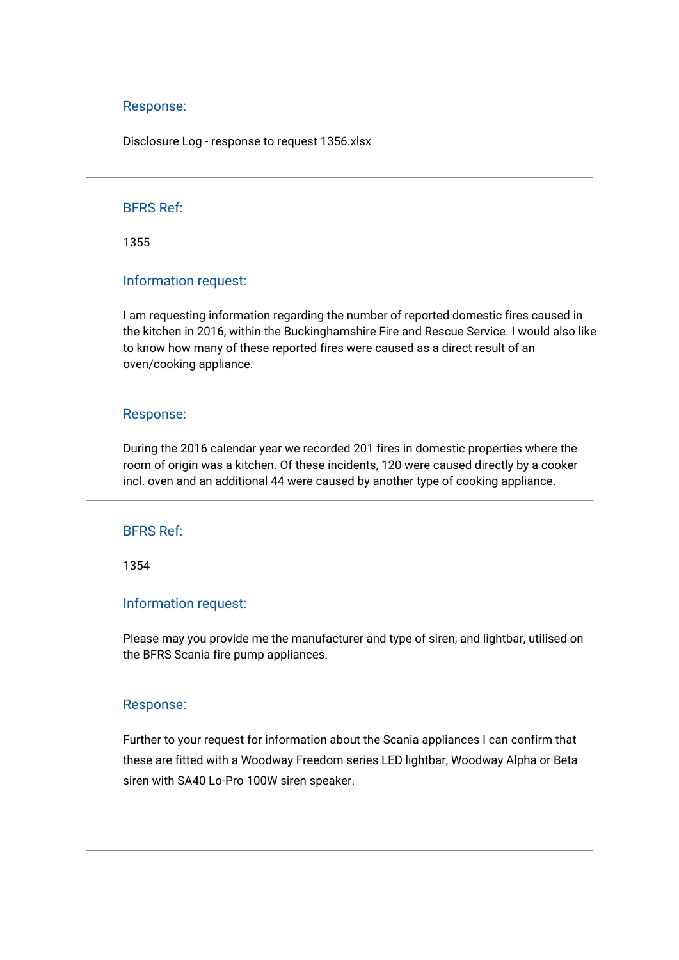[Disclosure Log - response to request 1356.xlsx](https://bucksfire.gov.uk/index.php/download_file/view/2505/1125/)

## BFRS Ref:

1355

#### Information request:

I am requesting information regarding the number of reported domestic fires caused in the kitchen in 2016, within the Buckinghamshire Fire and Rescue Service. I would also like to know how many of these reported fires were caused as a direct result of an oven/cooking appliance.

#### Response:

During the 2016 calendar year we recorded 201 fires in domestic properties where the room of origin was a kitchen. Of these incidents, 120 were caused directly by a cooker incl. oven and an additional 44 were caused by another type of cooking appliance.

## BFRS Ref:

1354

## Information request:

Please may you provide me the manufacturer and type of siren, and lightbar, utilised on the BFRS Scania fire pump appliances.

#### Response:

Further to your request for information about the Scania appliances I can confirm that these are fitted with a Woodway Freedom series LED lightbar, Woodway Alpha or Beta siren with SA40 Lo-Pro 100W siren speaker.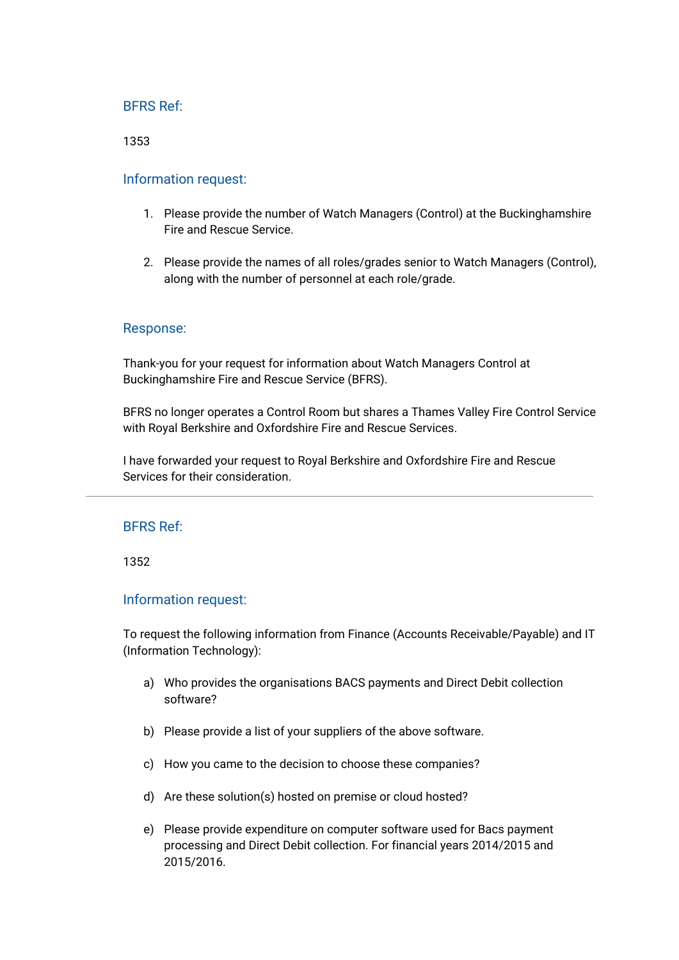1353

## Information request:

- 1. Please provide the number of Watch Managers (Control) at the Buckinghamshire Fire and Rescue Service.
- 2. Please provide the names of all roles/grades senior to Watch Managers (Control), along with the number of personnel at each role/grade.

## Response:

Thank-you for your request for information about Watch Managers Control at Buckinghamshire Fire and Rescue Service (BFRS).

BFRS no longer operates a Control Room but shares a Thames Valley Fire Control Service with Royal Berkshire and Oxfordshire Fire and Rescue Services.

I have forwarded your request to Royal Berkshire and Oxfordshire Fire and Rescue Services for their consideration.

## BFRS Ref:

1352

#### Information request:

To request the following information from Finance (Accounts Receivable/Payable) and IT (Information Technology):

- a) Who provides the organisations BACS payments and Direct Debit collection software?
- b) Please provide a list of your suppliers of the above software.
- c) How you came to the decision to choose these companies?
- d) Are these solution(s) hosted on premise or cloud hosted?
- e) Please provide expenditure on computer software used for Bacs payment processing and Direct Debit collection. For financial years 2014/2015 and 2015/2016.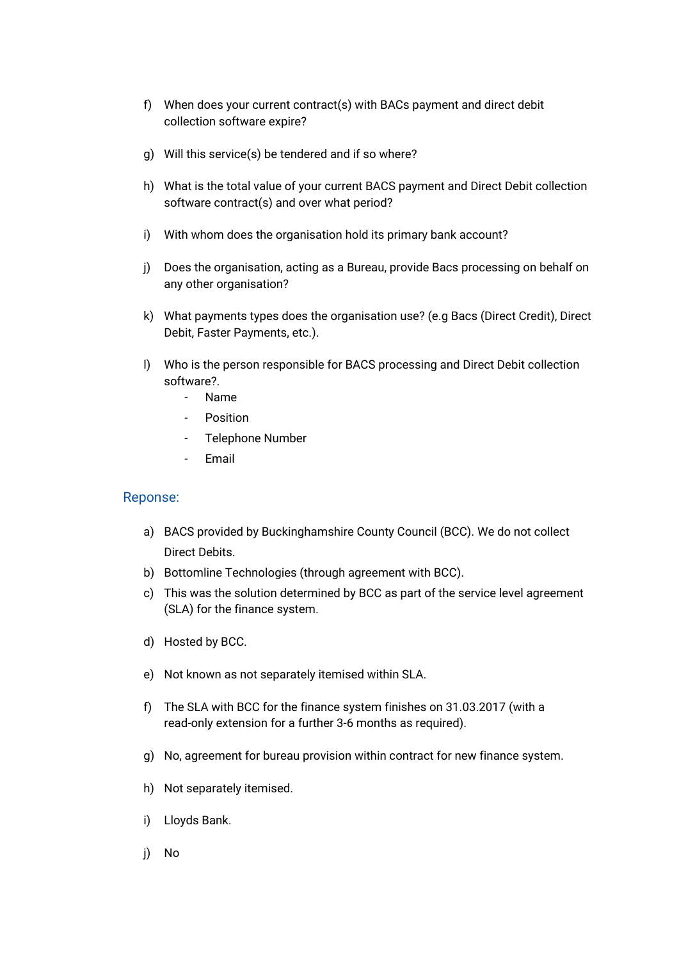- f) When does your current contract(s) with BACs payment and direct debit collection software expire?
- g) Will this service(s) be tendered and if so where?
- h) What is the total value of your current BACS payment and Direct Debit collection software contract(s) and over what period?
- i) With whom does the organisation hold its primary bank account?
- j) Does the organisation, acting as a Bureau, provide Bacs processing on behalf on any other organisation?
- k) What payments types does the organisation use? (e.g Bacs (Direct Credit), Direct Debit, Faster Payments, etc.).
- l) Who is the person responsible for BACS processing and Direct Debit collection software?.
	- Name
	- **Position**
	- Telephone Number
	- Email

- a) BACS provided by Buckinghamshire County Council (BCC). We do not collect Direct Debits.
- b) Bottomline Technologies (through agreement with BCC).
- c) This was the solution determined by BCC as part of the service level agreement (SLA) for the finance system.
- d) Hosted by BCC.
- e) Not known as not separately itemised within SLA.
- f) The SLA with BCC for the finance system finishes on 31.03.2017 (with a read-only extension for a further 3-6 months as required).
- g) No, agreement for bureau provision within contract for new finance system.
- h) Not separately itemised.
- i) Lloyds Bank.
- j) No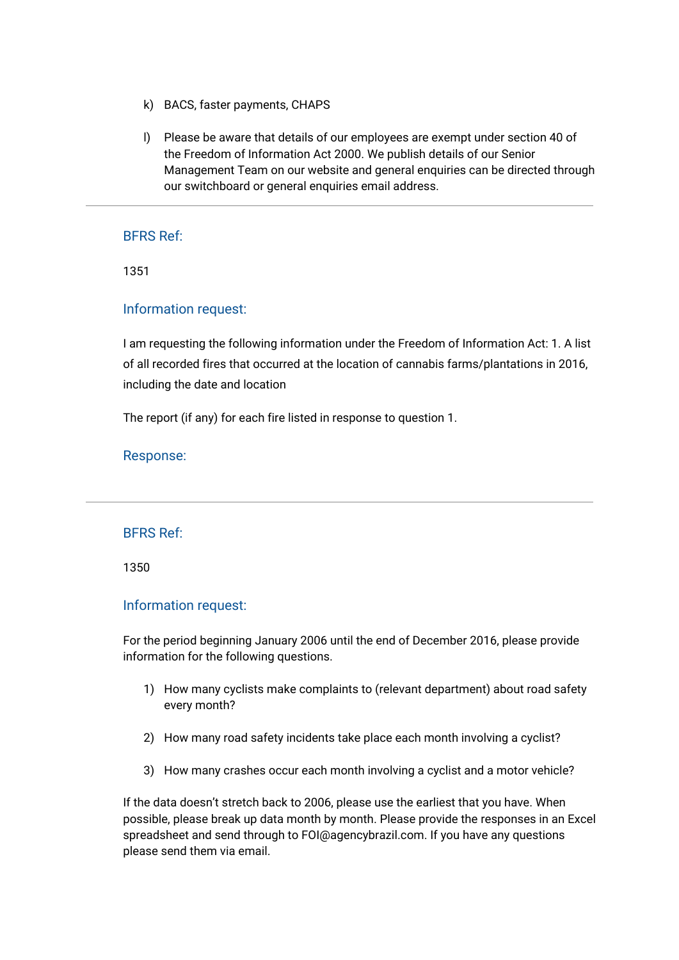- k) BACS, faster payments, CHAPS
- l) Please be aware that details of our employees are exempt under section 40 of the Freedom of Information Act 2000. We publish details of our Senior Management Team on our website and general enquiries can be directed through our switchboard or general enquiries email address.

1351

## Information request:

I am requesting the following information under the Freedom of Information Act: 1. A list of all recorded fires that occurred at the location of cannabis farms/plantations in 2016, including the date and location

The report (if any) for each fire listed in response to question 1.

#### Response:

#### BFRS Ref:

1350

#### Information request:

For the period beginning January 2006 until the end of December 2016, please provide information for the following questions.

- 1) How many cyclists make complaints to (relevant department) about road safety every month?
- 2) How many road safety incidents take place each month involving a cyclist?
- 3) How many crashes occur each month involving a cyclist and a motor vehicle?

If the data doesn't stretch back to 2006, please use the earliest that you have. When possible, please break up data month by month. Please provide the responses in an Excel spreadsheet and send through to FOI@agencybrazil.com. If you have any questions please send them via email.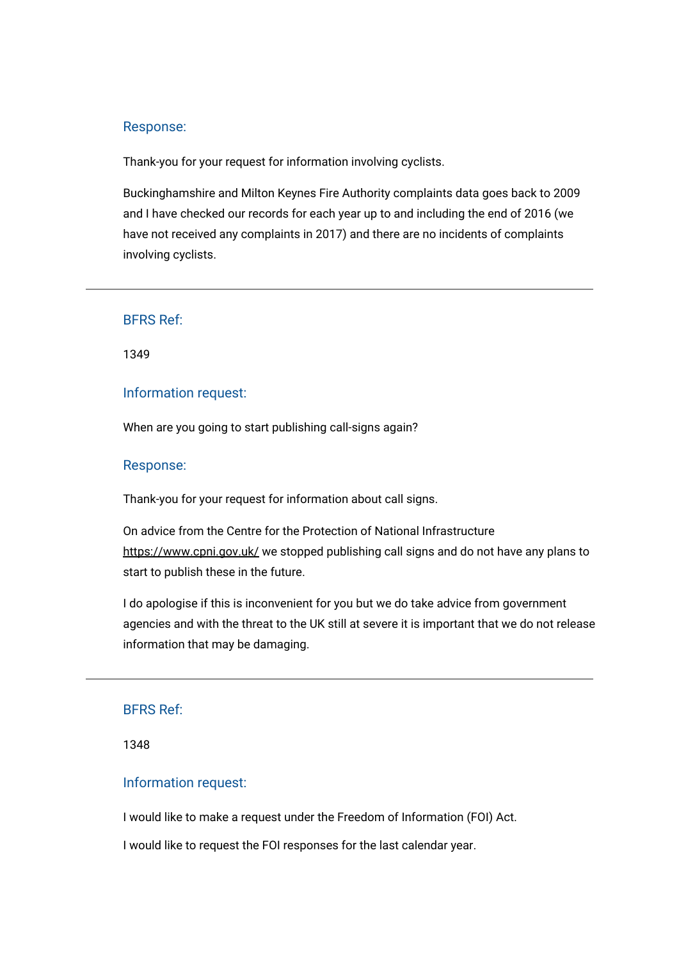Thank-you for your request for information involving cyclists.

Buckinghamshire and Milton Keynes Fire Authority complaints data goes back to 2009 and I have checked our records for each year up to and including the end of 2016 (we have not received any complaints in 2017) and there are no incidents of complaints involving cyclists.

#### BFRS Ref:

1349

## Information request:

When are you going to start publishing call-signs again?

#### Response:

Thank-you for your request for information about call signs.

On advice from the Centre for the Protection of National Infrastructure <https://www.cpni.gov.uk/> we stopped publishing call signs and do not have any plans to start to publish these in the future.

I do apologise if this is inconvenient for you but we do take advice from government agencies and with the threat to the UK still at severe it is important that we do not release information that may be damaging.

## BFRS Ref:

1348

## Information request:

I would like to make a request under the Freedom of Information (FOI) Act.

I would like to request the FOI responses for the last calendar year.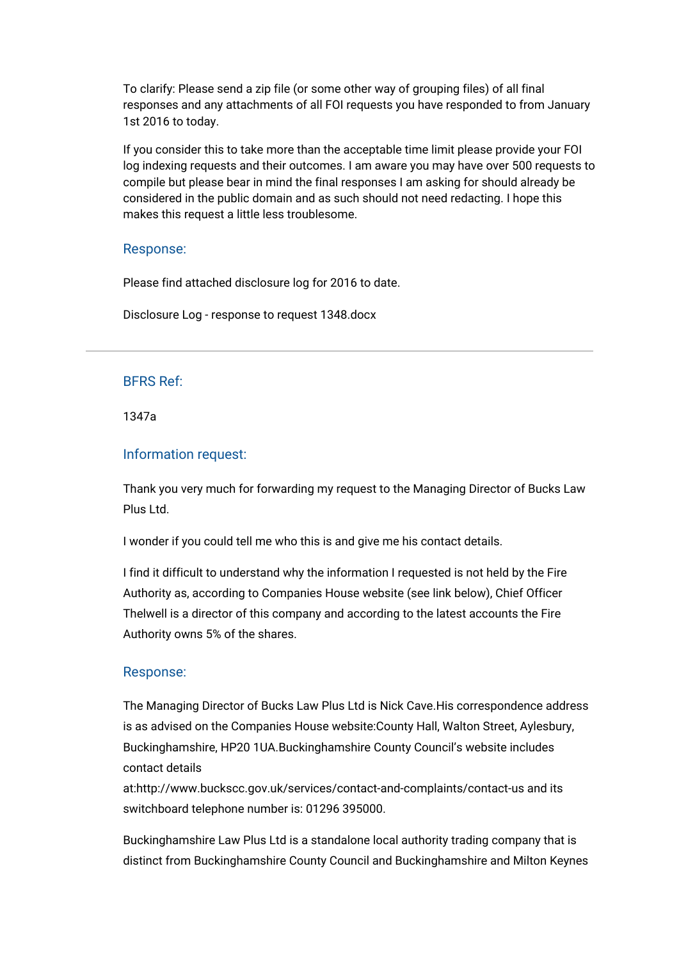To clarify: Please send a zip file (or some other way of grouping files) of all final responses and any attachments of all FOI requests you have responded to from January 1st 2016 to today.

If you consider this to take more than the acceptable time limit please provide your FOI log indexing requests and their outcomes. I am aware you may have over 500 requests to compile but please bear in mind the final responses I am asking for should already be considered in the public domain and as such should not need redacting. I hope this makes this request a little less troublesome.

## Response:

Please find attached disclosure log for 2016 to date.

[Disclosure Log - response to request 1348.docx](https://bucksfire.gov.uk/index.php/download_file/view/2487/1125/)

## BFRS Ref:

1347a

## Information request:

Thank you very much for forwarding my request to the Managing Director of Bucks Law Plus Ltd.

I wonder if you could tell me who this is and give me his contact details.

I find it difficult to understand why the information I requested is not held by the Fire Authority as, according to Companies House website (see link below), Chief Officer Thelwell is a director of this company and according to the latest accounts the Fire Authority owns 5% of the shares.

#### Response:

The Managing Director of Bucks Law Plus Ltd is Nick Cave.His correspondence address is as advised on the Companies House website:County Hall, Walton Street, Aylesbury, Buckinghamshire, HP20 1UA.Buckinghamshire County Council's website includes contact details

at:http://www.buckscc.gov.uk/services/contact-and-complaints/contact-us and its switchboard telephone number is: 01296 395000.

Buckinghamshire Law Plus Ltd is a standalone local authority trading company that is distinct from Buckinghamshire County Council and Buckinghamshire and Milton Keynes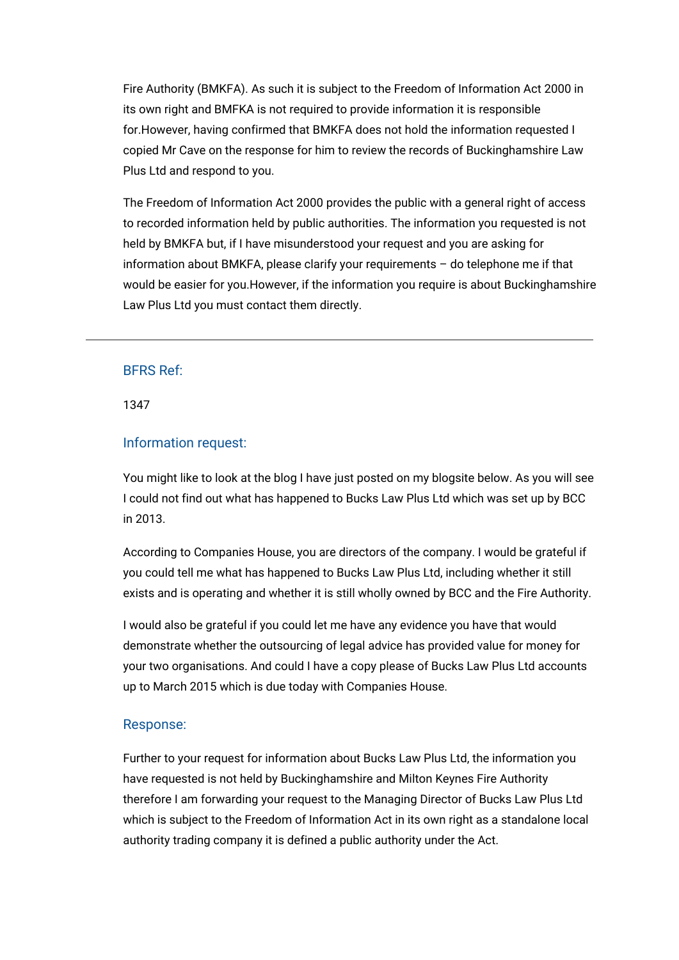Fire Authority (BMKFA). As such it is subject to the Freedom of Information Act 2000 in its own right and BMFKA is not required to provide information it is responsible for.However, having confirmed that BMKFA does not hold the information requested I copied Mr Cave on the response for him to review the records of Buckinghamshire Law Plus Ltd and respond to you.

The Freedom of Information Act 2000 provides the public with a general right of access to recorded information held by public authorities. The information you requested is not held by BMKFA but, if I have misunderstood your request and you are asking for information about BMKFA, please clarify your requirements – do telephone me if that would be easier for you.However, if the information you require is about Buckinghamshire Law Plus Ltd you must contact them directly.

## BFRS Ref:

1347

## Information request:

You might like to look at the blog I have just posted on my blogsite below. As you will see I could not find out what has happened to Bucks Law Plus Ltd which was set up by BCC in 2013.

According to Companies House, you are directors of the company. I would be grateful if you could tell me what has happened to Bucks Law Plus Ltd, including whether it still exists and is operating and whether it is still wholly owned by BCC and the Fire Authority.

I would also be grateful if you could let me have any evidence you have that would demonstrate whether the outsourcing of legal advice has provided value for money for your two organisations. And could I have a copy please of Bucks Law Plus Ltd accounts up to March 2015 which is due today with Companies House.

#### Response:

Further to your request for information about Bucks Law Plus Ltd, the information you have requested is not held by Buckinghamshire and Milton Keynes Fire Authority therefore I am forwarding your request to the Managing Director of Bucks Law Plus Ltd which is subject to the Freedom of Information Act in its own right as a standalone local authority trading company it is defined a public authority under the Act.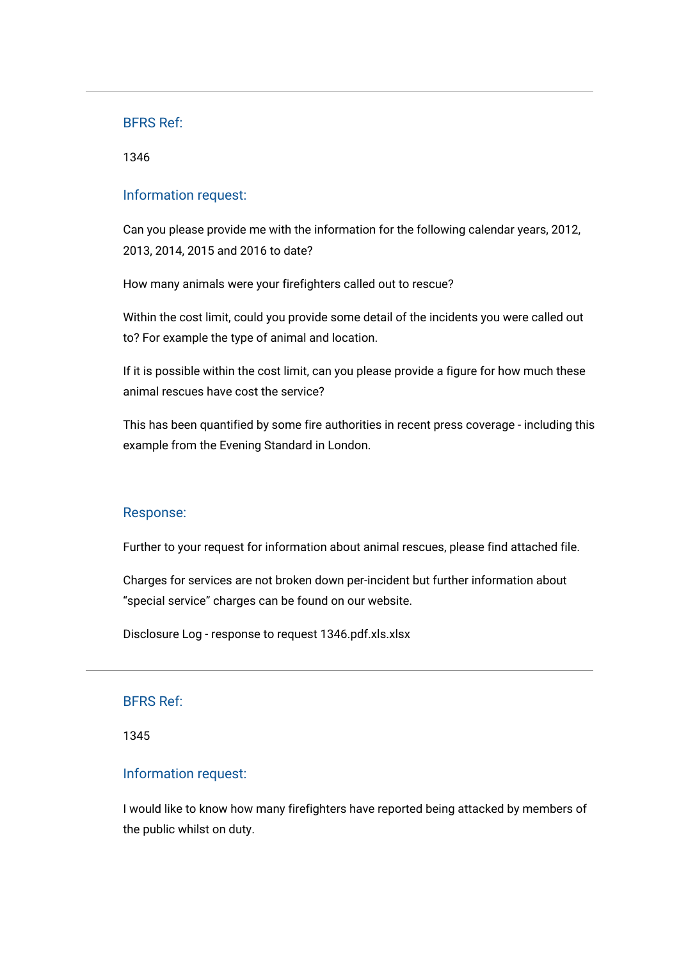1346

## Information request:

Can you please provide me with the information for the following calendar years, 2012, 2013, 2014, 2015 and 2016 to date?

How many animals were your firefighters called out to rescue?

Within the cost limit, could you provide some detail of the incidents you were called out to? For example the type of animal and location.

If it is possible within the cost limit, can you please provide a figure for how much these animal rescues have cost the service?

This has been quantified by some fire authorities in recent press coverage - including this example from the Evening Standard in London.

## Response:

Further to your request for information about animal rescues, please find attached file.

Charges for services are not broken down per-incident but further information about "special service" charges can be found on our website.

[Disclosure Log - response to request 1346.pdf.xls.xlsx](https://bucksfire.gov.uk/index.php/download_file/view/2485/1125/)

#### BFRS Ref:

1345

## Information request:

I would like to know how many firefighters have reported being attacked by members of the public whilst on duty.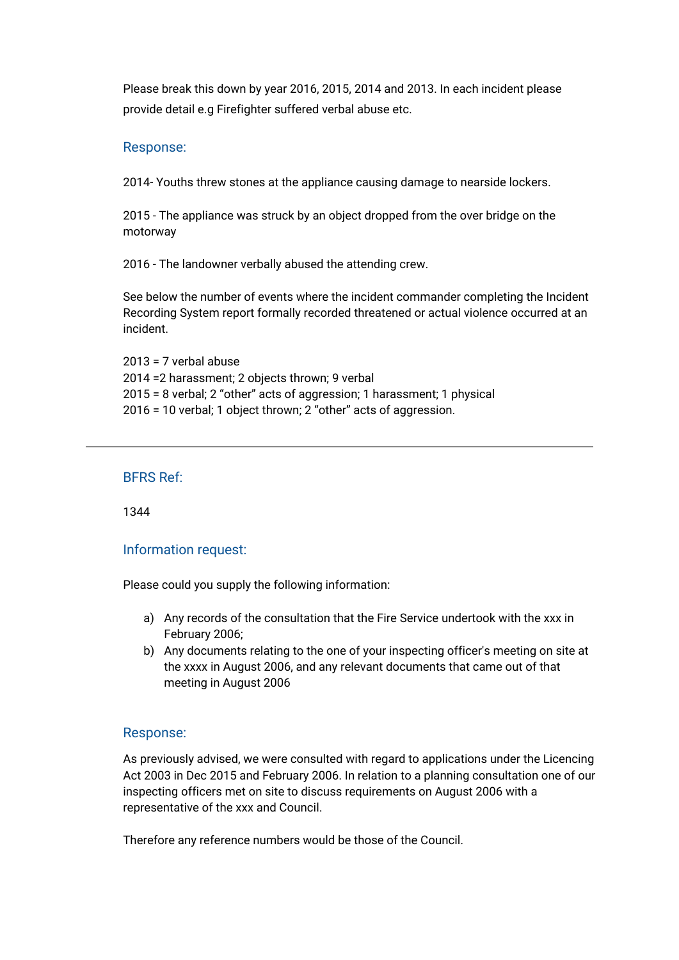Please break this down by year 2016, 2015, 2014 and 2013. In each incident please provide detail e.g Firefighter suffered verbal abuse etc.

## Response:

2014- Youths threw stones at the appliance causing damage to nearside lockers.

2015 - The appliance was struck by an object dropped from the over bridge on the motorway

2016 - The landowner verbally abused the attending crew.

See below the number of events where the incident commander completing the Incident Recording System report formally recorded threatened or actual violence occurred at an incident.

2013 = 7 verbal abuse 2014 =2 harassment; 2 objects thrown; 9 verbal 2015 = 8 verbal; 2 "other" acts of aggression; 1 harassment; 1 physical 2016 = 10 verbal; 1 object thrown; 2 "other" acts of aggression.

## BFRS Ref:

1344

# Information request:

Please could you supply the following information:

- a) Any records of the consultation that the Fire Service undertook with the xxx in February 2006;
- b) Any documents relating to the one of your inspecting officer's meeting on site at the xxxx in August 2006, and any relevant documents that came out of that meeting in August 2006

# Response:

As previously advised, we were consulted with regard to applications under the Licencing Act 2003 in Dec 2015 and February 2006. In relation to a planning consultation one of our inspecting officers met on site to discuss requirements on August 2006 with a representative of the xxx and Council.

Therefore any reference numbers would be those of the Council.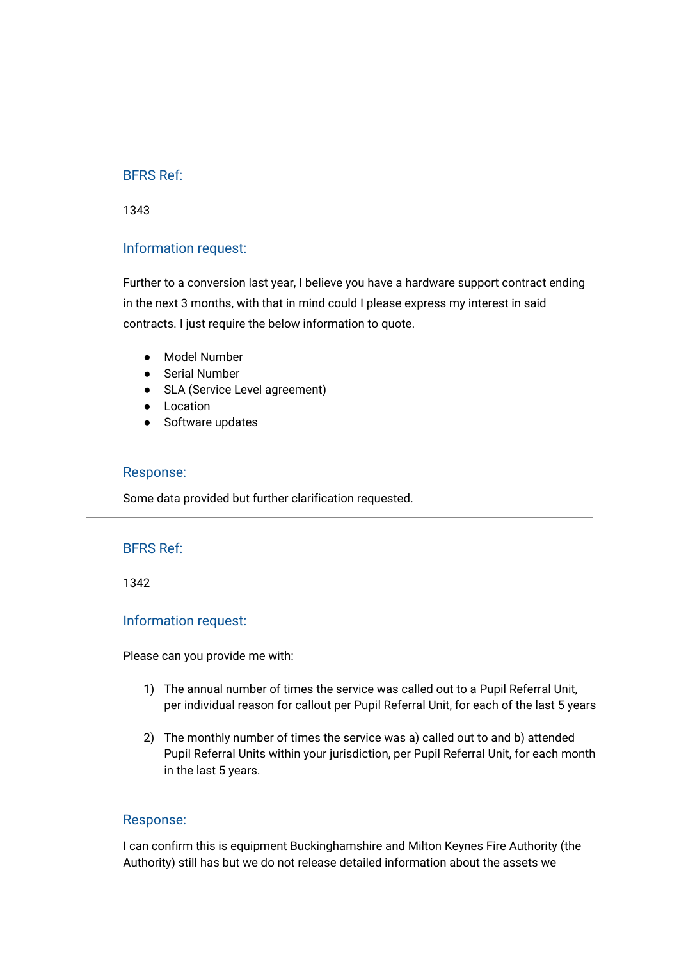1343

## Information request:

Further to a conversion last year, I believe you have a hardware support contract ending in the next 3 months, with that in mind could I please express my interest in said contracts. I just require the below information to quote.

- Model Number
- Serial Number
- SLA (Service Level agreement)
- Location
- Software updates

#### Response:

Some data provided but further clarification requested.

#### BFRS Ref:

1342

#### Information request:

Please can you provide me with:

- 1) The annual number of times the service was called out to a Pupil Referral Unit, per individual reason for callout per Pupil Referral Unit, for each of the last 5 years
- 2) The monthly number of times the service was a) called out to and b) attended Pupil Referral Units within your jurisdiction, per Pupil Referral Unit, for each month in the last 5 years.

#### Response:

I can confirm this is equipment Buckinghamshire and Milton Keynes Fire Authority (the Authority) still has but we do not release detailed information about the assets we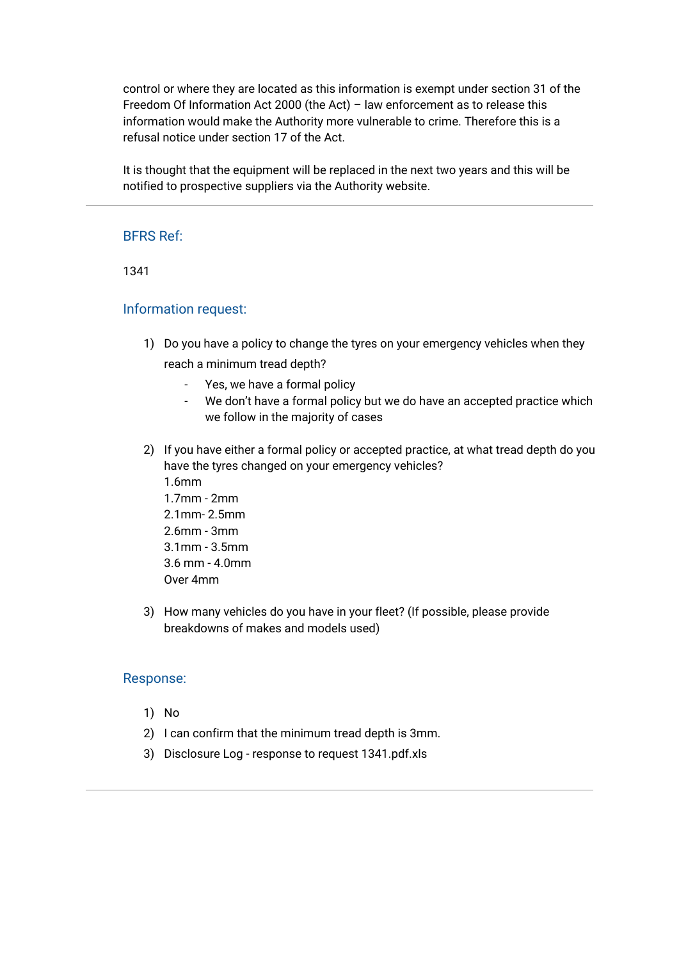control or where they are located as this information is exempt under section 31 of the Freedom Of Information Act 2000 (the Act) – law enforcement as to release this information would make the Authority more vulnerable to crime. Therefore this is a refusal notice under section 17 of the Act.

It is thought that the equipment will be replaced in the next two years and this will be notified to prospective suppliers via the Authority website.

# BFRS Ref:

1341

## Information request:

- 1) Do you have a policy to change the tyres on your emergency vehicles when they reach a minimum tread depth?
	- Yes, we have a formal policy
	- We don't have a formal policy but we do have an accepted practice which we follow in the majority of cases
- 2) If you have either a formal policy or accepted practice, at what tread depth do you have the tyres changed on your emergency vehicles? 1.6mm
	- 1.7mm 2mm 2.1mm- 2.5mm 2.6mm - 3mm 3.1mm - 3.5mm 3.6 mm - 4.0mm Over 4mm
- 3) How many vehicles do you have in your fleet? (If possible, please provide breakdowns of makes and models used)

#### Response:

- 1) No
- 2) I can confirm that the minimum tread depth is 3mm.
- 3) [Disclosure Log response to request 1341.pdf.xls](https://bucksfire.gov.uk/index.php/download_file/view/2484/1125/)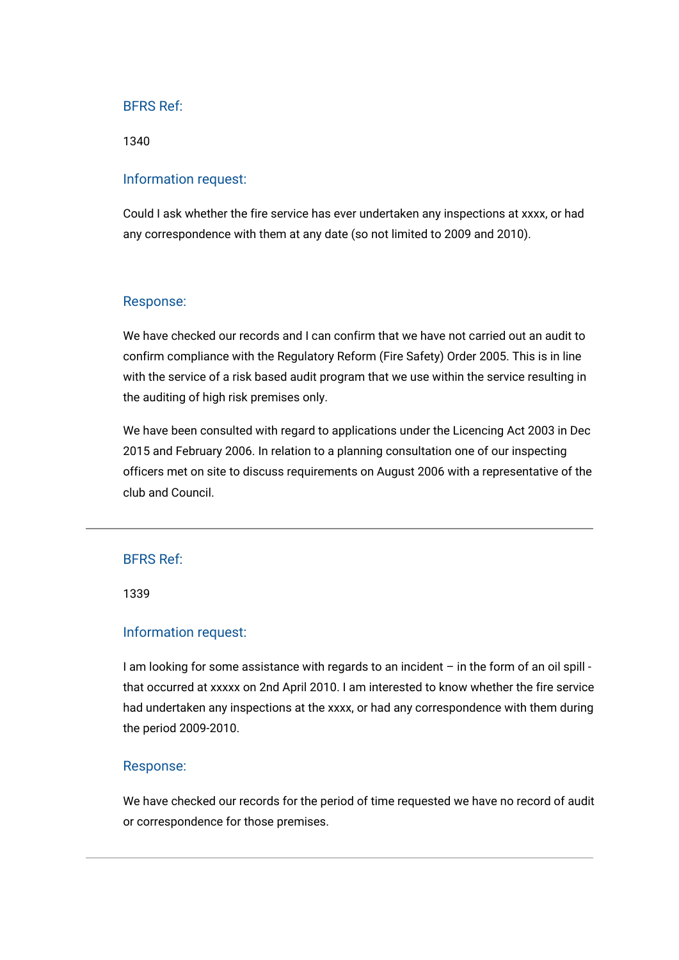1340

#### Information request:

Could I ask whether the fire service has ever undertaken any inspections at xxxx, or had any correspondence with them at any date (so not limited to 2009 and 2010).

### Response:

We have checked our records and I can confirm that we have not carried out an audit to confirm compliance with the Regulatory Reform (Fire Safety) Order 2005. This is in line with the service of a risk based audit program that we use within the service resulting in the auditing of high risk premises only.

We have been consulted with regard to applications under the Licencing Act 2003 in Dec 2015 and February 2006. In relation to a planning consultation one of our inspecting officers met on site to discuss requirements on August 2006 with a representative of the club and Council.

## BFRS Ref:

1339

## Information request:

I am looking for some assistance with regards to an incident – in the form of an oil spill that occurred at xxxxx on 2nd April 2010. I am interested to know whether the fire service had undertaken any inspections at the xxxx, or had any correspondence with them during the period 2009-2010.

#### Response:

We have checked our records for the period of time requested we have no record of audit or correspondence for those premises.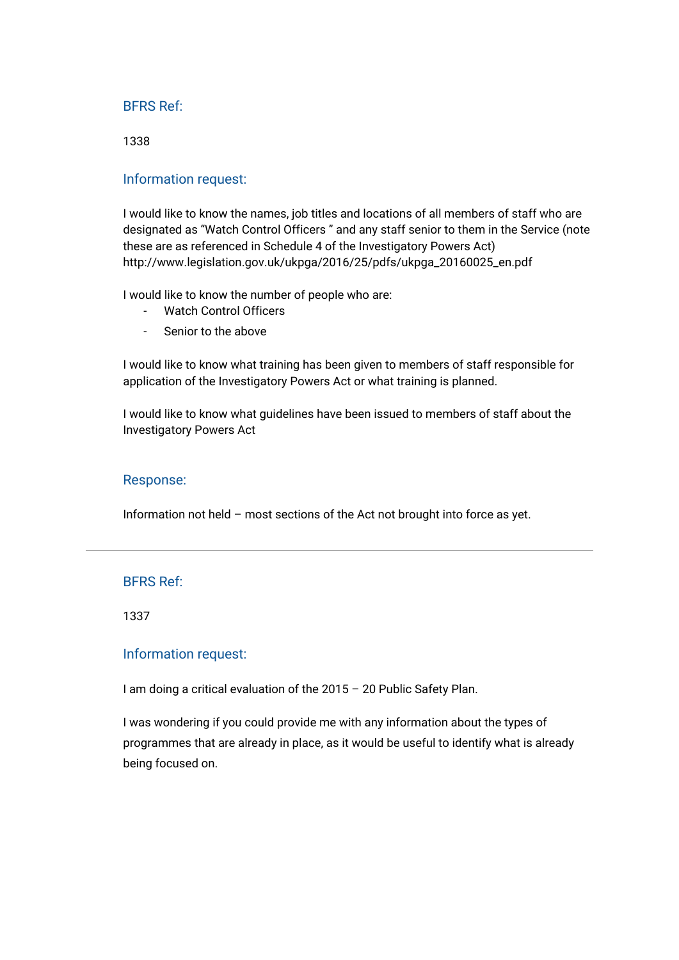1338

### Information request:

I would like to know the names, job titles and locations of all members of staff who are designated as "Watch Control Officers " and any staff senior to them in the Service (note these are as referenced in Schedule 4 of the Investigatory Powers Act) [http://www.legislation.gov.uk/ukpga/2016/25/pdfs/ukpga\\_20160025\\_en.pdf](http://www.legislation.gov.uk/ukpga/2016/25/pdfs/ukpga_20160025_en.pdf)

I would like to know the number of people who are:

- Watch Control Officers
- Senior to the above

I would like to know what training has been given to members of staff responsible for application of the Investigatory Powers Act or what training is planned.

I would like to know what guidelines have been issued to members of staff about the Investigatory Powers Act

#### Response:

Information not held – most sections of the Act not brought into force as yet.

## BFRS Ref:

1337

## Information request:

I am doing a critical evaluation of the 2015 – 20 Public Safety Plan.

I was wondering if you could provide me with any information about the types of programmes that are already in place, as it would be useful to identify what is already being focused on.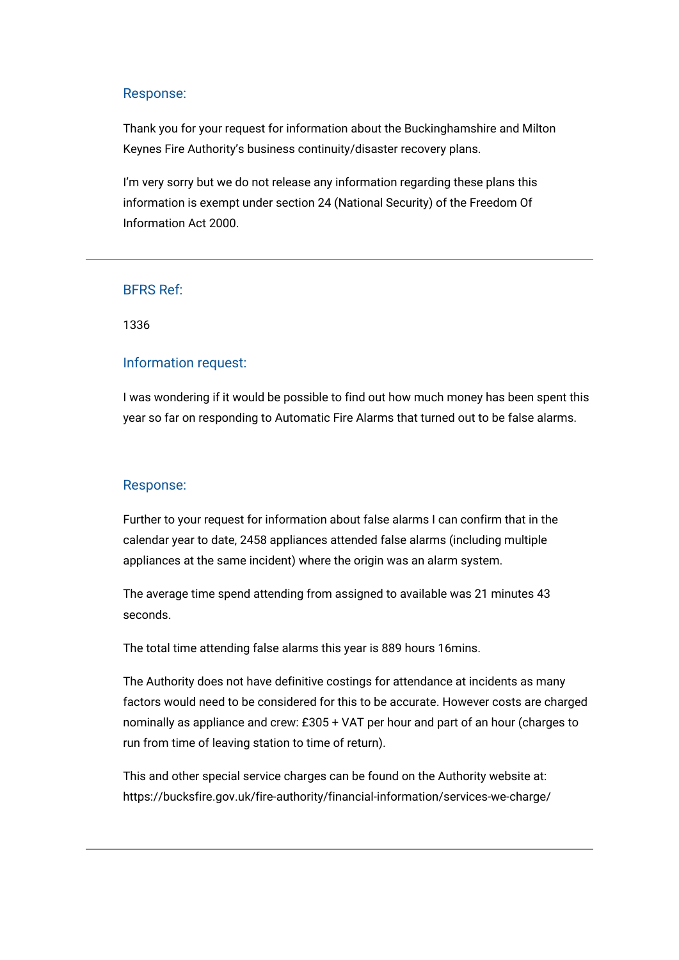Thank you for your request for information about the Buckinghamshire and Milton Keynes Fire Authority's business continuity/disaster recovery plans.

I'm very sorry but we do not release any information regarding these plans this information is exempt under section 24 (National Security) of the Freedom Of Information Act 2000.

# BFRS Ref:

1336

## Information request:

I was wondering if it would be possible to find out how much money has been spent this year so far on responding to Automatic Fire Alarms that turned out to be false alarms.

#### Response:

Further to your request for information about false alarms I can confirm that in the calendar year to date, 2458 appliances attended false alarms (including multiple appliances at the same incident) where the origin was an alarm system.

The average time spend attending from assigned to available was 21 minutes 43 seconds.

The total time attending false alarms this year is 889 hours 16mins.

The Authority does not have definitive costings for attendance at incidents as many factors would need to be considered for this to be accurate. However costs are charged nominally as appliance and crew: £305 + VAT per hour and part of an hour (charges to run from time of leaving station to time of return).

This and other special service charges can be found on the Authority website at: <https://bucksfire.gov.uk/fire-authority/financial-information/services-we-charge/>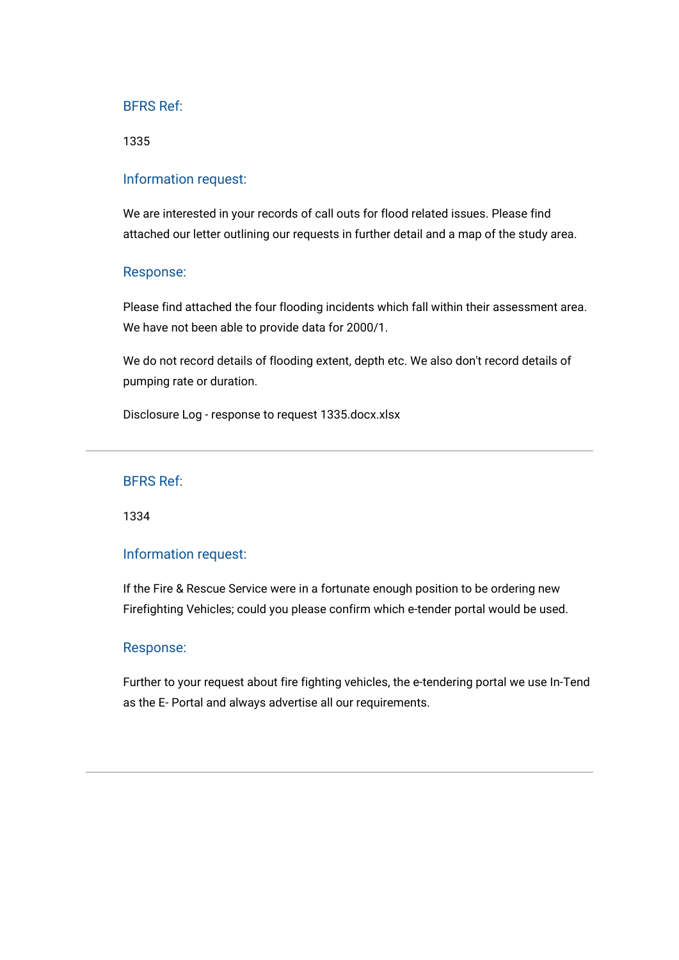1335

### Information request:

We are interested in your records of call outs for flood related issues. Please find attached our letter outlining our requests in further detail and a map of the study area.

#### Response:

Please find attached the four flooding incidents which fall within their assessment area. We have not been able to provide data for 2000/1.

We do not record details of flooding extent, depth etc. We also don't record details of pumping rate or duration.

[Disclosure Log - response to request 1335.docx.xlsx](https://bucksfire.gov.uk/index.php/download_file/view/2482/1125/)

#### BFRS Ref:

1334

## Information request:

If the Fire & Rescue Service were in a fortunate enough position to be ordering new Firefighting Vehicles; could you please confirm which e-tender portal would be used.

#### Response:

Further to your request about fire fighting vehicles, the e-tendering portal we use In-Tend as the E- Portal and always advertise all our requirements.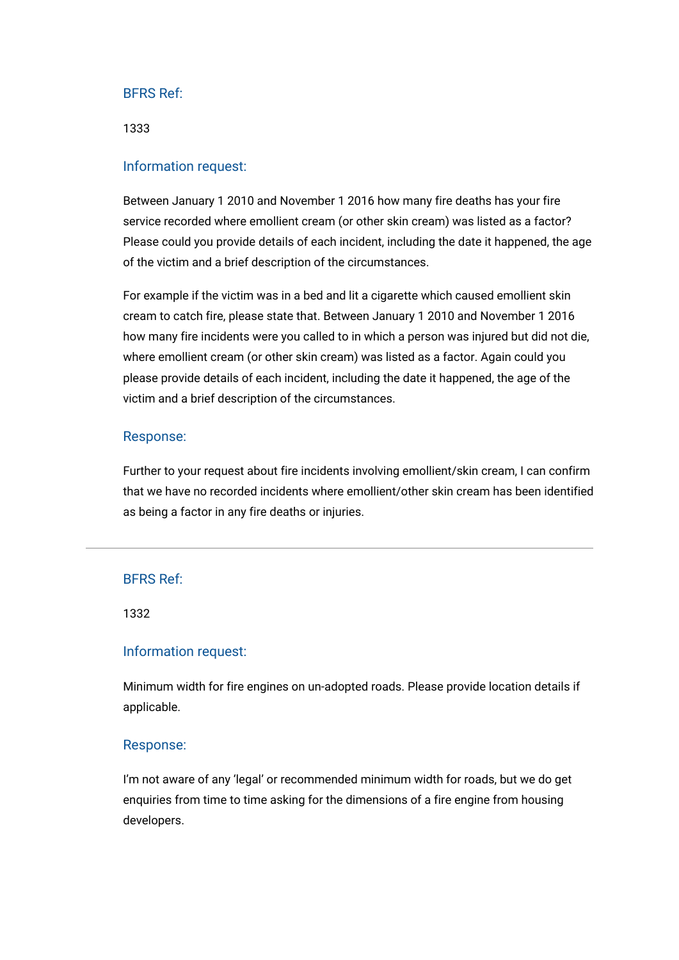1333

### Information request:

Between January 1 2010 and November 1 2016 how many fire deaths has your fire service recorded where emollient cream (or other skin cream) was listed as a factor? Please could you provide details of each incident, including the date it happened, the age of the victim and a brief description of the circumstances.

For example if the victim was in a bed and lit a cigarette which caused emollient skin cream to catch fire, please state that. Between January 1 2010 and November 1 2016 how many fire incidents were you called to in which a person was injured but did not die, where emollient cream (or other skin cream) was listed as a factor. Again could you please provide details of each incident, including the date it happened, the age of the victim and a brief description of the circumstances.

#### Response:

Further to your request about fire incidents involving emollient/skin cream, I can confirm that we have no recorded incidents where emollient/other skin cream has been identified as being a factor in any fire deaths or injuries.

#### BFRS Ref:

1332

#### Information request:

Minimum width for fire engines on un-adopted roads. Please provide location details if applicable.

#### Response:

I'm not aware of any 'legal' or recommended minimum width for roads, but we do get enquiries from time to time asking for the dimensions of a fire engine from housing developers.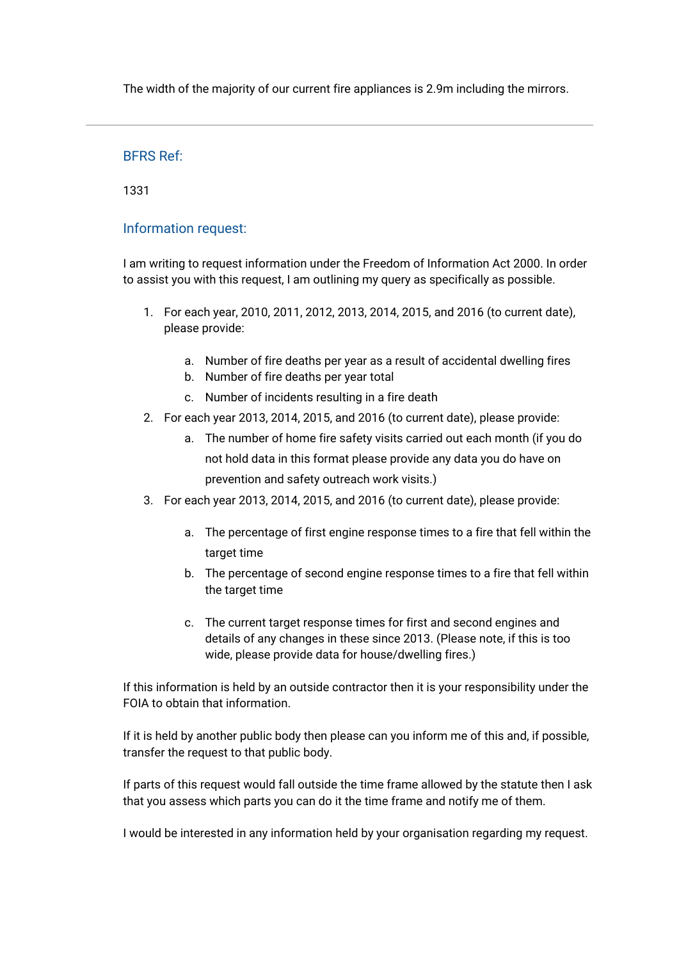The width of the majority of our current fire appliances is 2.9m including the mirrors.

## BFRS Ref:

1331

# Information request:

I am writing to request information under the Freedom of Information Act 2000. In order to assist you with this request, I am outlining my query as specifically as possible.

- 1. For each year, 2010, 2011, 2012, 2013, 2014, 2015, and 2016 (to current date), please provide:
	- a. Number of fire deaths per year as a result of accidental dwelling fires
	- b. Number of fire deaths per year total
	- c. Number of incidents resulting in a fire death
- 2. For each year 2013, 2014, 2015, and 2016 (to current date), please provide:
	- a. The number of home fire safety visits carried out each month (if you do not hold data in this format please provide any data you do have on prevention and safety outreach work visits.)
- 3. For each year 2013, 2014, 2015, and 2016 (to current date), please provide:
	- a. The percentage of first engine response times to a fire that fell within the target time
	- b. The percentage of second engine response times to a fire that fell within the target time
	- c. The current target response times for first and second engines and details of any changes in these since 2013. (Please note, if this is too wide, please provide data for house/dwelling fires.)

If this information is held by an outside contractor then it is your responsibility under the FOIA to obtain that information.

If it is held by another public body then please can you inform me of this and, if possible, transfer the request to that public body.

If parts of this request would fall outside the time frame allowed by the statute then I ask that you assess which parts you can do it the time frame and notify me of them.

I would be interested in any information held by your organisation regarding my request.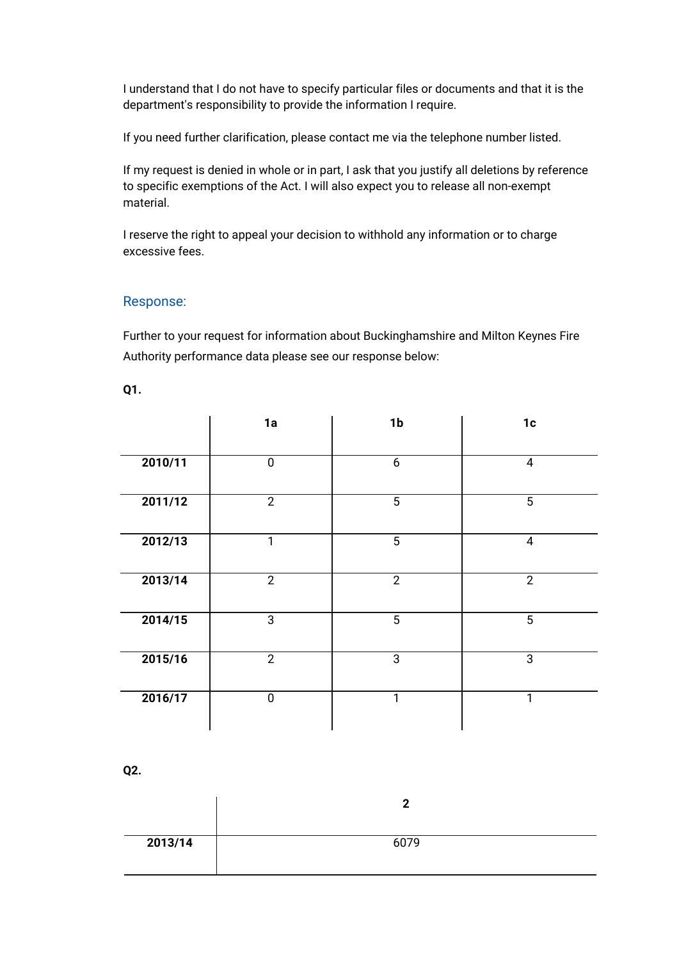I understand that I do not have to specify particular files or documents and that it is the department's responsibility to provide the information I require.

If you need further clarification, please contact me via the telephone number listed.

If my request is denied in whole or in part, I ask that you justify all deletions by reference to specific exemptions of the Act. I will also expect you to release all non-exempt material.

I reserve the right to appeal your decision to withhold any information or to charge excessive fees.

## Response:

Further to your request for information about Buckinghamshire and Milton Keynes Fire Authority performance data please see our response below:

| ×<br>×<br>۰, |  | m. |
|--------------|--|----|
|--------------|--|----|

|         | 1a             | 1 <sub>b</sub>  | 1c             |
|---------|----------------|-----------------|----------------|
| 2010/11 | $\pmb{0}$      | 6               | $\overline{4}$ |
| 2011/12 | $\overline{2}$ | $5\phantom{.0}$ | $\overline{5}$ |
| 2012/13 | $\overline{1}$ | $\overline{5}$  | $\overline{4}$ |
| 2013/14 | $\overline{2}$ | $\overline{2}$  | $\overline{2}$ |
| 2014/15 | $\overline{3}$ | $\overline{5}$  | $\overline{5}$ |
| 2015/16 | $\overline{2}$ | 3               | $\mathbf{3}$   |
| 2016/17 | $\mathbf 0$    | 1               | 1              |

**Q2.**

|         | ◠    |
|---------|------|
| 2013/14 | 6079 |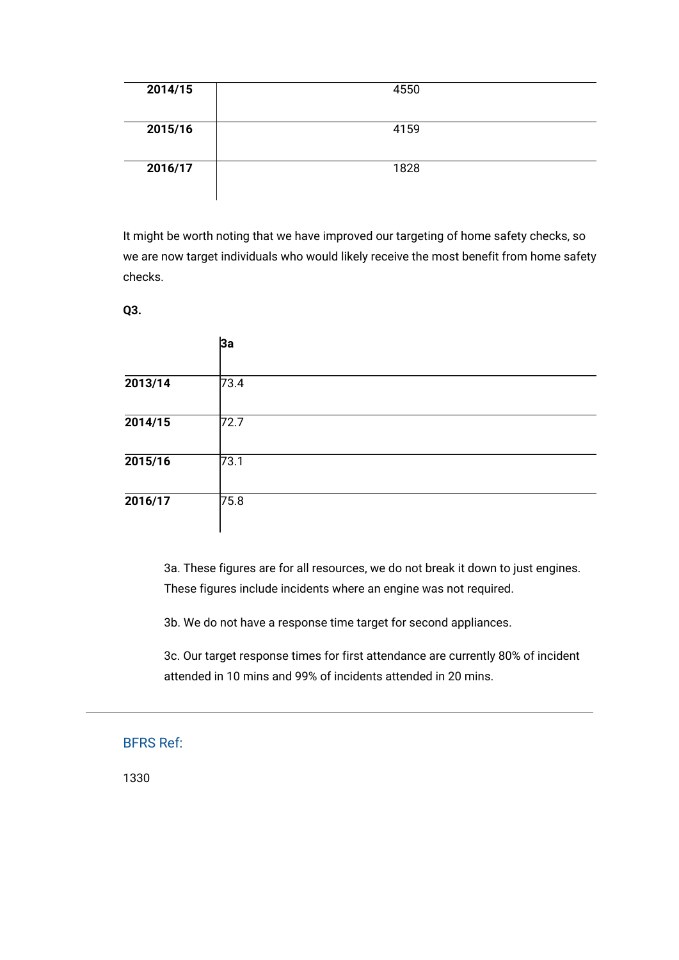| 2014/15 | 4550 |
|---------|------|
| 2015/16 | 4159 |
| 2016/17 | 1828 |

It might be worth noting that we have improved our targeting of home safety checks, so we are now target individuals who would likely receive the most benefit from home safety checks.

**Q3.**

|         | 3a   |  |
|---------|------|--|
| 2013/14 | 73.4 |  |
| 2014/15 | 72.7 |  |
| 2015/16 | 73.1 |  |
| 2016/17 | 75.8 |  |

3a. These figures are for all resources, we do not break it down to just engines. These figures include incidents where an engine was not required.

3b. We do not have a response time target for second appliances.

3c. Our target response times for first attendance are currently 80% of incident attended in 10 mins and 99% of incidents attended in 20 mins.

BFRS Ref:

1330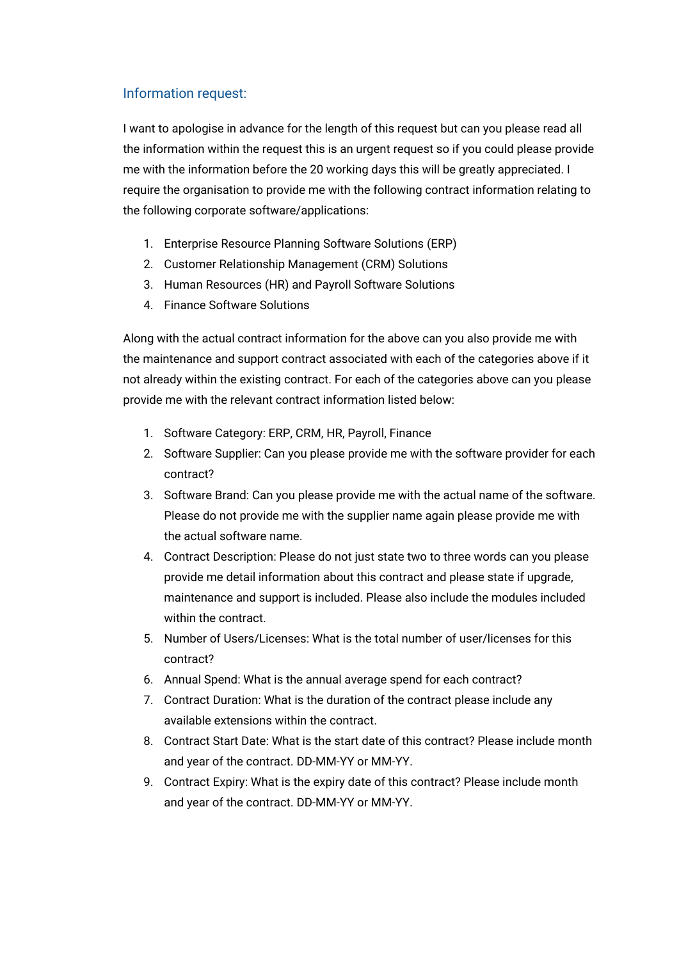# Information request:

I want to apologise in advance for the length of this request but can you please read all the information within the request this is an urgent request so if you could please provide me with the information before the 20 working days this will be greatly appreciated. I require the organisation to provide me with the following contract information relating to the following corporate software/applications:

- 1. Enterprise Resource Planning Software Solutions (ERP)
- 2. Customer Relationship Management (CRM) Solutions
- 3. Human Resources (HR) and Payroll Software Solutions
- 4. Finance Software Solutions

Along with the actual contract information for the above can you also provide me with the maintenance and support contract associated with each of the categories above if it not already within the existing contract. For each of the categories above can you please provide me with the relevant contract information listed below:

- 1. Software Category: ERP, CRM, HR, Payroll, Finance
- 2. Software Supplier: Can you please provide me with the software provider for each contract?
- 3. Software Brand: Can you please provide me with the actual name of the software. Please do not provide me with the supplier name again please provide me with the actual software name.
- 4. Contract Description: Please do not just state two to three words can you please provide me detail information about this contract and please state if upgrade, maintenance and support is included. Please also include the modules included within the contract.
- 5. Number of Users/Licenses: What is the total number of user/licenses for this contract?
- 6. Annual Spend: What is the annual average spend for each contract?
- 7. Contract Duration: What is the duration of the contract please include any available extensions within the contract.
- 8. Contract Start Date: What is the start date of this contract? Please include month and year of the contract. DD-MM-YY or MM-YY.
- 9. Contract Expiry: What is the expiry date of this contract? Please include month and year of the contract. DD-MM-YY or MM-YY.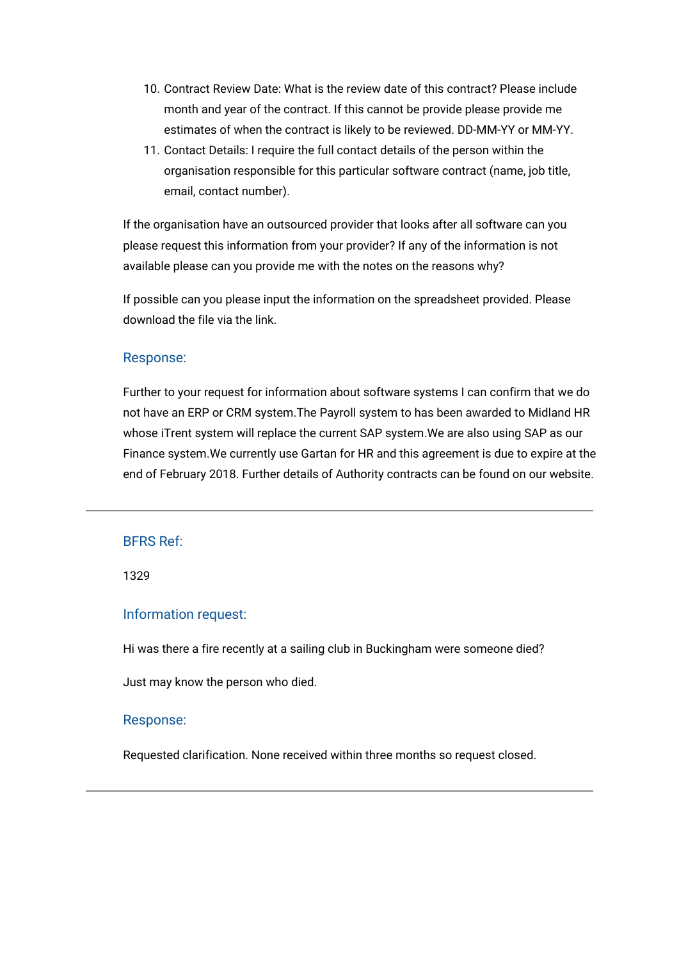- 10. Contract Review Date: What is the review date of this contract? Please include month and year of the contract. If this cannot be provide please provide me estimates of when the contract is likely to be reviewed. DD-MM-YY or MM-YY.
- 11. Contact Details: I require the full contact details of the person within the organisation responsible for this particular software contract (name, job title, email, contact number).

If the organisation have an outsourced provider that looks after all software can you please request this information from your provider? If any of the information is not available please can you provide me with the notes on the reasons why?

If possible can you please input the information on the spreadsheet provided. Please download the file via the link.

## Response:

Further to your request for information about software systems I can confirm that we do not have an ERP or CRM system.The Payroll system to has been awarded to Midland HR whose iTrent system will replace the current SAP system.We are also using SAP as our Finance system.We currently use Gartan for HR and this agreement is due to expire at the end of February 2018. Further details of Authority contracts can be found on our website.

## BFRS Ref:

1329

## Information request:

Hi was there a fire recently at a sailing club in Buckingham were someone died?

Just may know the person who died.

#### Response:

Requested clarification. None received within three months so request closed.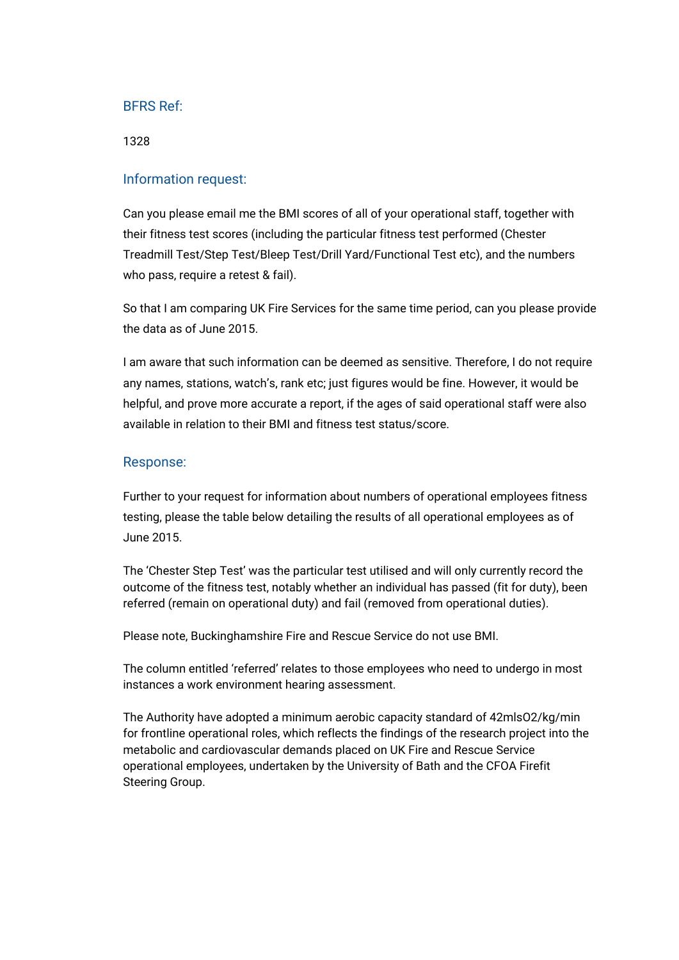1328

### Information request:

Can you please email me the BMI scores of all of your operational staff, together with their fitness test scores (including the particular fitness test performed (Chester Treadmill Test/Step Test/Bleep Test/Drill Yard/Functional Test etc), and the numbers who pass, require a retest & fail).

So that I am comparing UK Fire Services for the same time period, can you please provide the data as of June 2015.

I am aware that such information can be deemed as sensitive. Therefore, I do not require any names, stations, watch's, rank etc; just figures would be fine. However, it would be helpful, and prove more accurate a report, if the ages of said operational staff were also available in relation to their BMI and fitness test status/score.

#### Response:

Further to your request for information about numbers of operational employees fitness testing, please the table below detailing the results of all operational employees as of June 2015.

The 'Chester Step Test' was the particular test utilised and will only currently record the outcome of the fitness test, notably whether an individual has passed (fit for duty), been referred (remain on operational duty) and fail (removed from operational duties).

Please note, Buckinghamshire Fire and Rescue Service do not use BMI.

The column entitled 'referred' relates to those employees who need to undergo in most instances a work environment hearing assessment.

The Authority have adopted a minimum aerobic capacity standard of 42mlsO2/kg/min for frontline operational roles, which reflects the findings of the research project into the metabolic and cardiovascular demands placed on UK Fire and Rescue Service operational employees, undertaken by the University of Bath and the CFOA Firefit Steering Group.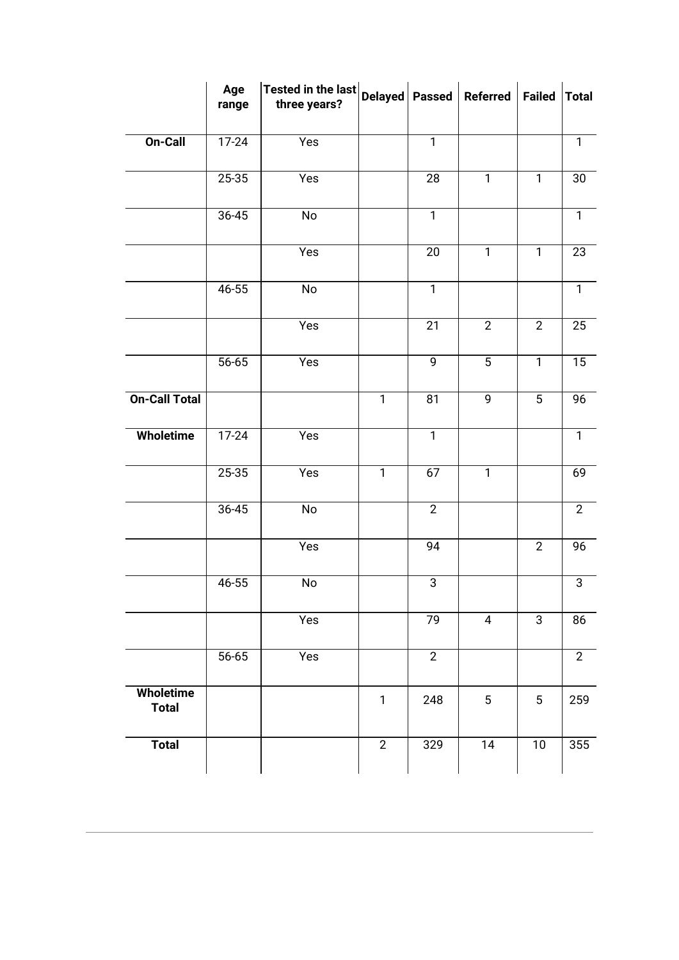|                           | Age<br>range | Tested in the last<br>three years? | Delayed   Passed |                | <b>Referred</b> | <b>Failed</b>  | <b>Total</b>   |
|---------------------------|--------------|------------------------------------|------------------|----------------|-----------------|----------------|----------------|
| On-Call                   | $17 - 24$    | Yes                                |                  | $\overline{1}$ |                 |                | $\overline{1}$ |
|                           | 25-35        | Yes                                |                  | 28             | $\mathbf{1}$    | $\mathbf{1}$   | 30             |
|                           | 36-45        | No                                 |                  | $\overline{1}$ |                 |                | $\overline{1}$ |
|                           |              | Yes                                |                  | 20             | $\mathbf{1}$    | $\mathbf{1}$   | 23             |
|                           | $46 - 55$    | No                                 |                  | $\mathbf{1}$   |                 |                | $\mathbf{1}$   |
|                           |              | Yes                                |                  | 21             | $\overline{2}$  | $\overline{2}$ | 25             |
|                           | 56-65        | Yes                                |                  | 9              | 5               | $\mathbf{1}$   | 15             |
| <b>On-Call Total</b>      |              |                                    | $\mathbf{1}$     | 81             | 9               | 5              | 96             |
| <b>Wholetime</b>          | 17-24        | Yes                                |                  | $\mathbf{1}$   |                 |                | $\mathbf{1}$   |
|                           | 25-35        | Yes                                | $\mathbf{1}$     | 67             | $\mathbf{1}$    |                | 69             |
|                           | 36-45        | No                                 |                  | $\overline{2}$ |                 |                | $\mathbf{2}$   |
|                           |              | Yes                                |                  | 94             |                 | $\overline{2}$ | 96             |
|                           | 46-55        | No                                 |                  | $\mathbf{3}$   |                 |                | $\overline{3}$ |
|                           |              | Yes                                |                  | 79             | $\overline{4}$  | 3              | 86             |
|                           | 56-65        | Yes                                |                  | $\overline{2}$ |                 |                | $\overline{2}$ |
| Wholetime<br><b>Total</b> |              |                                    | $\mathbf{1}$     | 248            | $5\,$           | 5              | 259            |
| <b>Total</b>              |              |                                    | $\overline{2}$   | 329            | $\overline{14}$ | 10             | 355            |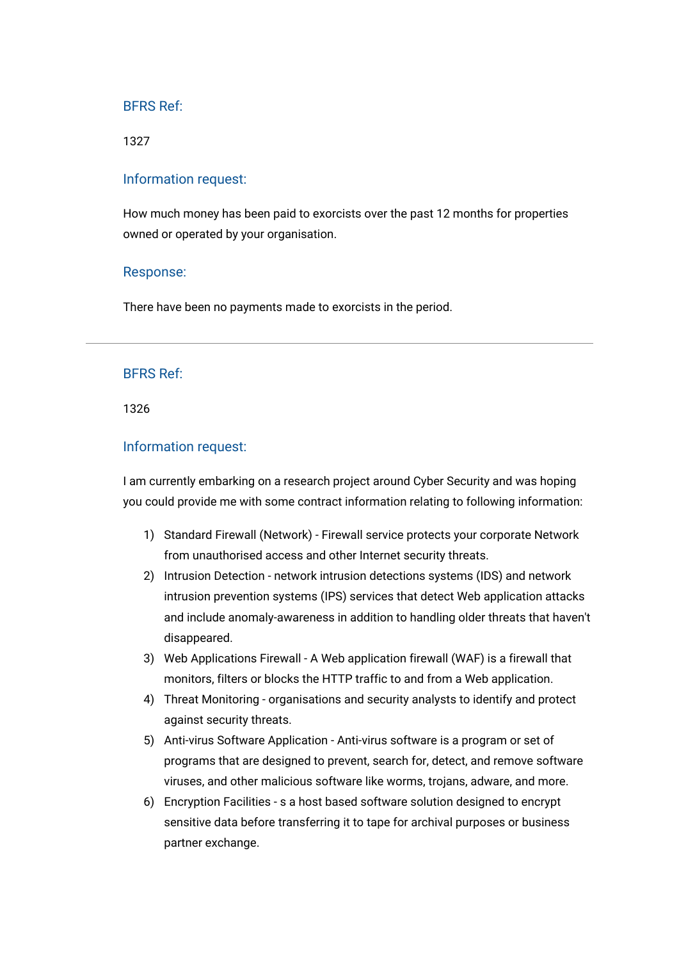1327

#### Information request:

How much money has been paid to exorcists over the past 12 months for properties owned or operated by your organisation.

#### Response:

There have been no payments made to exorcists in the period.

## BFRS Ref:

1326

#### Information request:

I am currently embarking on a research project around Cyber Security and was hoping you could provide me with some contract information relating to following information:

- 1) Standard Firewall (Network) Firewall service protects your corporate Network from unauthorised access and other Internet security threats.
- 2) Intrusion Detection network intrusion detections systems (IDS) and network intrusion prevention systems (IPS) services that detect Web application attacks and include anomaly-awareness in addition to handling older threats that haven't disappeared.
- 3) Web Applications Firewall A Web application firewall (WAF) is a firewall that monitors, filters or blocks the HTTP traffic to and from a Web application.
- 4) Threat Monitoring organisations and security analysts to identify and protect against security threats.
- 5) Anti-virus Software Application Anti-virus software is a program or set of programs that are designed to prevent, search for, detect, and remove software viruses, and other malicious software like worms, trojans, adware, and more.
- 6) Encryption Facilities s a host based software solution designed to encrypt sensitive data before transferring it to tape for archival purposes or business partner exchange.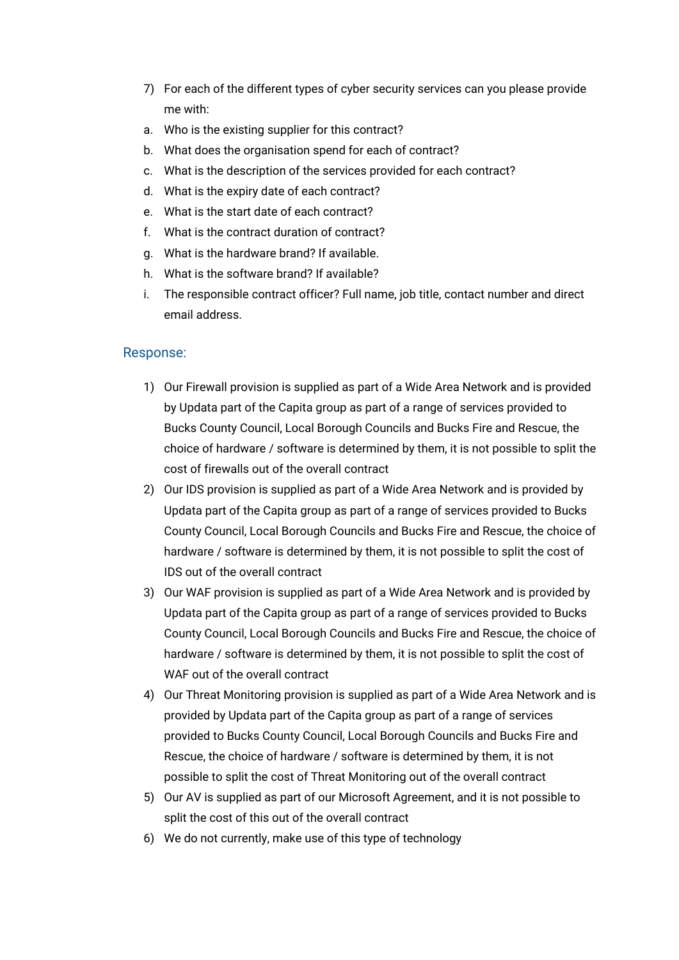- 7) For each of the different types of cyber security services can you please provide me with:
- a. Who is the existing supplier for this contract?
- b. What does the organisation spend for each of contract?
- c. What is the description of the services provided for each contract?
- d. What is the expiry date of each contract?
- e. What is the start date of each contract?
- f. What is the contract duration of contract?
- g. What is the hardware brand? If available.
- h. What is the software brand? If available?
- i. The responsible contract officer? Full name, job title, contact number and direct email address.

## Response:

- 1) Our Firewall provision is supplied as part of a Wide Area Network and is provided by Updata part of the Capita group as part of a range of services provided to Bucks County Council, Local Borough Councils and Bucks Fire and Rescue, the choice of hardware / software is determined by them, it is not possible to split the cost of firewalls out of the overall contract
- 2) Our IDS provision is supplied as part of a Wide Area Network and is provided by Updata part of the Capita group as part of a range of services provided to Bucks County Council, Local Borough Councils and Bucks Fire and Rescue, the choice of hardware / software is determined by them, it is not possible to split the cost of IDS out of the overall contract
- 3) Our WAF provision is supplied as part of a Wide Area Network and is provided by Updata part of the Capita group as part of a range of services provided to Bucks County Council, Local Borough Councils and Bucks Fire and Rescue, the choice of hardware / software is determined by them, it is not possible to split the cost of WAF out of the overall contract
- 4) Our Threat Monitoring provision is supplied as part of a Wide Area Network and is provided by Updata part of the Capita group as part of a range of services provided to Bucks County Council, Local Borough Councils and Bucks Fire and Rescue, the choice of hardware / software is determined by them, it is not possible to split the cost of Threat Monitoring out of the overall contract
- 5) Our AV is supplied as part of our Microsoft Agreement, and it is not possible to split the cost of this out of the overall contract
- 6) We do not currently, make use of this type of technology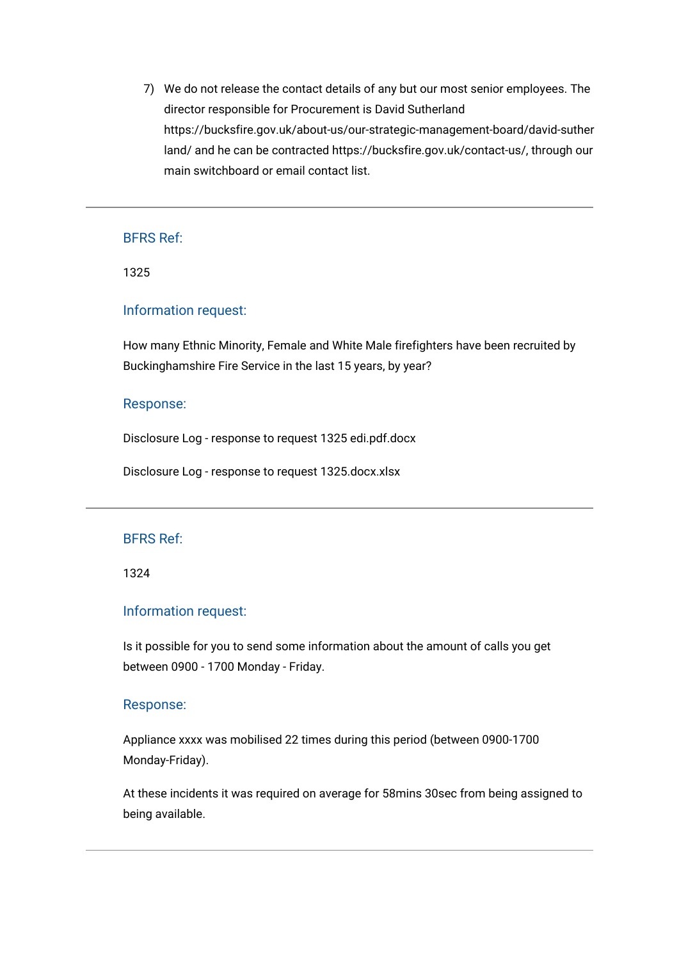7) We do not release the contact details of any but our most senior employees. The director responsible for Procurement is David Sutherland https://bucksfire.gov.uk/about-us/our-strategic-management-board/david-suther land/ and he can be contracted https://bucksfire.gov.uk/contact-us/, through our main switchboard or email contact list.

## BFRS Ref:

1325

#### Information request:

How many Ethnic Minority, Female and White Male firefighters have been recruited by Buckinghamshire Fire Service in the last 15 years, by year?

#### Response:

[Disclosure Log - response to request 1325 edi.pdf.docx](https://bucksfire.gov.uk/index.php/download_file/view/2469/1125/)

[Disclosure Log - response to request 1325.docx.xlsx](https://bucksfire.gov.uk/index.php/download_file/view/2470/1125/)

## BFRS Ref:

1324

### Information request:

Is it possible for you to send some information about the amount of calls you get between 0900 - 1700 Monday - Friday.

#### Response:

Appliance xxxx was mobilised 22 times during this period (between 0900-1700 Monday-Friday).

At these incidents it was required on average for 58mins 30sec from being assigned to being available.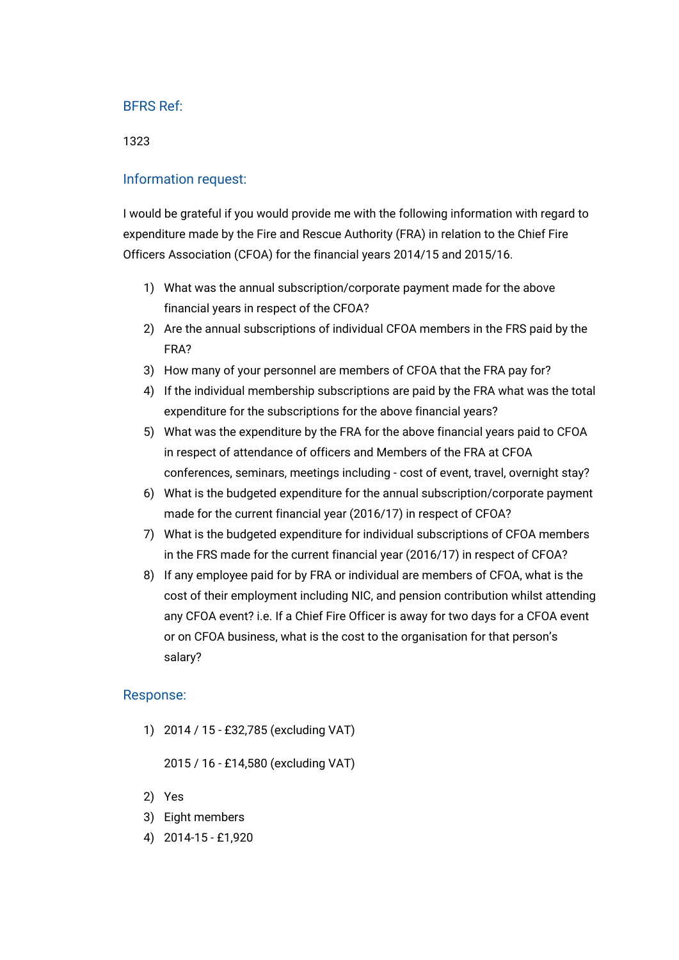#### 1323

## Information request:

I would be grateful if you would provide me with the following information with regard to expenditure made by the Fire and Rescue Authority (FRA) in relation to the Chief Fire Officers Association (CFOA) for the financial years 2014/15 and 2015/16.

- 1) What was the annual subscription/corporate payment made for the above financial years in respect of the CFOA?
- 2) Are the annual subscriptions of individual CFOA members in the FRS paid by the FRA?
- 3) How many of your personnel are members of CFOA that the FRA pay for?
- 4) If the individual membership subscriptions are paid by the FRA what was the total expenditure for the subscriptions for the above financial years?
- 5) What was the expenditure by the FRA for the above financial years paid to CFOA in respect of attendance of officers and Members of the FRA at CFOA conferences, seminars, meetings including - cost of event, travel, overnight stay?
- 6) What is the budgeted expenditure for the annual subscription/corporate payment made for the current financial year (2016/17) in respect of CFOA?
- 7) What is the budgeted expenditure for individual subscriptions of CFOA members in the FRS made for the current financial year (2016/17) in respect of CFOA?
- 8) If any employee paid for by FRA or individual are members of CFOA, what is the cost of their employment including NIC, and pension contribution whilst attending any CFOA event? i.e. If a Chief Fire Officer is away for two days for a CFOA event or on CFOA business, what is the cost to the organisation for that person's salary?

## Response:

1) 2014 / 15 - £32,785 (excluding VAT)

2015 / 16 - £14,580 (excluding VAT)

- 2) Yes
- 3) Eight members
- 4) 2014-15 £1,920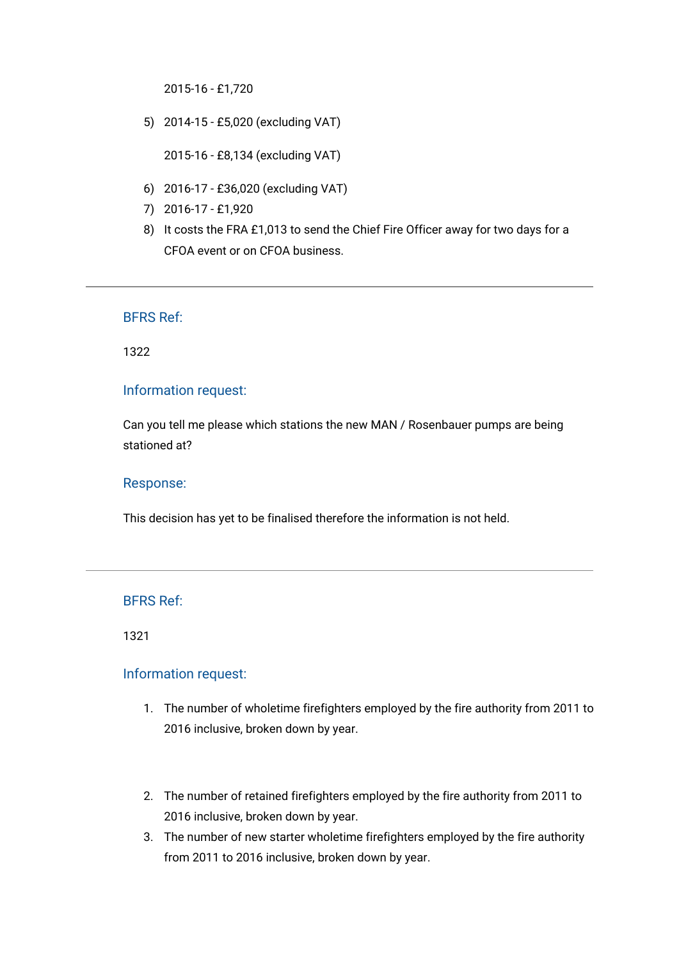2015-16 - £1,720

5) 2014-15 - £5,020 (excluding VAT)

2015-16 - £8,134 (excluding VAT)

- 6) 2016-17 £36,020 (excluding VAT)
- 7) 2016-17 £1,920
- 8) It costs the FRA £1,013 to send the Chief Fire Officer away for two days for a CFOA event or on CFOA business.

BFRS Ref:

1322

### Information request:

Can you tell me please which stations the new MAN / Rosenbauer pumps are being stationed at?

#### Response:

This decision has yet to be finalised therefore the information is not held.

## BFRS Ref:

1321

## Information request:

- 1. The number of wholetime firefighters employed by the fire authority from 2011 to 2016 inclusive, broken down by year.
- 2. The number of retained firefighters employed by the fire authority from 2011 to 2016 inclusive, broken down by year.
- 3. The number of new starter wholetime firefighters employed by the fire authority from 2011 to 2016 inclusive, broken down by year.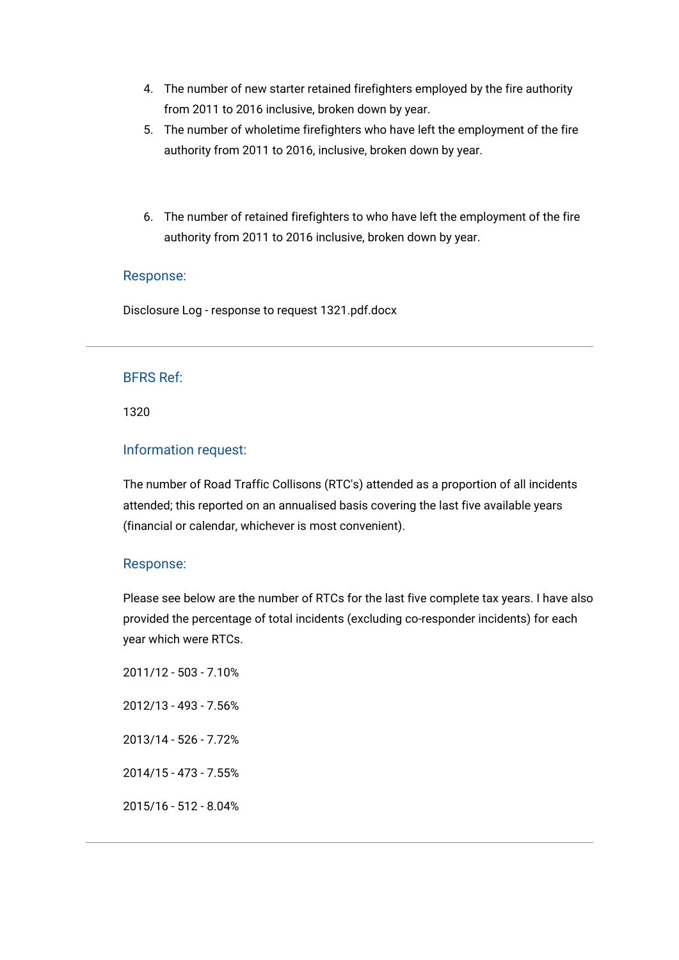- 4. The number of new starter retained firefighters employed by the fire authority from 2011 to 2016 inclusive, broken down by year.
- 5. The number of wholetime firefighters who have left the employment of the fire authority from 2011 to 2016, inclusive, broken down by year.
- 6. The number of retained firefighters to who have left the employment of the fire authority from 2011 to 2016 inclusive, broken down by year.

### Response:

[Disclosure Log - response to request 1321.pdf.docx](https://bucksfire.gov.uk/index.php/download_file/view/2468/1125/)

## BFRS Ref:

1320

## Information request:

The number of Road Traffic Collisons (RTC's) attended as a proportion of all incidents attended; this reported on an annualised basis covering the last five available years (financial or calendar, whichever is most convenient).

## Response:

Please see below are the number of RTCs for the last five complete tax years. I have also provided the percentage of total incidents (excluding co-responder incidents) for each year which were RTCs.

2011/12 - 503 - 7.10% 2012/13 - 493 - 7.56% 2013/14 - 526 - 7.72% 2014/15 - 473 - 7.55% 2015/16 - 512 - 8.04%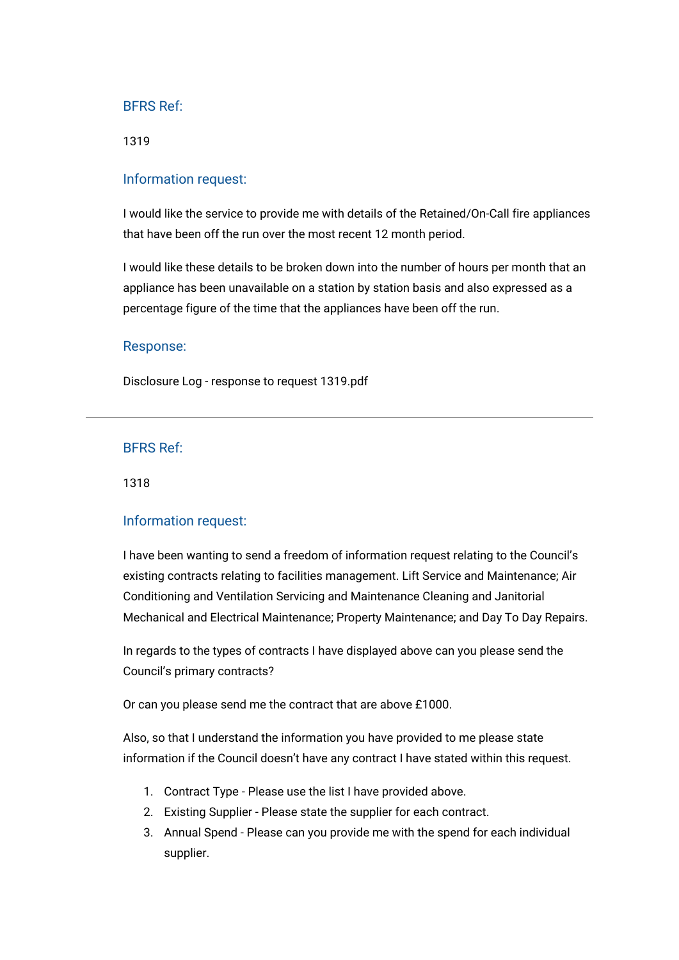1319

### Information request:

I would like the service to provide me with details of the Retained/On-Call fire appliances that have been off the run over the most recent 12 month period.

I would like these details to be broken down into the number of hours per month that an appliance has been unavailable on a station by station basis and also expressed as a percentage figure of the time that the appliances have been off the run.

#### Response:

[Disclosure Log - response to request 1319.pdf](https://bucksfire.gov.uk/index.php/download_file/view/2467/1125/)

#### BFRS Ref:

1318

#### Information request:

I have been wanting to send a freedom of information request relating to the Council's existing contracts relating to facilities management. Lift Service and Maintenance; Air Conditioning and Ventilation Servicing and Maintenance Cleaning and Janitorial Mechanical and Electrical Maintenance; Property Maintenance; and Day To Day Repairs.

In regards to the types of contracts I have displayed above can you please send the Council's primary contracts?

Or can you please send me the contract that are above £1000.

Also, so that I understand the information you have provided to me please state information if the Council doesn't have any contract I have stated within this request.

- 1. Contract Type Please use the list I have provided above.
- 2. Existing Supplier Please state the supplier for each contract.
- 3. Annual Spend Please can you provide me with the spend for each individual supplier.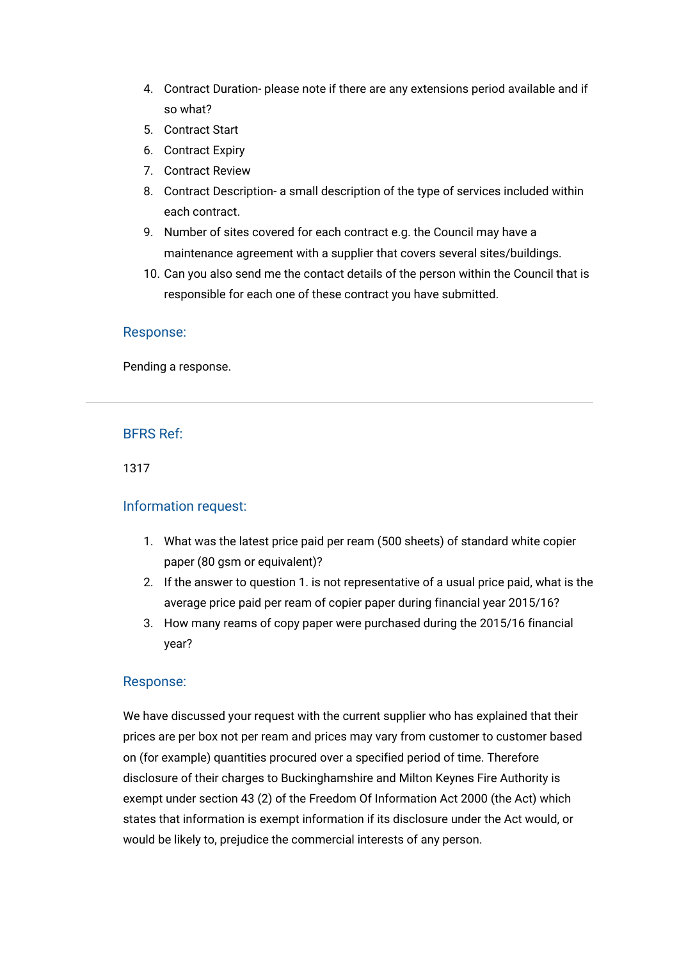- 4. Contract Duration- please note if there are any extensions period available and if so what?
- 5. Contract Start
- 6. Contract Expiry
- 7. Contract Review
- 8. Contract Description- a small description of the type of services included within each contract.
- 9. Number of sites covered for each contract e.g. the Council may have a maintenance agreement with a supplier that covers several sites/buildings.
- 10. Can you also send me the contact details of the person within the Council that is responsible for each one of these contract you have submitted.

#### Response:

Pending a response.

## BFRS Ref:

1317

#### Information request:

- 1. What was the latest price paid per ream (500 sheets) of standard white copier paper (80 gsm or equivalent)?
- 2. If the answer to question 1. is not representative of a usual price paid, what is the average price paid per ream of copier paper during financial year 2015/16?
- 3. How many reams of copy paper were purchased during the 2015/16 financial year?

#### Response:

We have discussed your request with the current supplier who has explained that their prices are per box not per ream and prices may vary from customer to customer based on (for example) quantities procured over a specified period of time. Therefore disclosure of their charges to Buckinghamshire and Milton Keynes Fire Authority is exempt under section 43 (2) of the Freedom Of Information Act 2000 (the Act) which states that information is exempt information if its disclosure under the Act would, or would be likely to, prejudice the commercial interests of any person.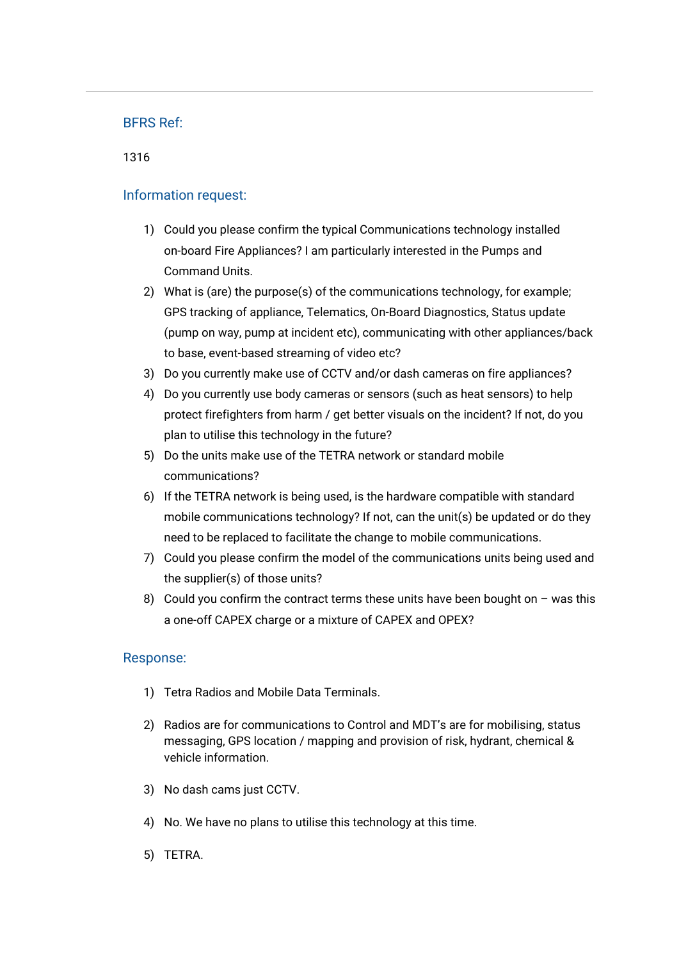## 1316

## Information request:

- 1) Could you please confirm the typical Communications technology installed on-board Fire Appliances? I am particularly interested in the Pumps and Command Units.
- 2) What is (are) the purpose(s) of the communications technology, for example; GPS tracking of appliance, Telematics, On-Board Diagnostics, Status update (pump on way, pump at incident etc), communicating with other appliances/back to base, event-based streaming of video etc?
- 3) Do you currently make use of CCTV and/or dash cameras on fire appliances?
- 4) Do you currently use body cameras or sensors (such as heat sensors) to help protect firefighters from harm / get better visuals on the incident? If not, do you plan to utilise this technology in the future?
- 5) Do the units make use of the TETRA network or standard mobile communications?
- 6) If the TETRA network is being used, is the hardware compatible with standard mobile communications technology? If not, can the unit(s) be updated or do they need to be replaced to facilitate the change to mobile communications.
- 7) Could you please confirm the model of the communications units being used and the supplier(s) of those units?
- 8) Could you confirm the contract terms these units have been bought on  $-$  was this a one-off CAPEX charge or a mixture of CAPEX and OPEX?

## Response:

- 1) Tetra Radios and Mobile Data Terminals.
- 2) Radios are for communications to Control and MDT's are for mobilising, status messaging, GPS location / mapping and provision of risk, hydrant, chemical & vehicle information.
- 3) No dash cams just CCTV.
- 4) No. We have no plans to utilise this technology at this time.
- 5) TETRA.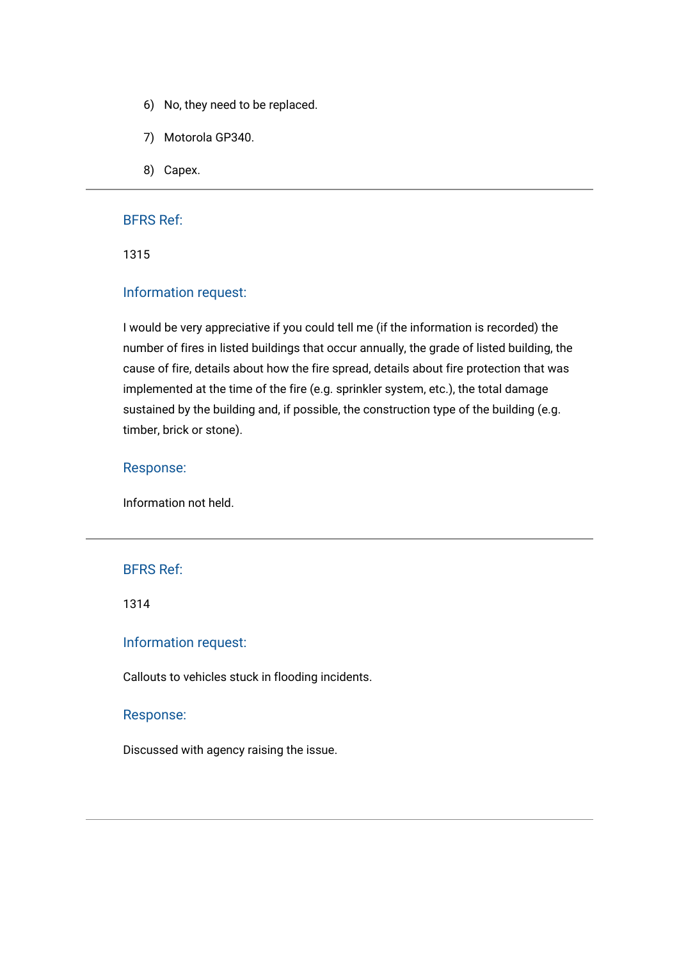- 6) No, they need to be replaced.
- 7) Motorola GP340.
- 8) Capex.

1315

## Information request:

I would be very appreciative if you could tell me (if the information is recorded) the number of fires in listed buildings that occur annually, the grade of listed building, the cause of fire, details about how the fire spread, details about fire protection that was implemented at the time of the fire (e.g. sprinkler system, etc.), the total damage sustained by the building and, if possible, the construction type of the building (e.g. timber, brick or stone).

#### Response:

Information not held.

### BFRS Ref:

1314

### Information request:

Callouts to vehicles stuck in flooding incidents.

#### Response:

Discussed with agency raising the issue.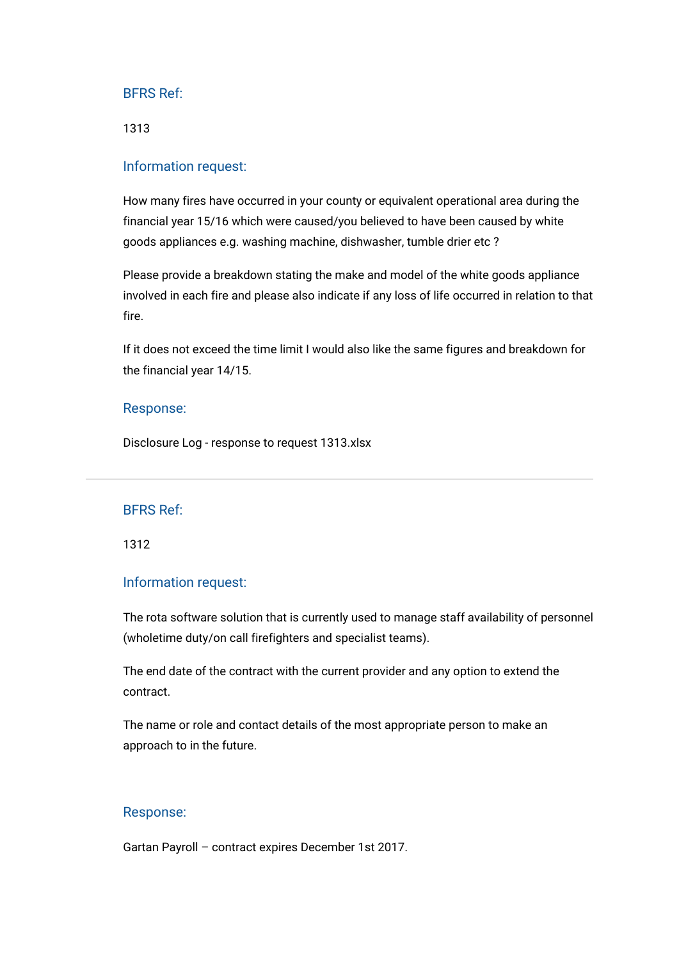1313

## Information request:

How many fires have occurred in your county or equivalent operational area during the financial year 15/16 which were caused/you believed to have been caused by white goods appliances e.g. washing machine, dishwasher, tumble drier etc ?

Please provide a breakdown stating the make and model of the white goods appliance involved in each fire and please also indicate if any loss of life occurred in relation to that fire.

If it does not exceed the time limit I would also like the same figures and breakdown for the financial year 14/15.

#### Response:

[Disclosure Log - response to request 1313.xlsx](https://bucksfire.gov.uk/index.php/download_file/view/2466/1125/)

#### BFRS Ref:

1312

#### Information request:

The rota software solution that is currently used to manage staff availability of personnel (wholetime duty/on call firefighters and specialist teams).

The end date of the contract with the current provider and any option to extend the contract.

The name or role and contact details of the most appropriate person to make an approach to in the future.

#### Response:

Gartan Payroll – contract expires December 1st 2017.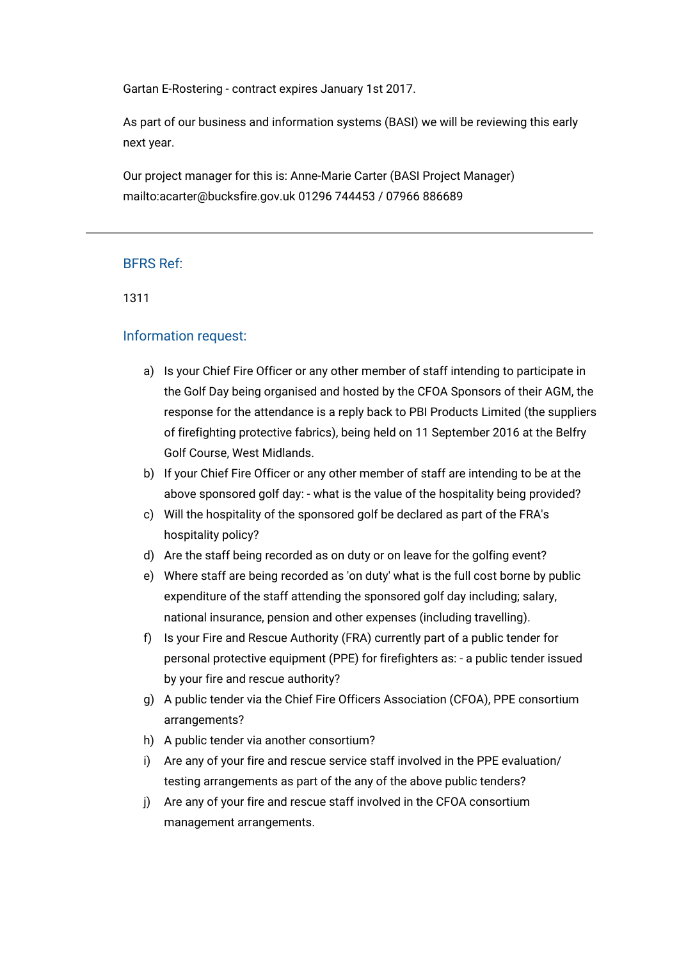Gartan E-Rostering - contract expires January 1st 2017.

As part of our business and information systems (BASI) we will be reviewing this early next year.

Our project manager for this is: Anne-Marie Carter (BASI Project Manager) mailto:acarter@bucksfire.gov.uk 01296 744453 / 07966 886689

## BFRS Ref:

1311

## Information request:

- a) Is your Chief Fire Officer or any other member of staff intending to participate in the Golf Day being organised and hosted by the CFOA Sponsors of their AGM, the response for the attendance is a reply back to PBI Products Limited (the suppliers of firefighting protective fabrics), being held on 11 September 2016 at the Belfry Golf Course, West Midlands.
- b) If your Chief Fire Officer or any other member of staff are intending to be at the above sponsored golf day: - what is the value of the hospitality being provided?
- c) Will the hospitality of the sponsored golf be declared as part of the FRA's hospitality policy?
- d) Are the staff being recorded as on duty or on leave for the golfing event?
- e) Where staff are being recorded as 'on duty' what is the full cost borne by public expenditure of the staff attending the sponsored golf day including; salary, national insurance, pension and other expenses (including travelling).
- f) Is your Fire and Rescue Authority (FRA) currently part of a public tender for personal protective equipment (PPE) for firefighters as: - a public tender issued by your fire and rescue authority?
- g) A public tender via the Chief Fire Officers Association (CFOA), PPE consortium arrangements?
- h) A public tender via another consortium?
- i) Are any of your fire and rescue service staff involved in the PPE evaluation/ testing arrangements as part of the any of the above public tenders?
- j) Are any of your fire and rescue staff involved in the CFOA consortium management arrangements.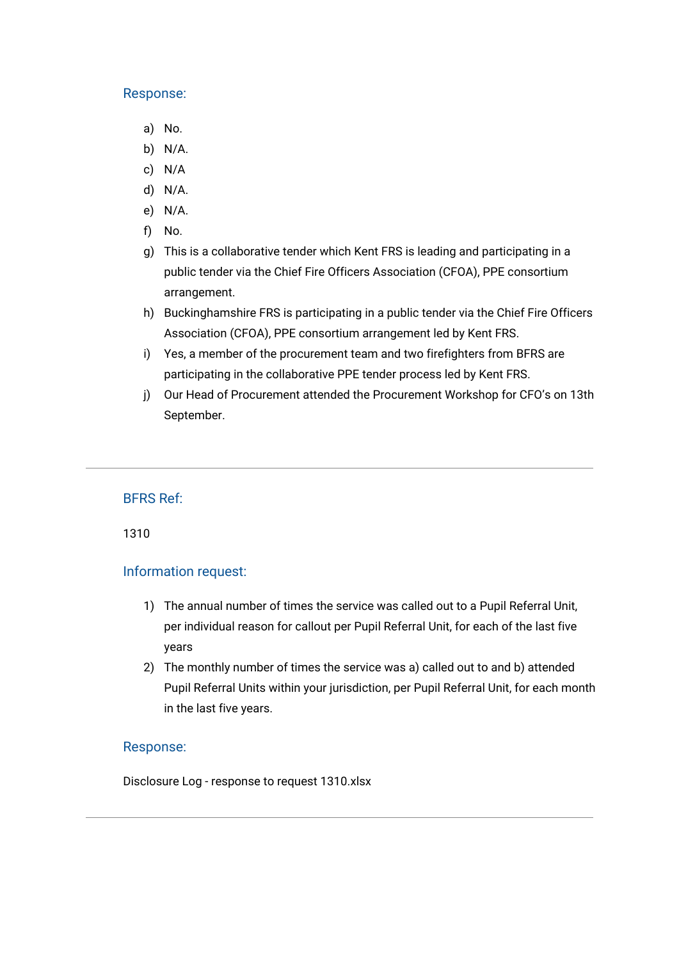### Response:

- a) No.
- b) N/A.
- c) N/A
- d) N/A.
- e) N/A.
- f) No.
- g) This is a collaborative tender which Kent FRS is leading and participating in a public tender via the Chief Fire Officers Association (CFOA), PPE consortium arrangement.
- h) Buckinghamshire FRS is participating in a public tender via the Chief Fire Officers Association (CFOA), PPE consortium arrangement led by Kent FRS.
- i) Yes, a member of the procurement team and two firefighters from BFRS are participating in the collaborative PPE tender process led by Kent FRS.
- j) Our Head of Procurement attended the Procurement Workshop for CFO's on 13th September.

## BFRS Ref:

1310

## Information request:

- 1) The annual number of times the service was called out to a Pupil Referral Unit, per individual reason for callout per Pupil Referral Unit, for each of the last five years
- 2) The monthly number of times the service was a) called out to and b) attended Pupil Referral Units within your jurisdiction, per Pupil Referral Unit, for each month in the last five years.

### Response:

[Disclosure Log - response to request 1310.xlsx](https://bucksfire.gov.uk/index.php/download_file/view/2464/1125/)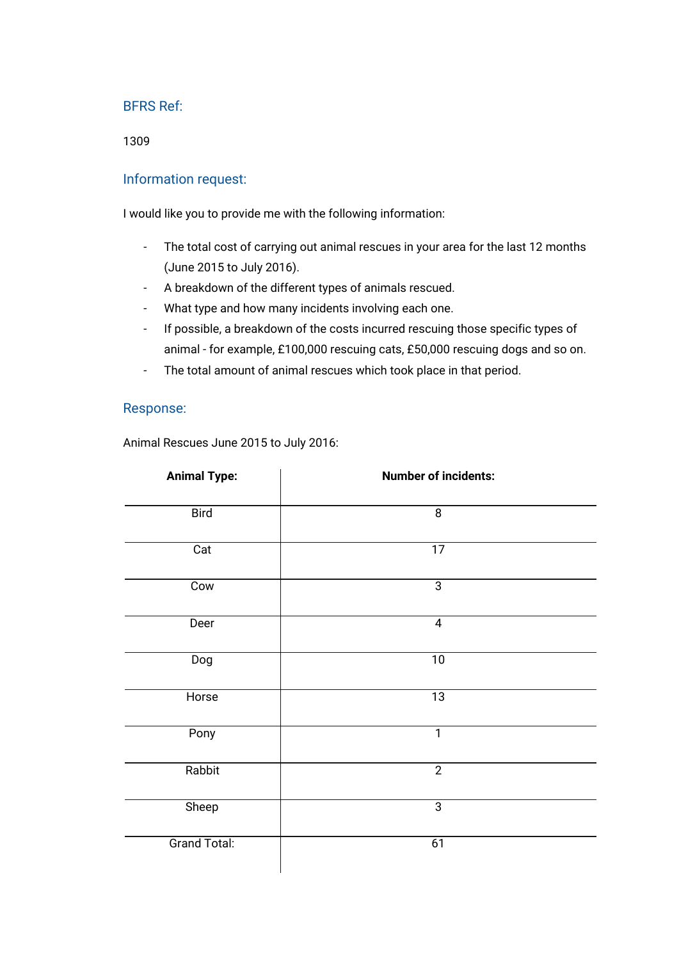1309

## Information request:

I would like you to provide me with the following information:

- The total cost of carrying out animal rescues in your area for the last 12 months (June 2015 to July 2016).
- A breakdown of the different types of animals rescued.
- What type and how many incidents involving each one.
- If possible, a breakdown of the costs incurred rescuing those specific types of animal - for example, £100,000 rescuing cats, £50,000 rescuing dogs and so on.
- The total amount of animal rescues which took place in that period.

### Response:

Animal Rescues June 2015 to July 2016:

| <b>Animal Type:</b> | <b>Number of incidents:</b> |  |
|---------------------|-----------------------------|--|
| <b>Bird</b>         | $\overline{8}$              |  |
| Cat                 | $\overline{17}$             |  |
| Cow                 | $\overline{3}$              |  |
| Deer                | $\overline{4}$              |  |
| Dog                 | $\overline{10}$             |  |
| Horse               | $\overline{13}$             |  |
| Pony                | $\overline{1}$              |  |
| Rabbit              | $\overline{2}$              |  |
| Sheep               | $\overline{3}$              |  |
| <b>Grand Total:</b> | 61                          |  |
|                     |                             |  |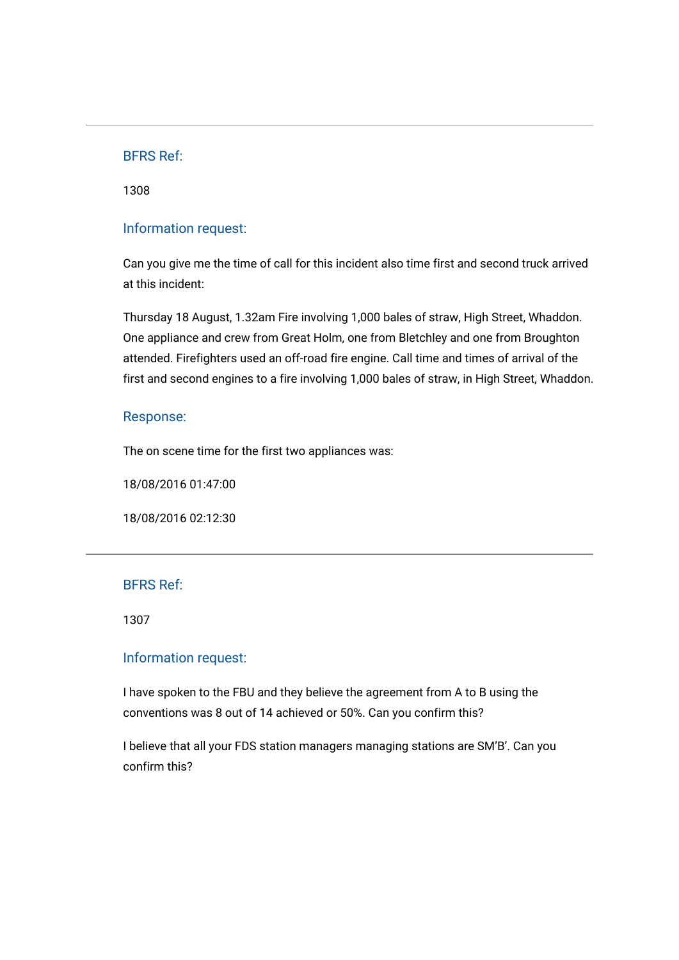1308

## Information request:

Can you give me the time of call for this incident also time first and second truck arrived at this incident:

Thursday 18 August, 1.32am Fire involving 1,000 bales of straw, High Street, Whaddon. One appliance and crew from Great Holm, one from Bletchley and one from Broughton attended. Firefighters used an off-road fire engine. Call time and times of arrival of the first and second engines to a fire involving 1,000 bales of straw, in High Street, Whaddon.

#### Response:

The on scene time for the first two appliances was:

18/08/2016 01:47:00

18/08/2016 02:12:30

#### BFRS Ref:

1307

### Information request:

I have spoken to the FBU and they believe the agreement from A to B using the conventions was 8 out of 14 achieved or 50%. Can you confirm this?

I believe that all your FDS station managers managing stations are SM'B'. Can you confirm this?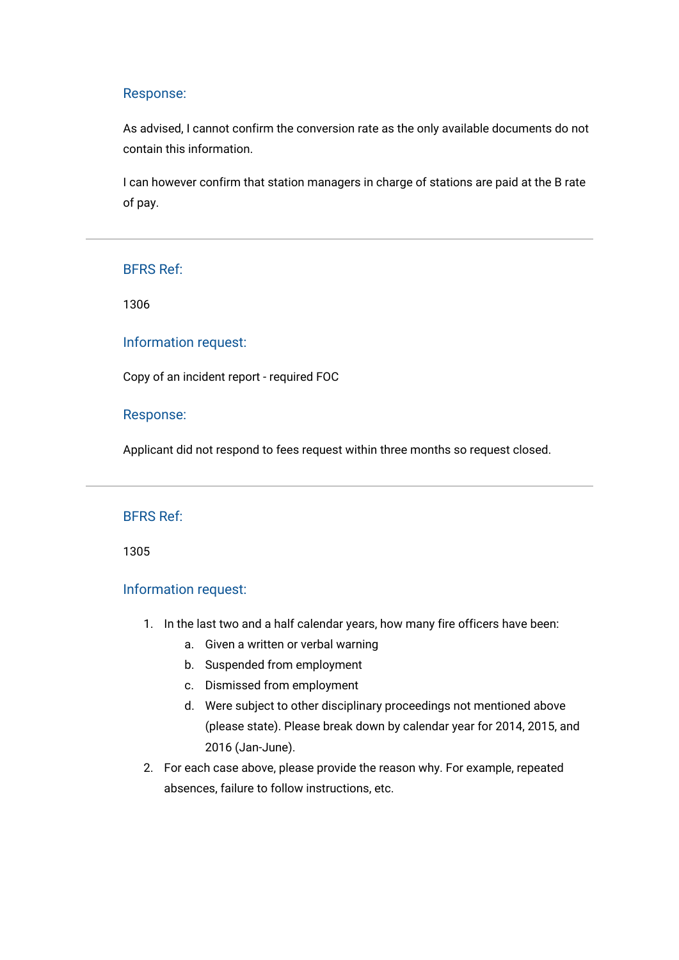#### Response:

As advised, I cannot confirm the conversion rate as the only available documents do not contain this information.

I can however confirm that station managers in charge of stations are paid at the B rate of pay.

### BFRS Ref:

1306

#### Information request:

Copy of an incident report - required FOC

### Response:

Applicant did not respond to fees request within three months so request closed.

## BFRS Ref:

1305

#### Information request:

- 1. In the last two and a half calendar years, how many fire officers have been:
	- a. Given a written or verbal warning
	- b. Suspended from employment
	- c. Dismissed from employment
	- d. Were subject to other disciplinary proceedings not mentioned above (please state). Please break down by calendar year for 2014, 2015, and 2016 (Jan-June).
- 2. For each case above, please provide the reason why. For example, repeated absences, failure to follow instructions, etc.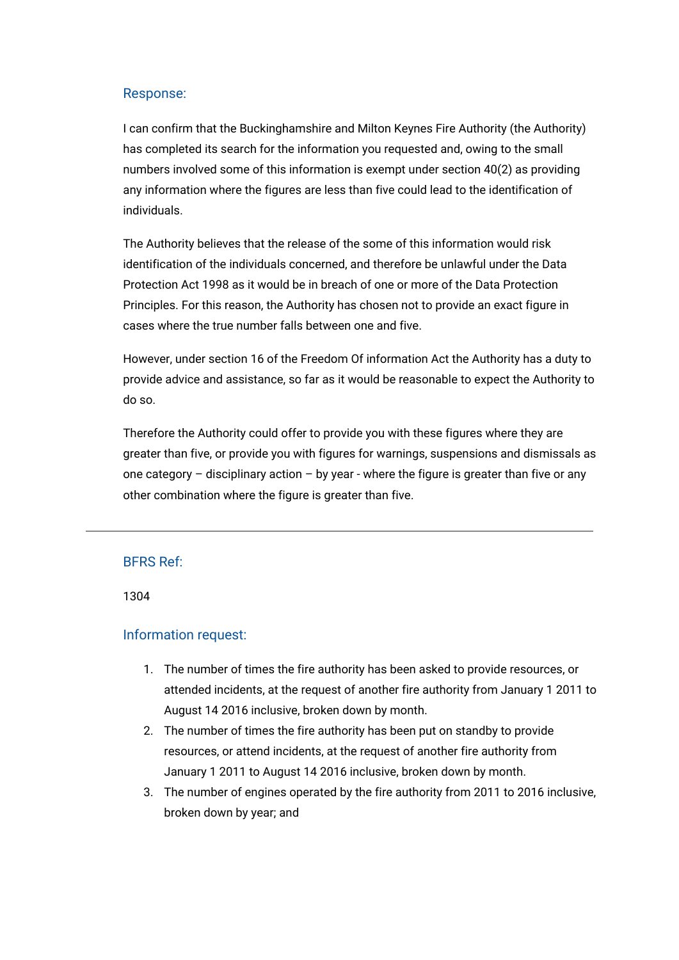## Response:

I can confirm that the Buckinghamshire and Milton Keynes Fire Authority (the Authority) has completed its search for the information you requested and, owing to the small numbers involved some of this information is exempt under section 40(2) as providing any information where the figures are less than five could lead to the identification of individuals.

The Authority believes that the release of the some of this information would risk identification of the individuals concerned, and therefore be unlawful under the Data Protection Act 1998 as it would be in breach of one or more of the Data Protection Principles. For this reason, the Authority has chosen not to provide an exact figure in cases where the true number falls between one and five.

However, under section 16 of the Freedom Of information Act the Authority has a duty to provide advice and assistance, so far as it would be reasonable to expect the Authority to do so.

Therefore the Authority could offer to provide you with these figures where they are greater than five, or provide you with figures for warnings, suspensions and dismissals as one category – disciplinary action – by year - where the figure is greater than five or any other combination where the figure is greater than five.

## BFRS Ref:

1304

## Information request:

- 1. The number of times the fire authority has been asked to provide resources, or attended incidents, at the request of another fire authority from January 1 2011 to August 14 2016 inclusive, broken down by month.
- 2. The number of times the fire authority has been put on standby to provide resources, or attend incidents, at the request of another fire authority from January 1 2011 to August 14 2016 inclusive, broken down by month.
- 3. The number of engines operated by the fire authority from 2011 to 2016 inclusive, broken down by year; and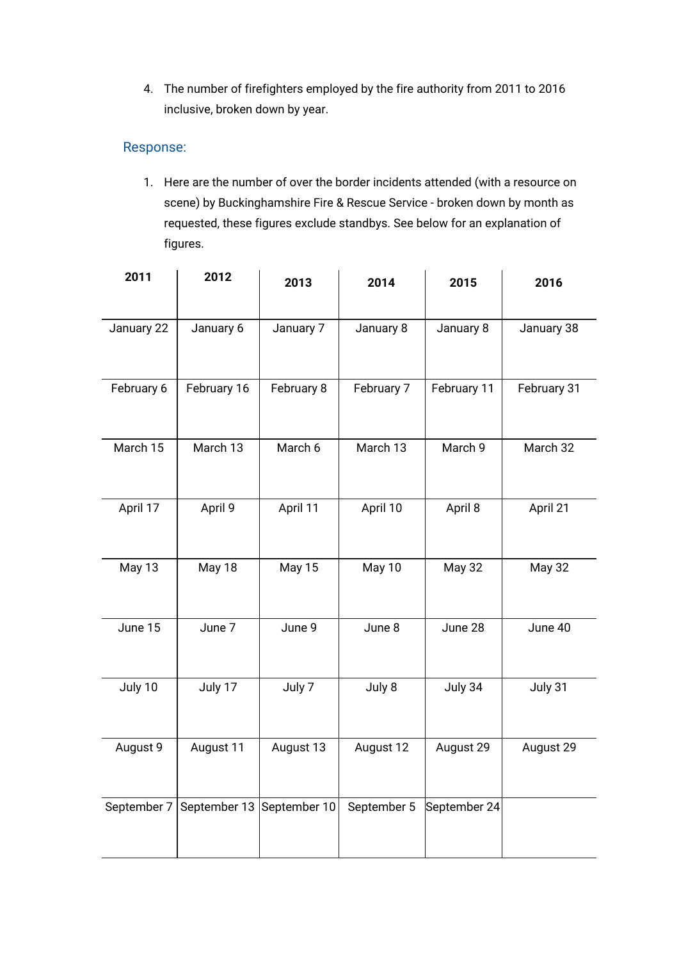4. The number of firefighters employed by the fire authority from 2011 to 2016 inclusive, broken down by year.

# Response:

1. Here are the number of over the border incidents attended (with a resource on scene) by Buckinghamshire Fire & Rescue Service - broken down by month as requested, these figures exclude standbys. See below for an explanation of figures.

| 2011        | 2012         | 2013          | 2014        | 2015          | 2016          |
|-------------|--------------|---------------|-------------|---------------|---------------|
|             |              |               |             |               |               |
| January 22  | January 6    | January 7     | January 8   | January 8     | January 38    |
| February 6  | February 16  | February 8    | February 7  | February 11   | February 31   |
| March 15    | March 13     | March 6       | March 13    | March 9       | March 32      |
| April 17    | April 9      | April 11      | April 10    | April 8       | April 21      |
| May 13      | May 18       | <b>May 15</b> | May 10      | <b>May 32</b> | <b>May 32</b> |
| June 15     | June 7       | June 9        | June 8      | June 28       | June 40       |
| July 10     | July 17      | July 7        | July 8      | July 34       | July 31       |
| August 9    | August 11    | August 13     | August 12   | August 29     | August 29     |
| September 7 | September 13 | September 10  | September 5 | September 24  |               |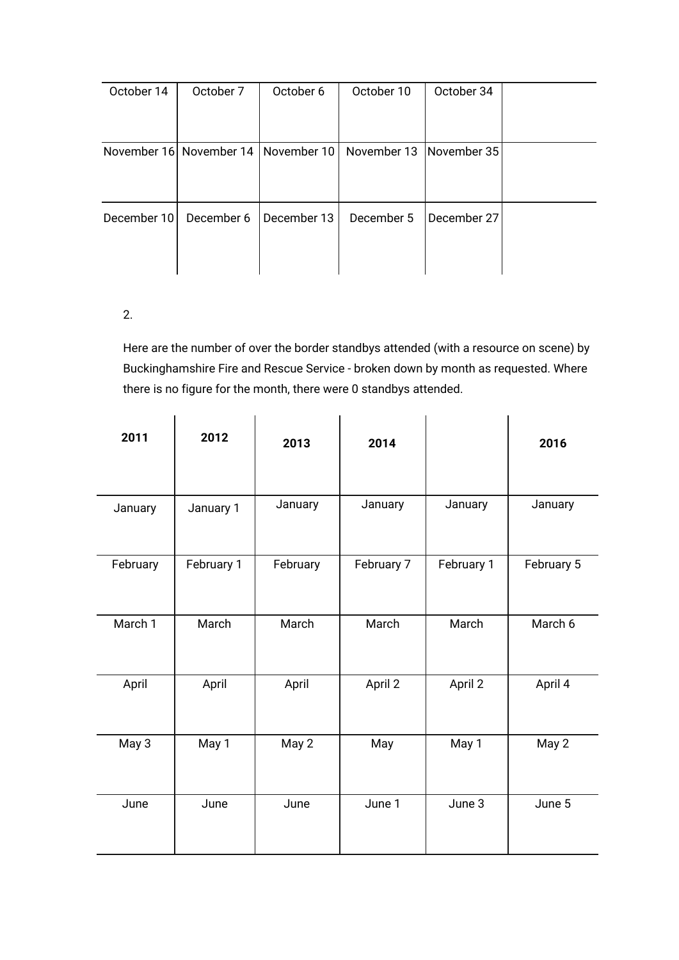| October 14  | October 7                             | October 6   | October 10                | October 34  |  |
|-------------|---------------------------------------|-------------|---------------------------|-------------|--|
|             |                                       |             |                           |             |  |
|             | November 16 November 14   November 10 |             | November 13   November 35 |             |  |
|             |                                       |             |                           |             |  |
| December 10 | December 6                            | December 13 | December 5                | December 27 |  |
|             |                                       |             |                           |             |  |
|             |                                       |             |                           |             |  |

# 2.

Here are the number of over the border standbys attended (with a resource on scene) by Buckinghamshire Fire and Rescue Service - broken down by month as requested. Where there is no figure for the month, there were 0 standbys attended.

| 2011     | 2012       | 2013     | 2014       |            | 2016       |
|----------|------------|----------|------------|------------|------------|
| January  | January 1  | January  | January    | January    | January    |
| February | February 1 | February | February 7 | February 1 | February 5 |
| March 1  | March      | March    | March      | March      | March 6    |
| April    | April      | April    | April 2    | April 2    | April 4    |
| May 3    | May 1      | May 2    | May        | May 1      | May 2      |
| June     | June       | June     | June 1     | June 3     | June 5     |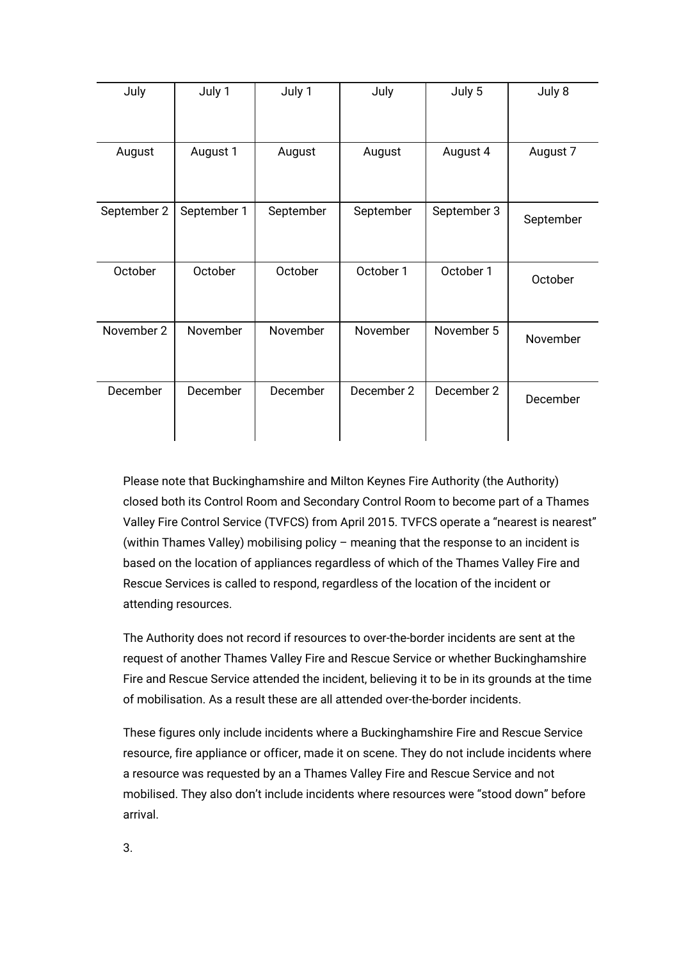| July        | July 1      | July 1    | July       | July 5      | July 8    |
|-------------|-------------|-----------|------------|-------------|-----------|
| August      | August 1    | August    | August     | August 4    | August 7  |
| September 2 | September 1 | September | September  | September 3 | September |
| October     | October     | October   | October 1  | October 1   | October   |
| November 2  | November    | November  | November   | November 5  | November  |
| December    | December    | December  | December 2 | December 2  | December  |

Please note that Buckinghamshire and Milton Keynes Fire Authority (the Authority) closed both its Control Room and Secondary Control Room to become part of a Thames Valley Fire Control Service (TVFCS) from April 2015. TVFCS operate a "nearest is nearest" (within Thames Valley) mobilising policy – meaning that the response to an incident is based on the location of appliances regardless of which of the Thames Valley Fire and Rescue Services is called to respond, regardless of the location of the incident or attending resources.

The Authority does not record if resources to over-the-border incidents are sent at the request of another Thames Valley Fire and Rescue Service or whether Buckinghamshire Fire and Rescue Service attended the incident, believing it to be in its grounds at the time of mobilisation. As a result these are all attended over-the-border incidents.

These figures only include incidents where a Buckinghamshire Fire and Rescue Service resource, fire appliance or officer, made it on scene. They do not include incidents where a resource was requested by an a Thames Valley Fire and Rescue Service and not mobilised. They also don't include incidents where resources were "stood down" before arrival.

3.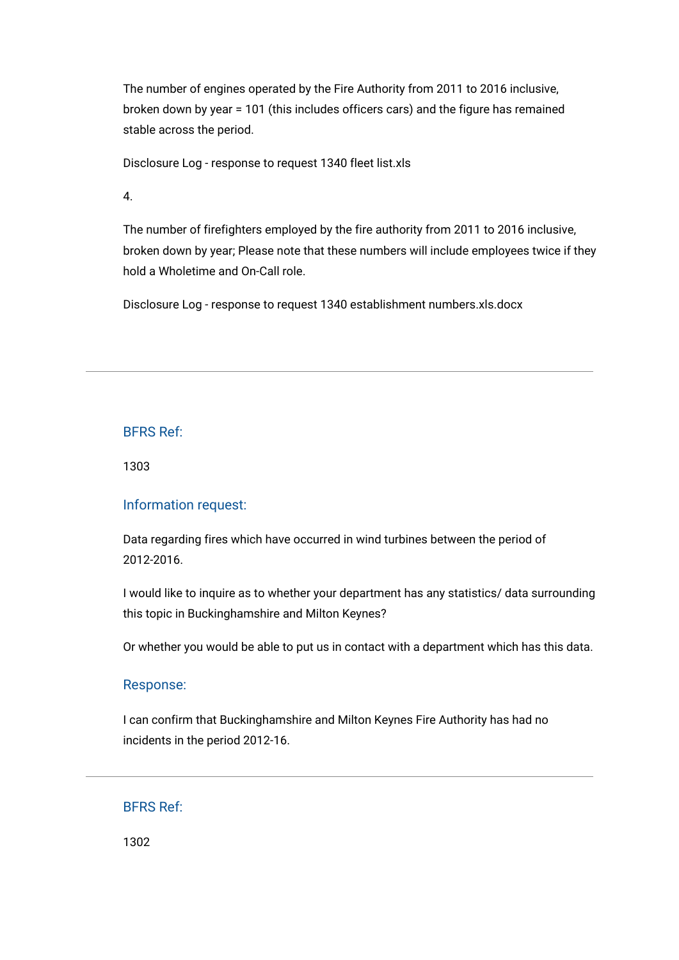The number of engines operated by the Fire Authority from 2011 to 2016 inclusive, broken down by year = 101 (this includes officers cars) and the figure has remained stable across the period.

[Disclosure Log - response to request 1340 fleet list.xls](https://bucksfire.gov.uk/index.php/download_file/view/2462/1125/)

4.

The number of firefighters employed by the fire authority from 2011 to 2016 inclusive, broken down by year; Please note that these numbers will include employees twice if they hold a Wholetime and On-Call role.

[Disclosure Log - response to request 1340 establishment numbers.xls.docx](https://bucksfire.gov.uk/index.php/download_file/view/2463/1125/)

### BFRS Ref:

1303

#### Information request:

Data regarding fires which have occurred in wind turbines between the period of 2012-2016.

I would like to inquire as to whether your department has any statistics/ data surrounding this topic in Buckinghamshire and Milton Keynes?

Or whether you would be able to put us in contact with a department which has this data.

#### Response:

I can confirm that Buckinghamshire and Milton Keynes Fire Authority has had no incidents in the period 2012-16.

## BFRS Ref:

1302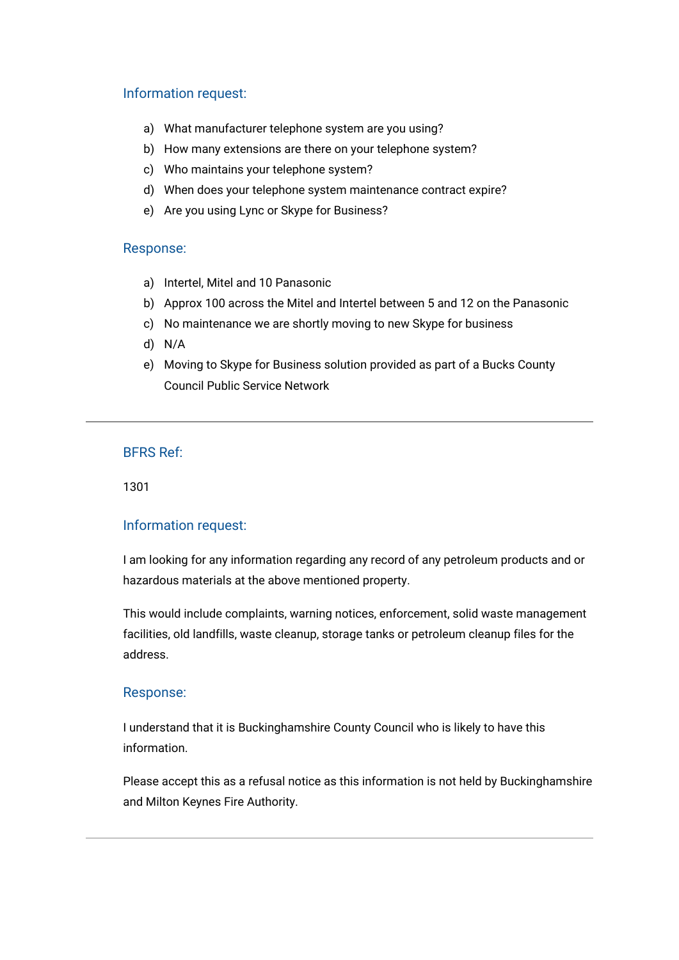## Information request:

- a) What manufacturer telephone system are you using?
- b) How many extensions are there on your telephone system?
- c) Who maintains your telephone system?
- d) When does your telephone system maintenance contract expire?
- e) Are you using Lync or Skype for Business?

### Response:

- a) Intertel, Mitel and 10 Panasonic
- b) Approx 100 across the Mitel and Intertel between 5 and 12 on the Panasonic
- c) No maintenance we are shortly moving to new Skype for business
- d) N/A
- e) Moving to Skype for Business solution provided as part of a Bucks County Council Public Service Network

## BFRS Ref:

1301

## Information request:

I am looking for any information regarding any record of any petroleum products and or hazardous materials at the above mentioned property.

This would include complaints, warning notices, enforcement, solid waste management facilities, old landfills, waste cleanup, storage tanks or petroleum cleanup files for the address.

## Response:

I understand that it is Buckinghamshire County Council who is likely to have this information.

Please accept this as a refusal notice as this information is not held by Buckinghamshire and Milton Keynes Fire Authority.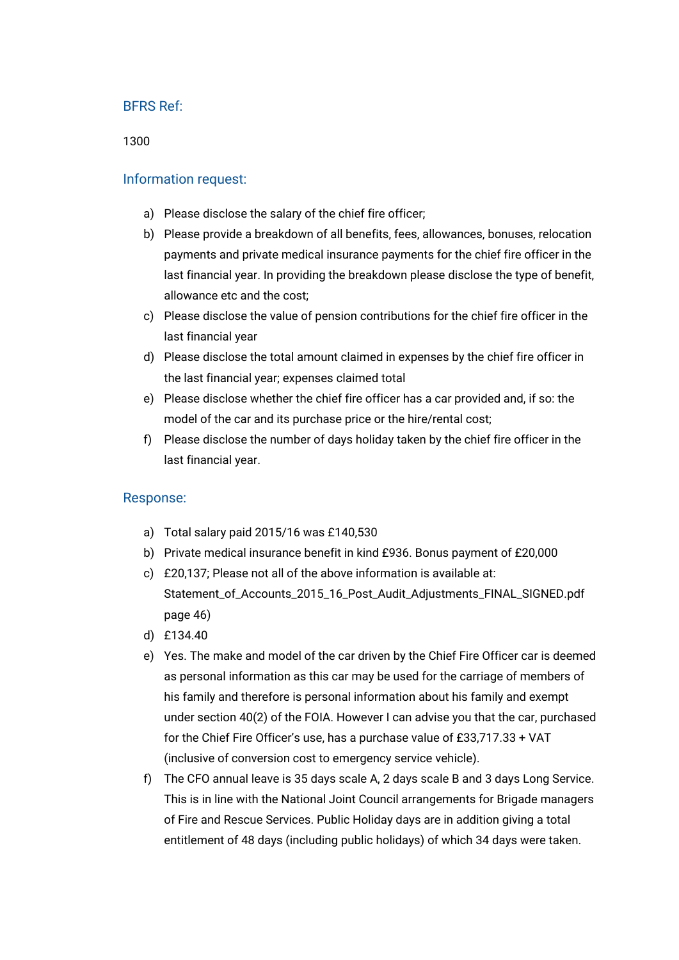1300

## Information request:

- a) Please disclose the salary of the chief fire officer;
- b) Please provide a breakdown of all benefits, fees, allowances, bonuses, relocation payments and private medical insurance payments for the chief fire officer in the last financial year. In providing the breakdown please disclose the type of benefit, allowance etc and the cost;
- c) Please disclose the value of pension contributions for the chief fire officer in the last financial year
- d) Please disclose the total amount claimed in expenses by the chief fire officer in the last financial year; expenses claimed total
- e) Please disclose whether the chief fire officer has a car provided and, if so: the model of the car and its purchase price or the hire/rental cost;
- f) Please disclose the number of days holiday taken by the chief fire officer in the last financial year.

## Response:

- a) Total salary paid 2015/16 was £140,530
- b) Private medical insurance benefit in kind £936. Bonus payment of £20,000
- c) £20,137; Please not all of the above information is available at: [Statement\\_of\\_Accounts\\_2015\\_16\\_Post\\_Audit\\_Adjustments\\_FINAL\\_SIGNED.pdf](https://bucksfire.gov.uk/files/3114/7014/8721/Statement_of_Accounts_2015_16_Post_Audit_Adjustments_FINAL_SIGNED.pdf) page 46)
- d) £134.40
- e) Yes. The make and model of the car driven by the Chief Fire Officer car is deemed as personal information as this car may be used for the carriage of members of his family and therefore is personal information about his family and exempt under section 40(2) of the FOIA. However I can advise you that the car, purchased for the Chief Fire Officer's use, has a purchase value of £33,717.33 + VAT (inclusive of conversion cost to emergency service vehicle).
- f) The CFO annual leave is 35 days scale A, 2 days scale B and 3 days Long Service. This is in line with the National Joint Council arrangements for Brigade managers of Fire and Rescue Services. Public Holiday days are in addition giving a total entitlement of 48 days (including public holidays) of which 34 days were taken.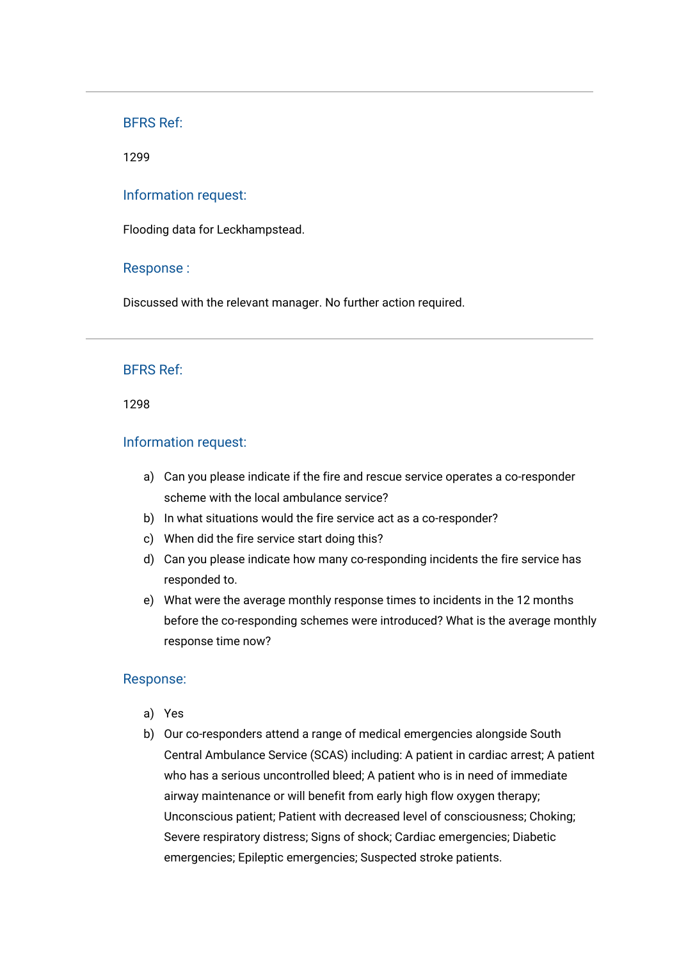1299

### Information request:

Flooding data for Leckhampstead.

#### Response :

Discussed with the relevant manager. No further action required.

### BFRS Ref:

1298

## Information request:

- a) Can you please indicate if the fire and rescue service operates a co-responder scheme with the local ambulance service?
- b) In what situations would the fire service act as a co-responder?
- c) When did the fire service start doing this?
- d) Can you please indicate how many co-responding incidents the fire service has responded to.
- e) What were the average monthly response times to incidents in the 12 months before the co-responding schemes were introduced? What is the average monthly response time now?

## Response:

- a) Yes
- b) Our co-responders attend a range of medical emergencies alongside South Central Ambulance Service (SCAS) including: A patient in cardiac arrest; A patient who has a serious uncontrolled bleed; A patient who is in need of immediate airway maintenance or will benefit from early high flow oxygen therapy; Unconscious patient; Patient with decreased level of consciousness; Choking; Severe respiratory distress; Signs of shock; Cardiac emergencies; Diabetic emergencies; Epileptic emergencies; Suspected stroke patients.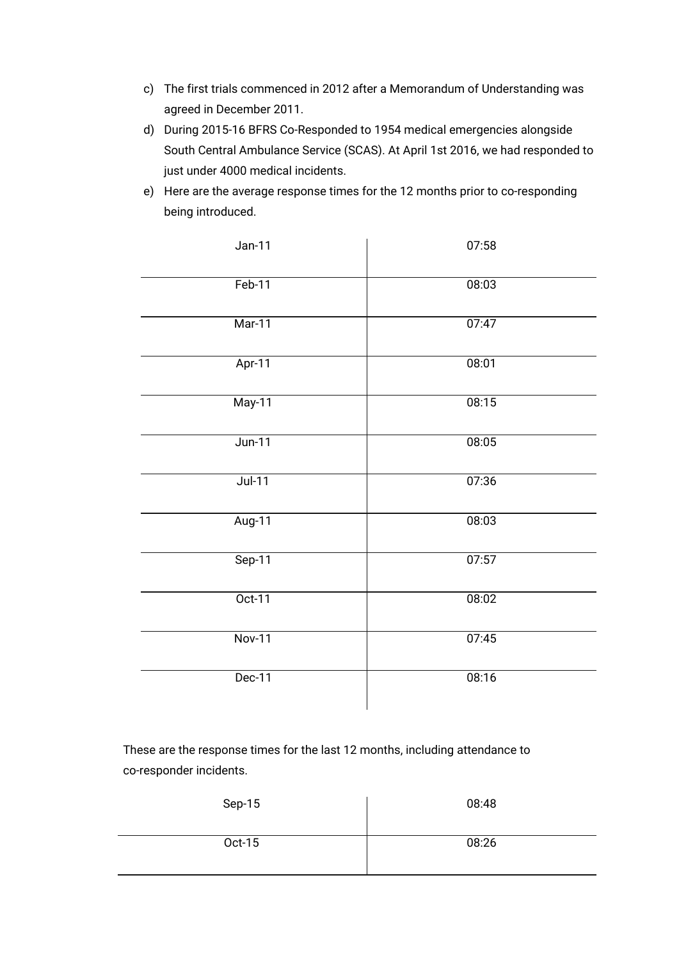- c) The first trials commenced in 2012 after a Memorandum of Understanding was agreed in December 2011.
- d) During 2015-16 BFRS Co-Responded to 1954 medical emergencies alongside South Central Ambulance Service (SCAS). At April 1st 2016, we had responded to just under 4000 medical incidents.
- e) Here are the average response times for the 12 months prior to co-responding being introduced.

| $Jan-11$      | 07:58 |
|---------------|-------|
| $Feb-11$      | 08:03 |
| $Mar-11$      | 07:47 |
| Apr-11        | 08:01 |
| $May-11$      | 08:15 |
| $Jun-11$      | 08:05 |
| $Jul-11$      | 07:36 |
| Aug-11        | 08:03 |
| $Sep-11$      | 07:57 |
| $Oct-11$      | 08:02 |
| <b>Nov-11</b> | 07:45 |
| $Dec-11$      | 08:16 |

These are the response times for the last 12 months, including attendance to co-responder incidents.

| Sep-15 | 08:48 |
|--------|-------|
| Oct-15 | 08:26 |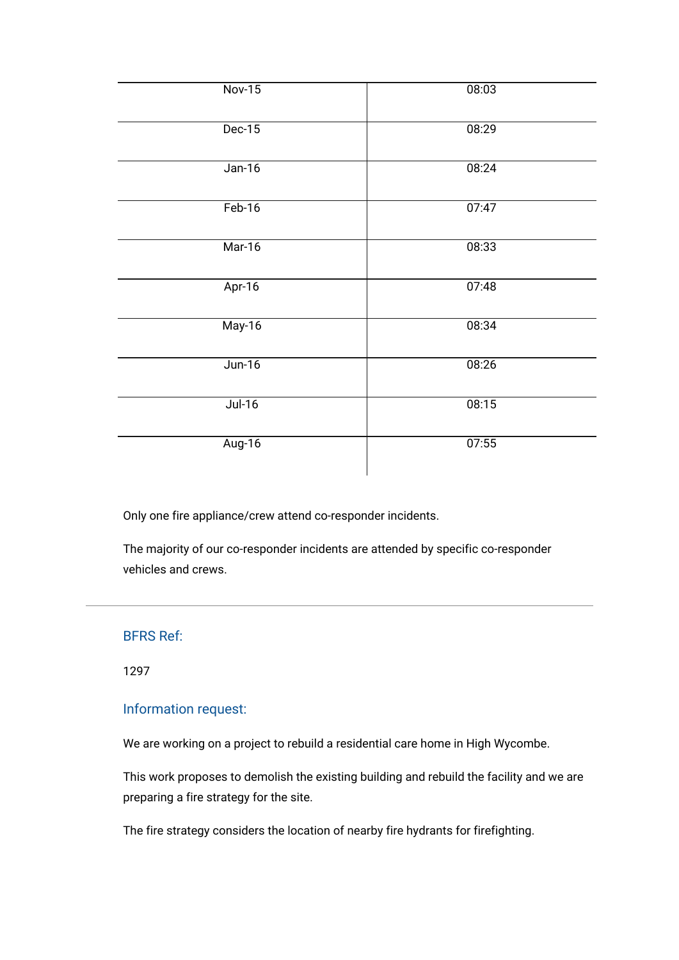| $Nov-15$ | 08:03 |
|----------|-------|
| $Dec-15$ | 08:29 |
| $Jan-16$ | 08:24 |
| $Feb-16$ | 07:47 |
| Mar-16   | 08:33 |
| Apr-16   | 07:48 |
| May-16   | 08:34 |
| $Jun-16$ | 08:26 |
| $Jul-16$ | 08:15 |
| Aug-16   | 07:55 |

Only one fire appliance/crew attend co-responder incidents.

The majority of our co-responder incidents are attended by specific co-responder vehicles and crews.

## BFRS Ref:

1297

# Information request:

We are working on a project to rebuild a residential care home in High Wycombe.

This work proposes to demolish the existing building and rebuild the facility and we are preparing a fire strategy for the site.

The fire strategy considers the location of nearby fire hydrants for firefighting.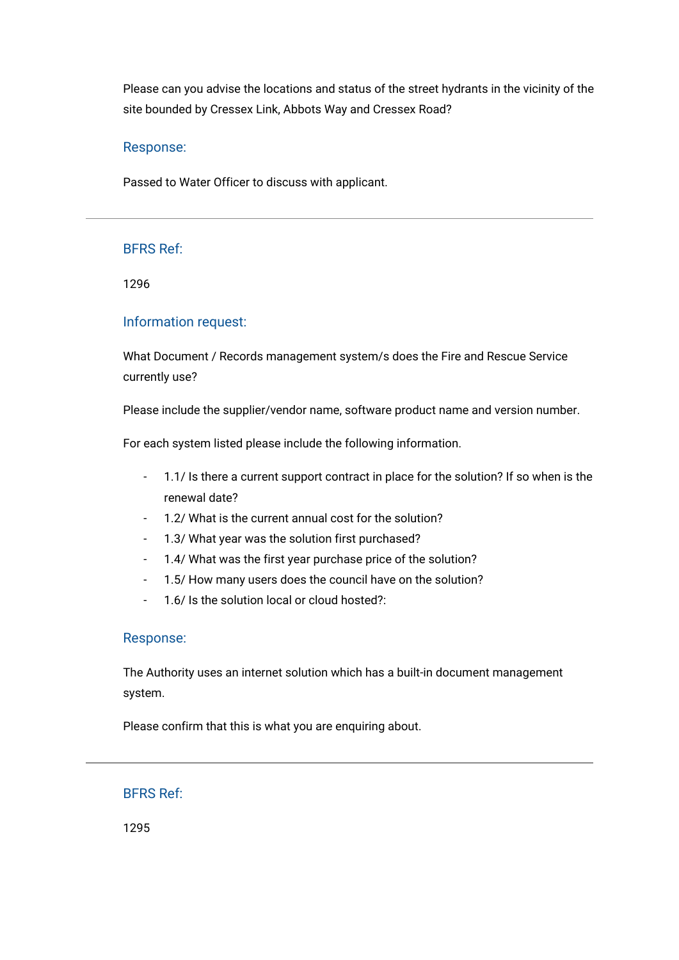Please can you advise the locations and status of the street hydrants in the vicinity of the site bounded by Cressex Link, Abbots Way and Cressex Road?

## Response:

Passed to Water Officer to discuss with applicant.

# BFRS Ref:

1296

## Information request:

What Document / Records management system/s does the Fire and Rescue Service currently use?

Please include the supplier/vendor name, software product name and version number.

For each system listed please include the following information.

- 1.1/ Is there a current support contract in place for the solution? If so when is the renewal date?
- 1.2/ What is the current annual cost for the solution?
- 1.3/ What year was the solution first purchased?
- 1.4/ What was the first year purchase price of the solution?
- 1.5/ How many users does the council have on the solution?
- 1.6/ Is the solution local or cloud hosted?:

## Response:

The Authority uses an internet solution which has a built-in document management system.

Please confirm that this is what you are enquiring about.

BFRS Ref:

1295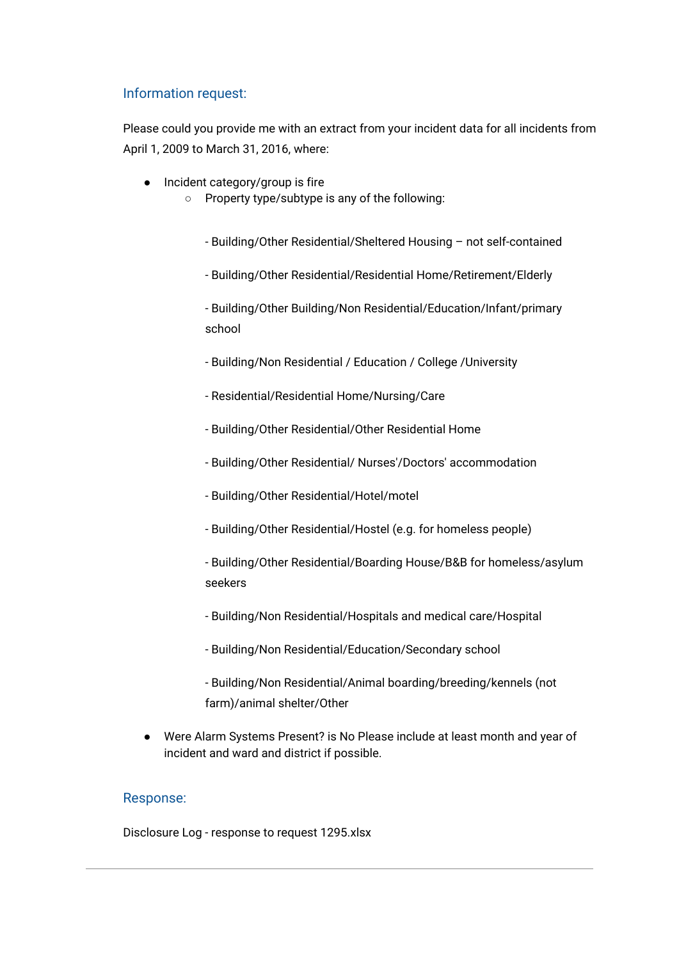# Information request:

Please could you provide me with an extract from your incident data for all incidents from April 1, 2009 to March 31, 2016, where:

- Incident category/group is fire
	- Property type/subtype is any of the following:
		- Building/Other Residential/Sheltered Housing not self-contained
		- Building/Other Residential/Residential Home/Retirement/Elderly

- Building/Other Building/Non Residential/Education/Infant/primary school

- Building/Non Residential / Education / College /University
- Residential/Residential Home/Nursing/Care
- Building/Other Residential/Other Residential Home
- Building/Other Residential/ Nurses'/Doctors' accommodation
- Building/Other Residential/Hotel/motel
- Building/Other Residential/Hostel (e.g. for homeless people)
- Building/Other Residential/Boarding House/B&B for homeless/asylum seekers
- Building/Non Residential/Hospitals and medical care/Hospital
- Building/Non Residential/Education/Secondary school

- Building/Non Residential/Animal boarding/breeding/kennels (not farm)/animal shelter/Other

● Were Alarm Systems Present? is No Please include at least month and year of incident and ward and district if possible.

#### Response:

[Disclosure Log - response to request 1295.xlsx](https://bucksfire.gov.uk/index.php/download_file/view/2361/1125/)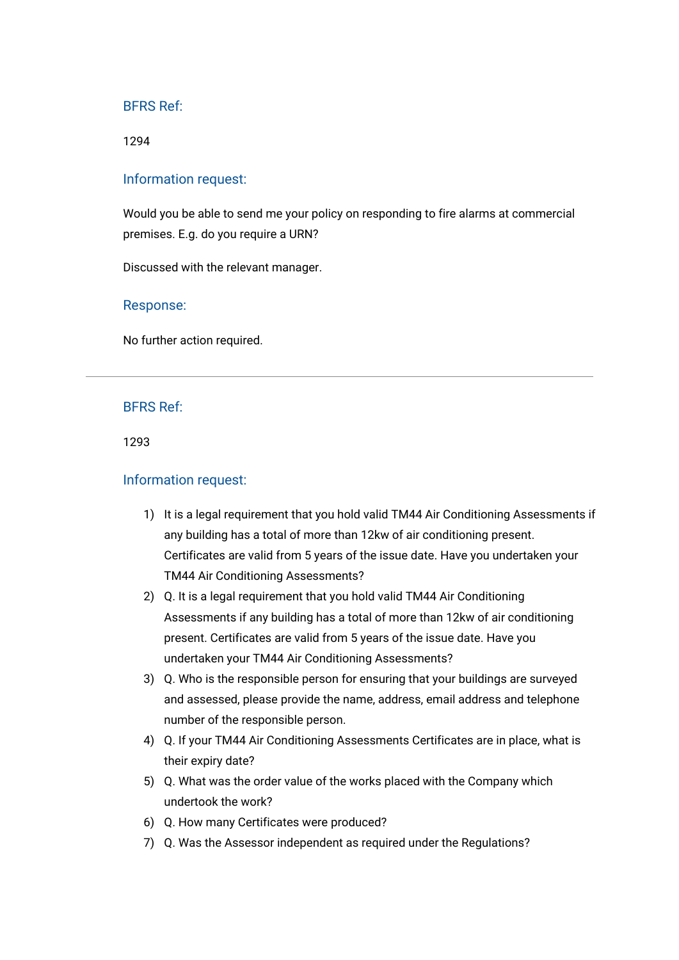#### 1294

#### Information request:

Would you be able to send me your policy on responding to fire alarms at commercial premises. E.g. do you require a URN?

Discussed with the relevant manager.

#### Response:

No further action required.

#### BFRS Ref:

1293

#### Information request:

- 1) It is a legal requirement that you hold valid TM44 Air Conditioning Assessments if any building has a total of more than 12kw of air conditioning present. Certificates are valid from 5 years of the issue date. Have you undertaken your TM44 Air Conditioning Assessments?
- 2) Q. It is a legal requirement that you hold valid TM44 Air Conditioning Assessments if any building has a total of more than 12kw of air conditioning present. Certificates are valid from 5 years of the issue date. Have you undertaken your TM44 Air Conditioning Assessments?
- 3) Q. Who is the responsible person for ensuring that your buildings are surveyed and assessed, please provide the name, address, email address and telephone number of the responsible person.
- 4) Q. If your TM44 Air Conditioning Assessments Certificates are in place, what is their expiry date?
- 5) Q. What was the order value of the works placed with the Company which undertook the work?
- 6) Q. How many Certificates were produced?
- 7) Q. Was the Assessor independent as required under the Regulations?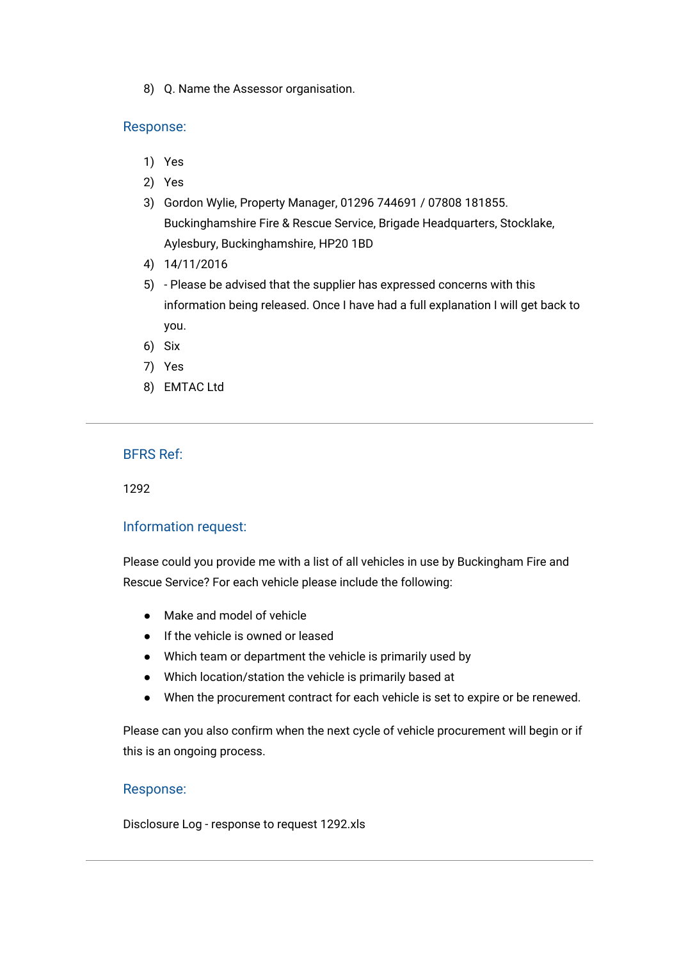8) Q. Name the Assessor organisation.

### Response:

- 1) Yes
- 2) Yes
- 3) Gordon Wylie, Property Manager, 01296 744691 / 07808 181855. Buckinghamshire Fire & Rescue Service, Brigade Headquarters, Stocklake, Aylesbury, Buckinghamshire, HP20 1BD
- 4) 14/11/2016
- 5) Please be advised that the supplier has expressed concerns with this information being released. Once I have had a full explanation I will get back to you.
- 6) Six
- 7) Yes
- 8) EMTAC Ltd

## BFRS Ref:

1292

## Information request:

Please could you provide me with a list of all vehicles in use by Buckingham Fire and Rescue Service? For each vehicle please include the following:

- Make and model of vehicle
- If the vehicle is owned or leased
- Which team or department the vehicle is primarily used by
- Which location/station the vehicle is primarily based at
- When the procurement contract for each vehicle is set to expire or be renewed.

Please can you also confirm when the next cycle of vehicle procurement will begin or if this is an ongoing process.

## Response:

[Disclosure Log - response to request 1292.xls](https://bucksfire.gov.uk/index.php/download_file/view/2352/1125/)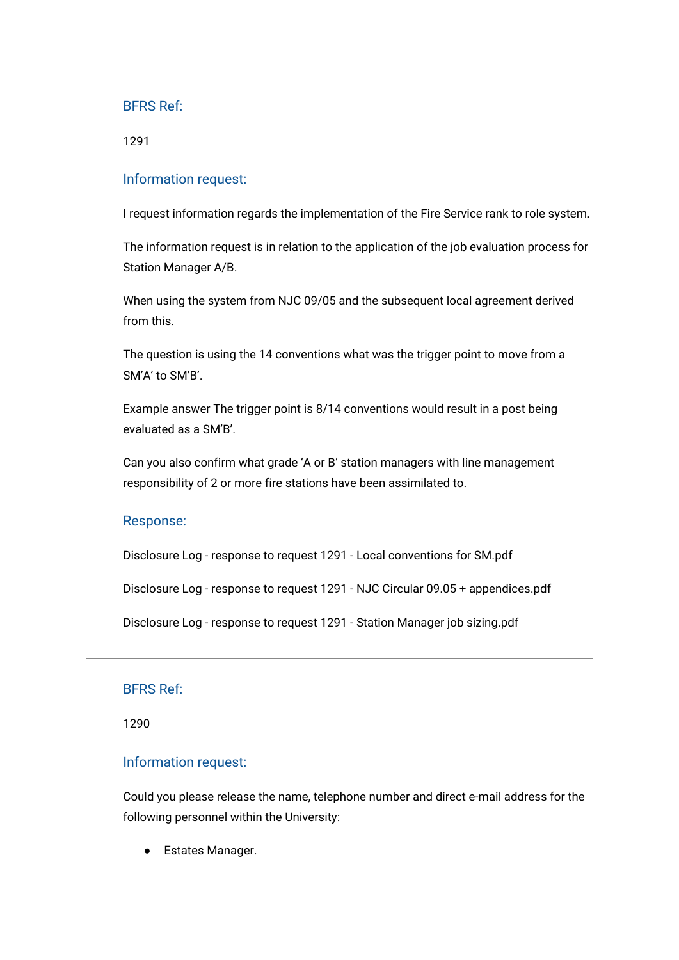1291

## Information request:

I request information regards the implementation of the Fire Service rank to role system.

The information request is in relation to the application of the job evaluation process for Station Manager A/B.

When using the system from NJC 09/05 and the subsequent local agreement derived from this.

The question is using the 14 conventions what was the trigger point to move from a SM'A' to SM'B'.

Example answer The trigger point is 8/14 conventions would result in a post being evaluated as a SM'B'.

Can you also confirm what grade 'A or B' station managers with line management responsibility of 2 or more fire stations have been assimilated to.

#### Response:

[Disclosure Log - response to request 1291 - Local conventions for SM.pdf](https://bucksfire.gov.uk/index.php/download_file/view/2349/1125/)

[Disclosure Log - response to request 1291 - NJC Circular 09.05 + appendices.pdf](https://bucksfire.gov.uk/index.php/download_file/view/2350/1125/)

[Disclosure Log - response to request 1291 - Station Manager job sizing.pdf](https://bucksfire.gov.uk/index.php/download_file/view/2351/1125/)

## BFRS Ref:

1290

#### Information request:

Could you please release the name, telephone number and direct e-mail address for the following personnel within the University:

● Estates Manager.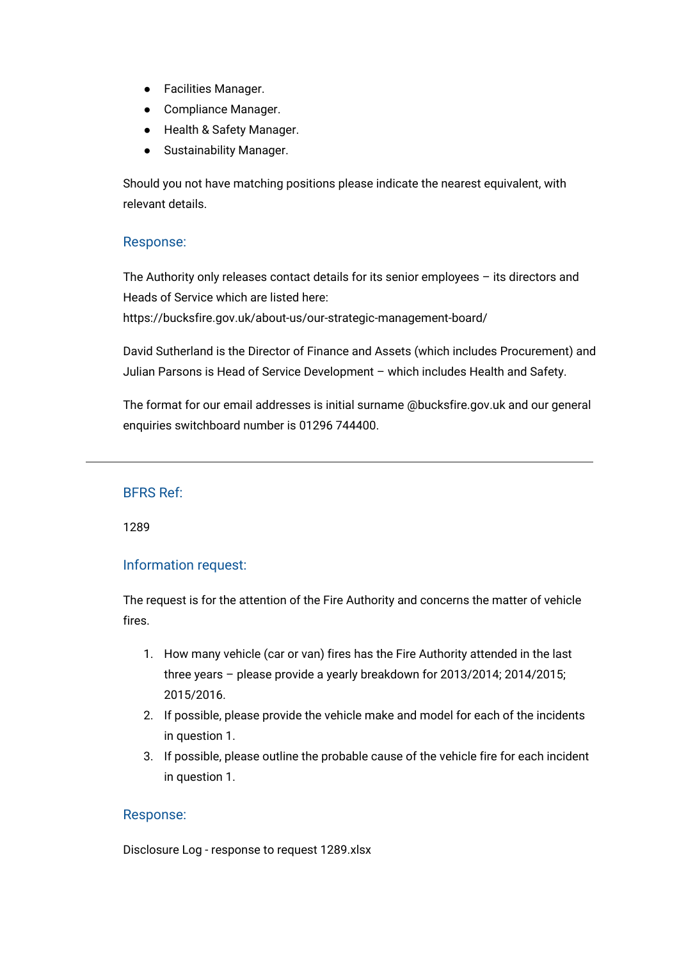- Facilities Manager.
- Compliance Manager.
- Health & Safety Manager.
- Sustainability Manager.

Should you not have matching positions please indicate the nearest equivalent, with relevant details.

## Response:

The Authority only releases contact details for its senior employees – its directors and Heads of Service which are listed here:

<https://bucksfire.gov.uk/about-us/our-strategic-management-board/>

David Sutherland is the Director of Finance and Assets (which includes Procurement) and Julian Parsons is Head of Service Development – which includes Health and Safety.

The format for our email addresses is initial surname @bucksfire.gov.uk and our general enquiries switchboard number is 01296 744400.

# BFRS Ref:

1289

# Information request:

The request is for the attention of the Fire Authority and concerns the matter of vehicle fires.

- 1. How many vehicle (car or van) fires has the Fire Authority attended in the last three years – please provide a yearly breakdown for 2013/2014; 2014/2015; 2015/2016.
- 2. If possible, please provide the vehicle make and model for each of the incidents in question 1.
- 3. If possible, please outline the probable cause of the vehicle fire for each incident in question 1.

## Response:

[Disclosure Log - response to request 1289.xlsx](https://bucksfire.gov.uk/index.php/download_file/view/2348/1125/)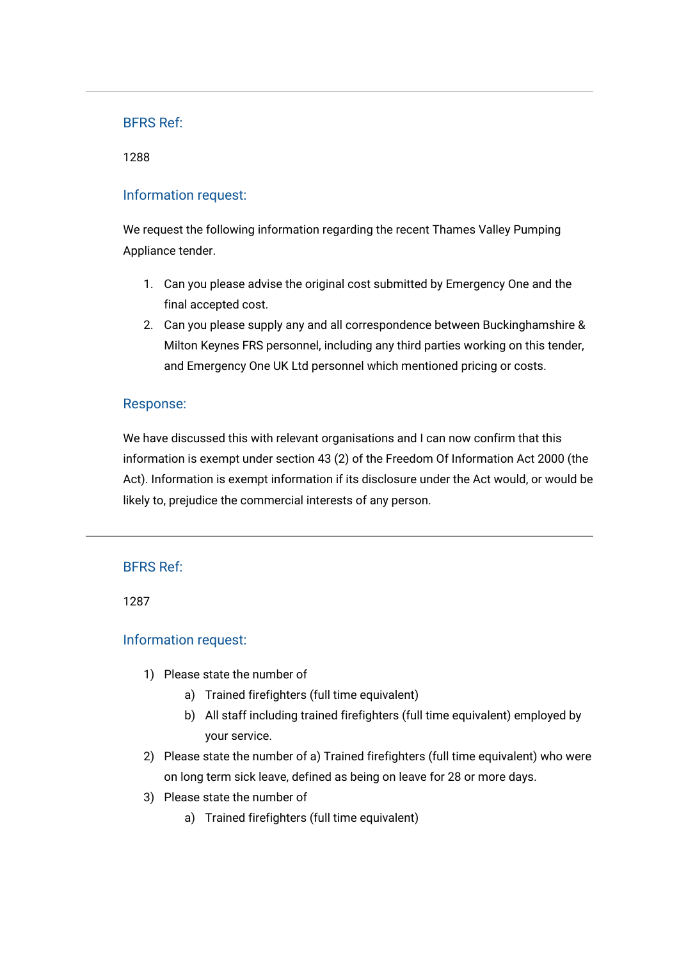#### 1288

## Information request:

We request the following information regarding the recent Thames Valley Pumping Appliance tender.

- 1. Can you please advise the original cost submitted by Emergency One and the final accepted cost.
- 2. Can you please supply any and all correspondence between Buckinghamshire & Milton Keynes FRS personnel, including any third parties working on this tender, and Emergency One UK Ltd personnel which mentioned pricing or costs.

## Response:

We have discussed this with relevant organisations and I can now confirm that this information is exempt under section 43 (2) of the Freedom Of Information Act 2000 (the Act). Information is exempt information if its disclosure under the Act would, or would be likely to, prejudice the commercial interests of any person.

## BFRS Ref:

1287

# Information request:

- 1) Please state the number of
	- a) Trained firefighters (full time equivalent)
	- b) All staff including trained firefighters (full time equivalent) employed by your service.
- 2) Please state the number of a) Trained firefighters (full time equivalent) who were on long term sick leave, defined as being on leave for 28 or more days.
- 3) Please state the number of
	- a) Trained firefighters (full time equivalent)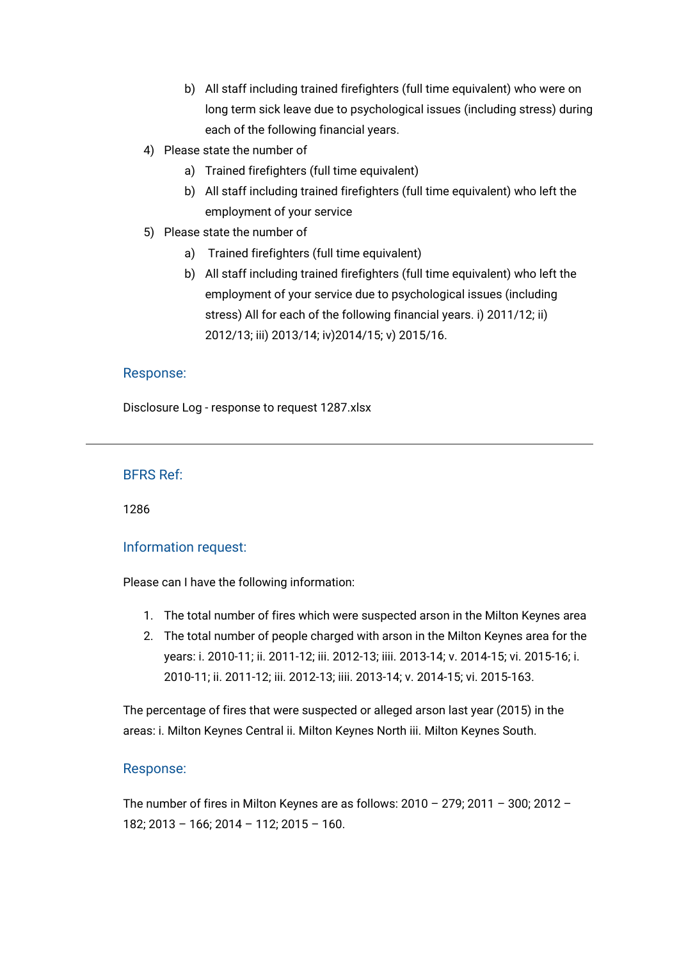- b) All staff including trained firefighters (full time equivalent) who were on long term sick leave due to psychological issues (including stress) during each of the following financial years.
- 4) Please state the number of
	- a) Trained firefighters (full time equivalent)
	- b) All staff including trained firefighters (full time equivalent) who left the employment of your service
- 5) Please state the number of
	- a) Trained firefighters (full time equivalent)
	- b) All staff including trained firefighters (full time equivalent) who left the employment of your service due to psychological issues (including stress) All for each of the following financial years. i) 2011/12; ii) 2012/13; iii) 2013/14; iv)2014/15; v) 2015/16.

[Disclosure Log - response to request 1287.xlsx](https://bucksfire.gov.uk/index.php/download_file/view/2347/1125/)

## BFRS Ref:

1286

## Information request:

Please can I have the following information:

- 1. The total number of fires which were suspected arson in the Milton Keynes area
- 2. The total number of people charged with arson in the Milton Keynes area for the years: i. 2010-11; ii. 2011-12; iii. 2012-13; iiii. 2013-14; v. 2014-15; vi. 2015-16; i. 2010-11; ii. 2011-12; iii. 2012-13; iiii. 2013-14; v. 2014-15; vi. 2015-163.

The percentage of fires that were suspected or alleged arson last year (2015) in the areas: i. Milton Keynes Central ii. Milton Keynes North iii. Milton Keynes South.

## Response:

The number of fires in Milton Keynes are as follows: 2010 – 279; 2011 – 300; 2012 – 182; 2013 – 166; 2014 – 112; 2015 – 160.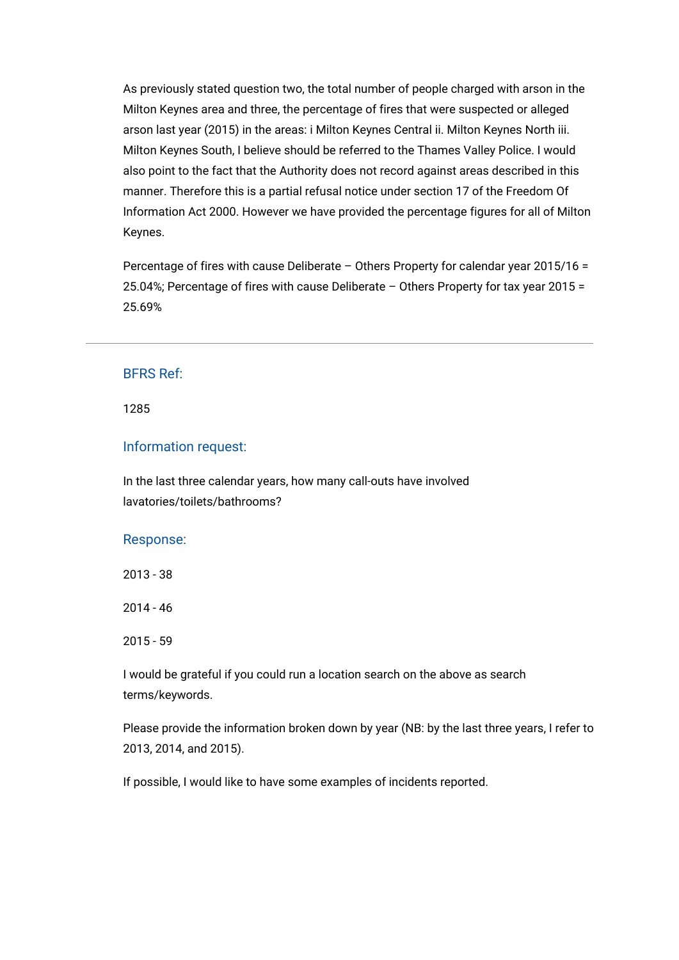As previously stated question two, the total number of people charged with arson in the Milton Keynes area and three, the percentage of fires that were suspected or alleged arson last year (2015) in the areas: i Milton Keynes Central ii. Milton Keynes North iii. Milton Keynes South, I believe should be referred to the Thames Valley Police. I would also point to the fact that the Authority does not record against areas described in this manner. Therefore this is a partial refusal notice under section 17 of the Freedom Of Information Act 2000. However we have provided the percentage figures for all of Milton Keynes.

Percentage of fires with cause Deliberate – Others Property for calendar year 2015/16 = 25.04%; Percentage of fires with cause Deliberate – Others Property for tax year 2015 = 25.69%

# BFRS Ref:

1285

#### Information request:

In the last three calendar years, how many call-outs have involved lavatories/toilets/bathrooms?

#### Response:

2013 - 38

2014 - 46

2015 - 59

I would be grateful if you could run a location search on the above as search terms/keywords.

Please provide the information broken down by year (NB: by the last three years, I refer to 2013, 2014, and 2015).

If possible, I would like to have some examples of incidents reported.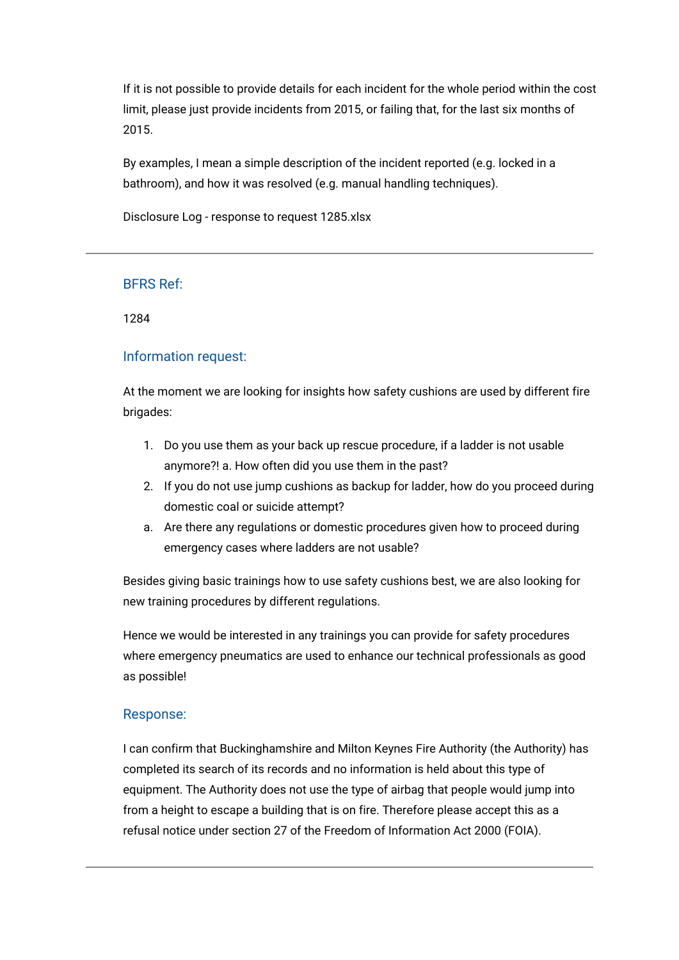If it is not possible to provide details for each incident for the whole period within the cost limit, please just provide incidents from 2015, or failing that, for the last six months of 2015.

By examples, I mean a simple description of the incident reported (e.g. locked in a bathroom), and how it was resolved (e.g. manual handling techniques).

[Disclosure Log - response to request 1285.xlsx](https://bucksfire.gov.uk/index.php/download_file/view/2346/1125/)

## BFRS Ref:

1284

## Information request:

At the moment we are looking for insights how safety cushions are used by different fire brigades:

- 1. Do you use them as your back up rescue procedure, if a ladder is not usable anymore?! a. How often did you use them in the past?
- 2. If you do not use jump cushions as backup for ladder, how do you proceed during domestic coal or suicide attempt?
- a. Are there any regulations or domestic procedures given how to proceed during emergency cases where ladders are not usable?

Besides giving basic trainings how to use safety cushions best, we are also looking for new training procedures by different regulations.

Hence we would be interested in any trainings you can provide for safety procedures where emergency pneumatics are used to enhance our technical professionals as good as possible!

# Response:

I can confirm that Buckinghamshire and Milton Keynes Fire Authority (the Authority) has completed its search of its records and no information is held about this type of equipment. The Authority does not use the type of airbag that people would jump into from a height to escape a building that is on fire. Therefore please accept this as a refusal notice under section 27 of the Freedom of Information Act 2000 (FOIA).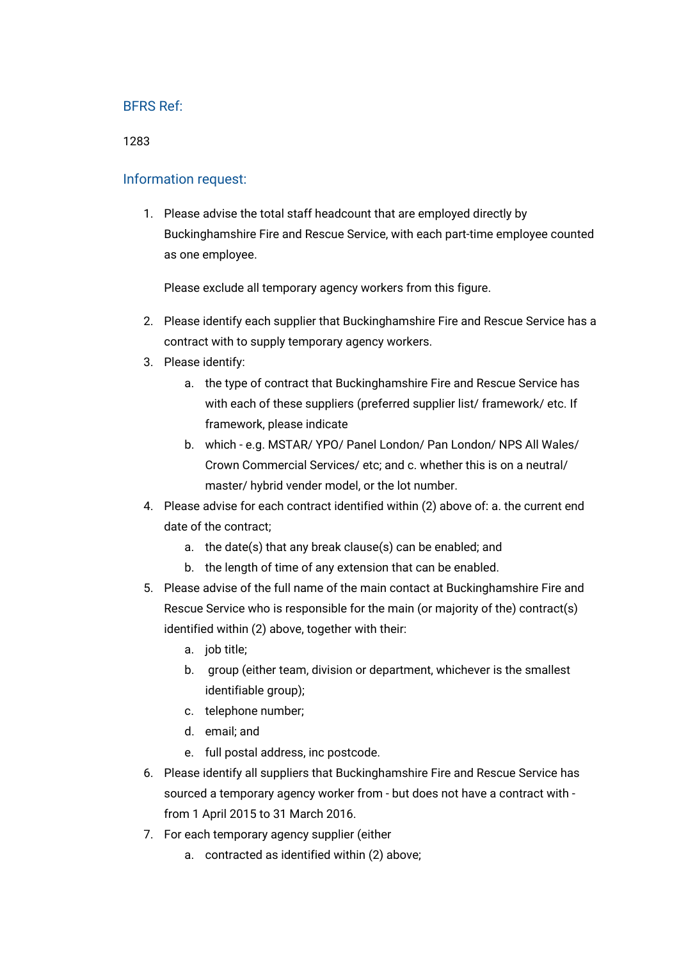1283

## Information request:

1. Please advise the total staff headcount that are employed directly by Buckinghamshire Fire and Rescue Service, with each part-time employee counted as one employee.

Please exclude all temporary agency workers from this figure.

- 2. Please identify each supplier that Buckinghamshire Fire and Rescue Service has a contract with to supply temporary agency workers.
- 3. Please identify:
	- a. the type of contract that Buckinghamshire Fire and Rescue Service has with each of these suppliers (preferred supplier list/ framework/ etc. If framework, please indicate
	- b. which e.g. MSTAR/ YPO/ Panel London/ Pan London/ NPS All Wales/ Crown Commercial Services/ etc; and c. whether this is on a neutral/ master/ hybrid vender model, or the lot number.
- 4. Please advise for each contract identified within (2) above of: a. the current end date of the contract;
	- a. the date(s) that any break clause(s) can be enabled; and
	- b. the length of time of any extension that can be enabled.
- 5. Please advise of the full name of the main contact at Buckinghamshire Fire and Rescue Service who is responsible for the main (or majority of the) contract(s) identified within (2) above, together with their:
	- a. job title;
	- b. group (either team, division or department, whichever is the smallest identifiable group);
	- c. telephone number;
	- d. email; and
	- e. full postal address, inc postcode.
- 6. Please identify all suppliers that Buckinghamshire Fire and Rescue Service has sourced a temporary agency worker from - but does not have a contract with from 1 April 2015 to 31 March 2016.
- 7. For each temporary agency supplier (either
	- a. contracted as identified within (2) above;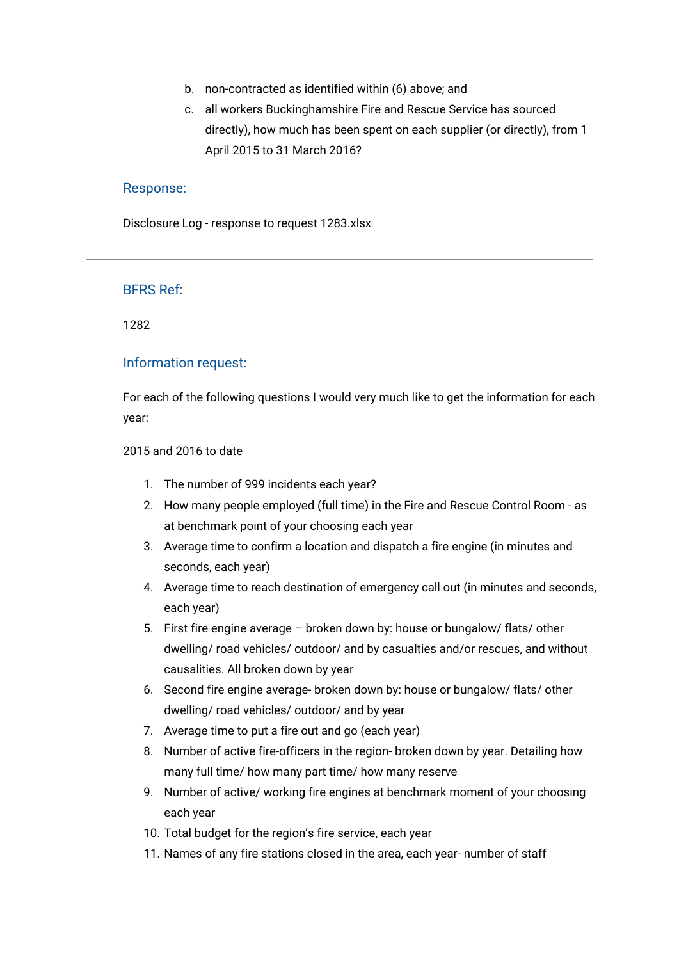- b. non-contracted as identified within (6) above; and
- c. all workers Buckinghamshire Fire and Rescue Service has sourced directly), how much has been spent on each supplier (or directly), from 1 April 2015 to 31 March 2016?

[Disclosure Log - response to request 1283.xlsx](https://bucksfire.gov.uk/index.php/download_file/view/2345/1125/)

## BFRS Ref:

1282

## Information request:

For each of the following questions I would very much like to get the information for each year:

#### 2015 and 2016 to date

- 1. The number of 999 incidents each year?
- 2. How many people employed (full time) in the Fire and Rescue Control Room as at benchmark point of your choosing each year
- 3. Average time to confirm a location and dispatch a fire engine (in minutes and seconds, each year)
- 4. Average time to reach destination of emergency call out (in minutes and seconds, each year)
- 5. First fire engine average broken down by: house or bungalow/ flats/ other dwelling/ road vehicles/ outdoor/ and by casualties and/or rescues, and without causalities. All broken down by year
- 6. Second fire engine average- broken down by: house or bungalow/ flats/ other dwelling/ road vehicles/ outdoor/ and by year
- 7. Average time to put a fire out and go (each year)
- 8. Number of active fire-officers in the region- broken down by year. Detailing how many full time/ how many part time/ how many reserve
- 9. Number of active/ working fire engines at benchmark moment of your choosing each year
- 10. Total budget for the region's fire service, each year
- 11. Names of any fire stations closed in the area, each year- number of staff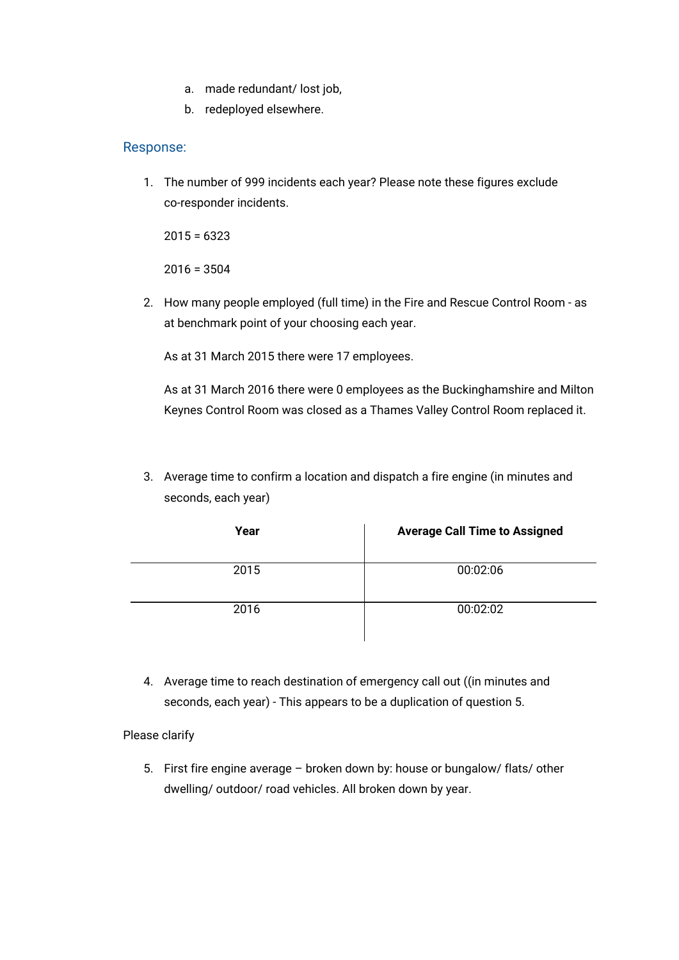- a. made redundant/ lost job,
- b. redeployed elsewhere.

1. The number of 999 incidents each year? Please note these figures exclude co-responder incidents.

 $2015 = 6323$ 

 $2016 = 3504$ 

2. How many people employed (full time) in the Fire and Rescue Control Room - as at benchmark point of your choosing each year.

As at 31 March 2015 there were 17 employees.

As at 31 March 2016 there were 0 employees as the Buckinghamshire and Milton Keynes Control Room was closed as a Thames Valley Control Room replaced it.

3. Average time to confirm a location and dispatch a fire engine (in minutes and seconds, each year)

| Year | <b>Average Call Time to Assigned</b> |
|------|--------------------------------------|
| 2015 | 00:02:06                             |
| 2016 | 00:02:02                             |

4. Average time to reach destination of emergency call out ((in minutes and seconds, each year) - This appears to be a duplication of question 5.

Please clarify

5. First fire engine average – broken down by: house or bungalow/ flats/ other dwelling/ outdoor/ road vehicles. All broken down by year.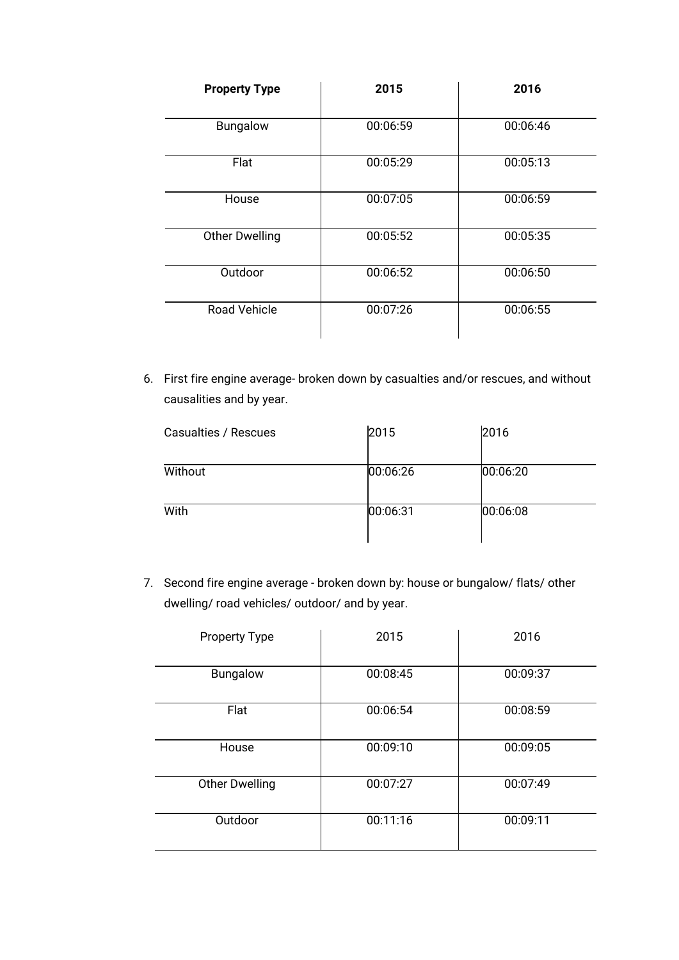| <b>Property Type</b>  | 2015     | 2016     |
|-----------------------|----------|----------|
| Bungalow              | 00:06:59 | 00:06:46 |
| Flat                  | 00:05:29 | 00:05:13 |
| House                 | 00:07:05 | 00:06:59 |
| <b>Other Dwelling</b> | 00:05:52 | 00:05:35 |
| Outdoor               | 00:06:52 | 00:06:50 |
| <b>Road Vehicle</b>   | 00:07:26 | 00:06:55 |

6. First fire engine average- broken down by casualties and/or rescues, and without causalities and by year.

| Casualties / Rescues | 2015     | 2016     |
|----------------------|----------|----------|
| Without              | 00:06:26 | 00:06:20 |
| With                 | 00:06:31 | 00:06:08 |

7. Second fire engine average - broken down by: house or bungalow/ flats/ other dwelling/ road vehicles/ outdoor/ and by year.

| <b>Property Type</b>  | 2015     | 2016     |
|-----------------------|----------|----------|
| Bungalow              | 00:08:45 | 00:09:37 |
| Flat                  | 00:06:54 | 00:08:59 |
| House                 | 00:09:10 | 00:09:05 |
| <b>Other Dwelling</b> | 00:07:27 | 00:07:49 |
| Outdoor               | 00:11:16 | 00:09:11 |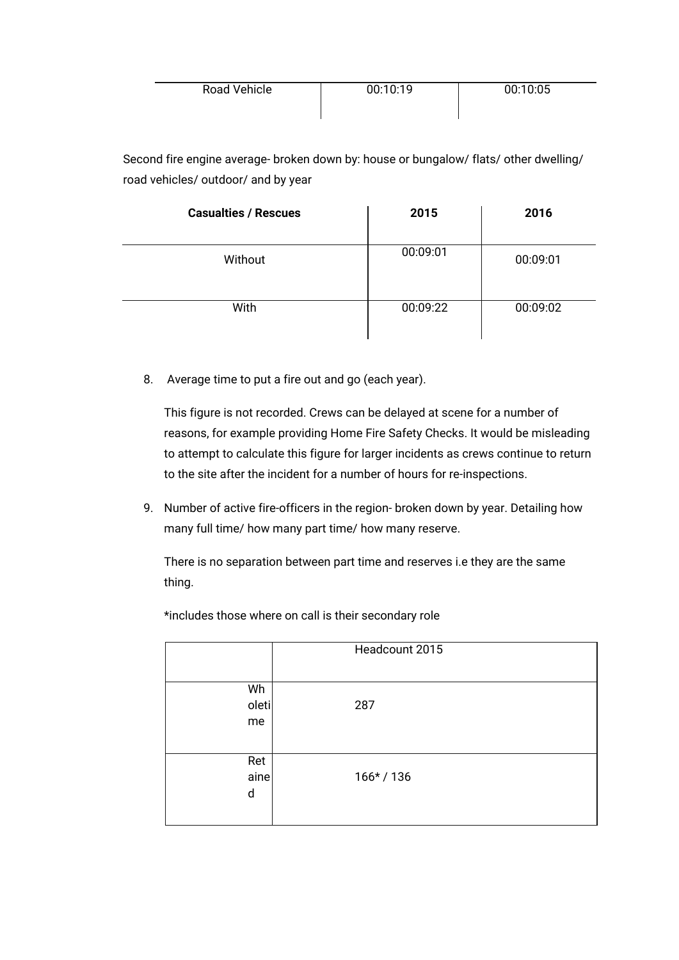| Road Vehicle | 00:10:19 | 00:10:05 |
|--------------|----------|----------|
|              |          |          |

Second fire engine average- broken down by: house or bungalow/ flats/ other dwelling/ road vehicles/ outdoor/ and by year

| <b>Casualties / Rescues</b> | 2015     | 2016     |
|-----------------------------|----------|----------|
| Without                     | 00:09:01 | 00:09:01 |
| With                        | 00:09:22 | 00:09:02 |

8. Average time to put a fire out and go (each year).

This figure is not recorded. Crews can be delayed at scene for a number of reasons, for example providing Home Fire Safety Checks. It would be misleading to attempt to calculate this figure for larger incidents as crews continue to return to the site after the incident for a number of hours for re-inspections.

9. Number of active fire-officers in the region- broken down by year. Detailing how many full time/ how many part time/ how many reserve.

There is no separation between part time and reserves i.e they are the same thing.

|                   | Headcount 2015 |
|-------------------|----------------|
| Wh<br>oleti<br>me | 287            |
| Ret<br>aine<br>d  | $166* / 136$   |

\*includes those where on call is their secondary role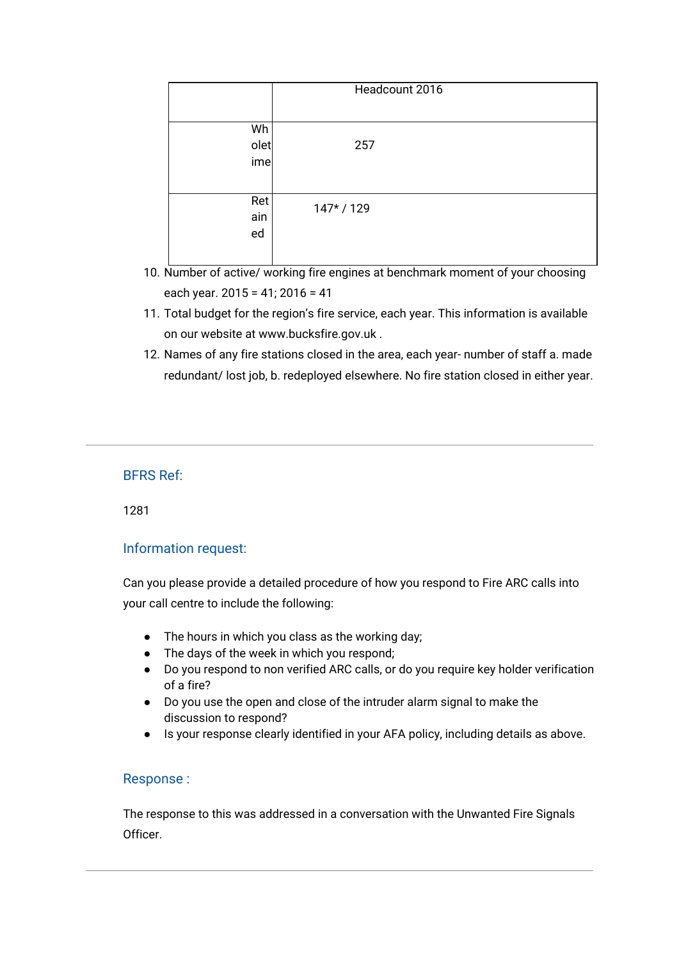|                  | Headcount 2016 |  |
|------------------|----------------|--|
| Wh               |                |  |
| olet<br>ime      | 257            |  |
| Ret<br>ain<br>ed | 147*/129       |  |

- 10. Number of active/ working fire engines at benchmark moment of your choosing each year. 2015 = 41; 2016 = 41
- 11. Total budget for the region's fire service, each year. This information is available on our website at [www.bucksfire.gov.uk](http://www.bucksfire.gov.uk/) .
- 12. Names of any fire stations closed in the area, each year- number of staff a. made redundant/ lost job, b. redeployed elsewhere. No fire station closed in either year.

1281

# Information request:

Can you please provide a detailed procedure of how you respond to Fire ARC calls into your call centre to include the following:

- The hours in which you class as the working day;
- The days of the week in which you respond;
- Do you respond to non verified ARC calls, or do you require key holder verification of a fire?
- Do you use the open and close of the intruder alarm signal to make the discussion to respond?
- Is your response clearly identified in your AFA policy, including details as above.

# Response :

The response to this was addressed in a conversation with the Unwanted Fire Signals Officer.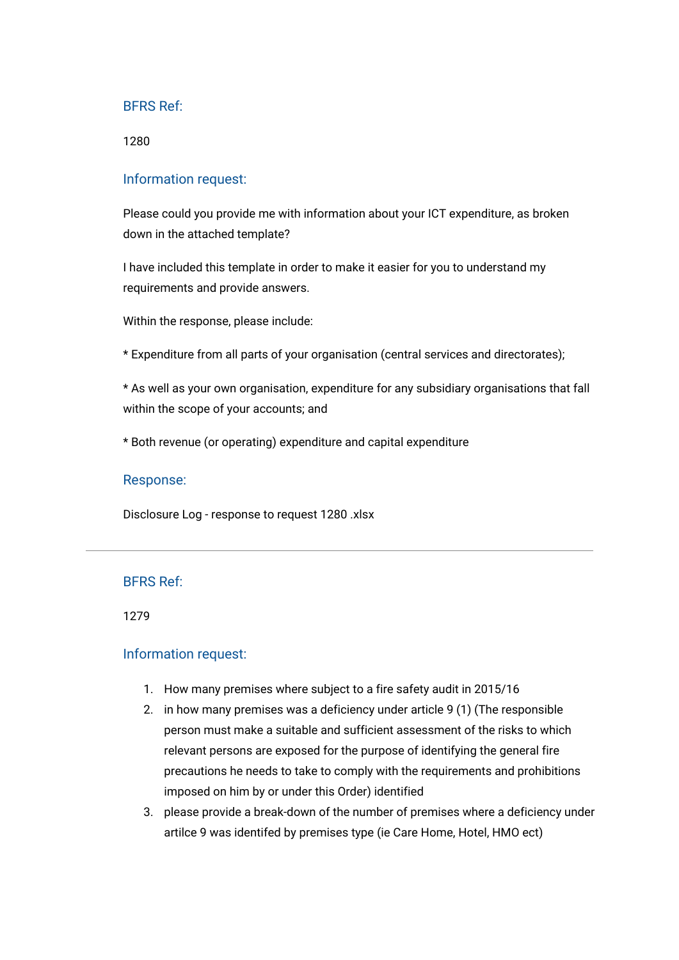1280

#### Information request:

Please could you provide me with information about your ICT expenditure, as broken down in the attached template?

I have included this template in order to make it easier for you to understand my requirements and provide answers.

Within the response, please include:

\* Expenditure from all parts of your organisation (central services and directorates);

\* As well as your own organisation, expenditure for any subsidiary organisations that fall within the scope of your accounts; and

\* Both revenue (or operating) expenditure and capital expenditure

#### Response:

[Disclosure Log - response to request 1280 .xlsx](https://bucksfire.gov.uk/index.php/download_file/view/2344/1125/)

## BFRS Ref:

1279

## Information request:

- 1. How many premises where subject to a fire safety audit in 2015/16
- 2. in how many premises was a deficiency under article 9 (1) (The responsible person must make a suitable and sufficient assessment of the risks to which relevant persons are exposed for the purpose of identifying the general fire precautions he needs to take to comply with the requirements and prohibitions imposed on him by or under this Order) identified
- 3. please provide a break-down of the number of premises where a deficiency under artilce 9 was identifed by premises type (ie Care Home, Hotel, HMO ect)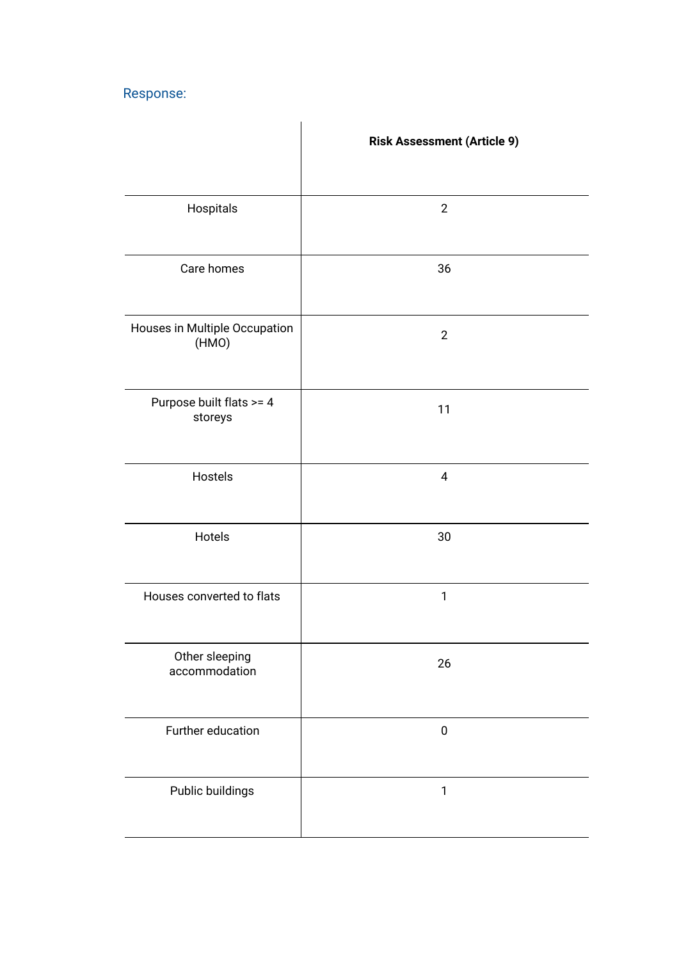|                                        | <b>Risk Assessment (Article 9)</b> |
|----------------------------------------|------------------------------------|
| Hospitals                              | $\overline{2}$                     |
| Care homes                             | 36                                 |
| Houses in Multiple Occupation<br>(HMO) | $\overline{2}$                     |
| Purpose built flats >= 4<br>storeys    | 11                                 |
| Hostels                                | 4                                  |
| Hotels                                 | 30                                 |
| Houses converted to flats              | $\mathbf{1}$                       |
| Other sleeping<br>accommodation        | 26                                 |
| Further education                      | $\pmb{0}$                          |
| Public buildings                       | $\mathbf{1}$                       |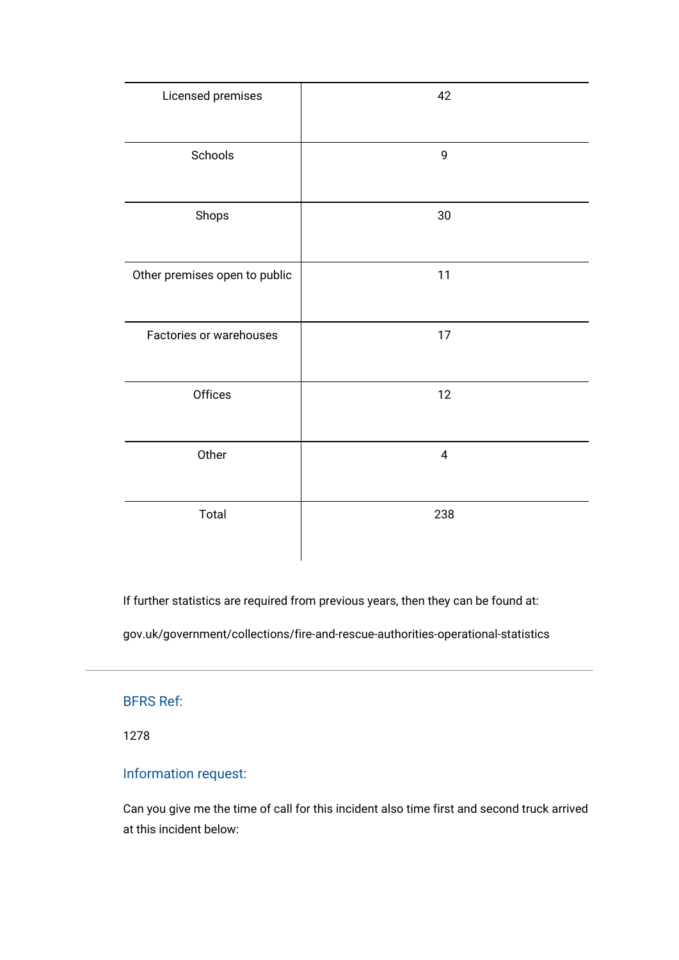| Licensed premises             | 42        |
|-------------------------------|-----------|
| Schools                       | 9         |
| Shops                         | 30        |
| Other premises open to public | 11        |
| Factories or warehouses       | $17$      |
| Offices                       | 12        |
| Other                         | $\pmb{4}$ |
| Total                         | 238       |

If further statistics are required from previous years, then they can be found at:

[gov.uk/government/collections/fire-and-rescue-authorities-operational-statistics](https://www.gov.uk/government/collections/fire-and-rescue-authorities-operational-statistics)

# BFRS Ref:

1278

# Information request:

Can you give me the time of call for this incident also time first and second truck arrived at this incident below: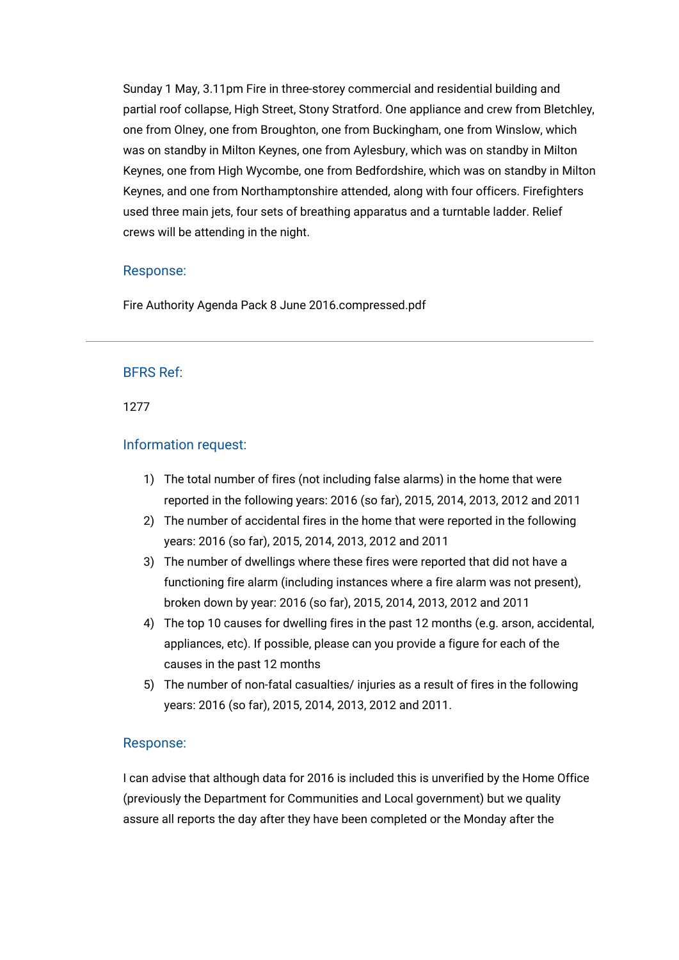Sunday 1 May, 3.11pm Fire in three-storey commercial and residential building and partial roof collapse, High Street, Stony Stratford. One appliance and crew from Bletchley, one from Olney, one from Broughton, one from Buckingham, one from Winslow, which was on standby in Milton Keynes, one from Aylesbury, which was on standby in Milton Keynes, one from High Wycombe, one from Bedfordshire, which was on standby in Milton Keynes, and one from Northamptonshire attended, along with four officers. Firefighters used three main jets, four sets of breathing apparatus and a turntable ladder. Relief crews will be attending in the night.

## Response:

[Fire Authority Agenda Pack 8 June 2016.compressed.pdf](https://bucksfire.gov.uk/index.php/download_file/view/1956/1125/)

#### BFRS Ref:

1277

#### Information request:

- 1) The total number of fires (not including false alarms) in the home that were reported in the following years: 2016 (so far), 2015, 2014, 2013, 2012 and 2011
- 2) The number of accidental fires in the home that were reported in the following years: 2016 (so far), 2015, 2014, 2013, 2012 and 2011
- 3) The number of dwellings where these fires were reported that did not have a functioning fire alarm (including instances where a fire alarm was not present), broken down by year: 2016 (so far), 2015, 2014, 2013, 2012 and 2011
- 4) The top 10 causes for dwelling fires in the past 12 months (e.g. arson, accidental, appliances, etc). If possible, please can you provide a figure for each of the causes in the past 12 months
- 5) The number of non-fatal casualties/ injuries as a result of fires in the following years: 2016 (so far), 2015, 2014, 2013, 2012 and 2011.

#### Response:

I can advise that although data for 2016 is included this is unverified by the Home Office (previously the Department for Communities and Local government) but we quality assure all reports the day after they have been completed or the Monday after the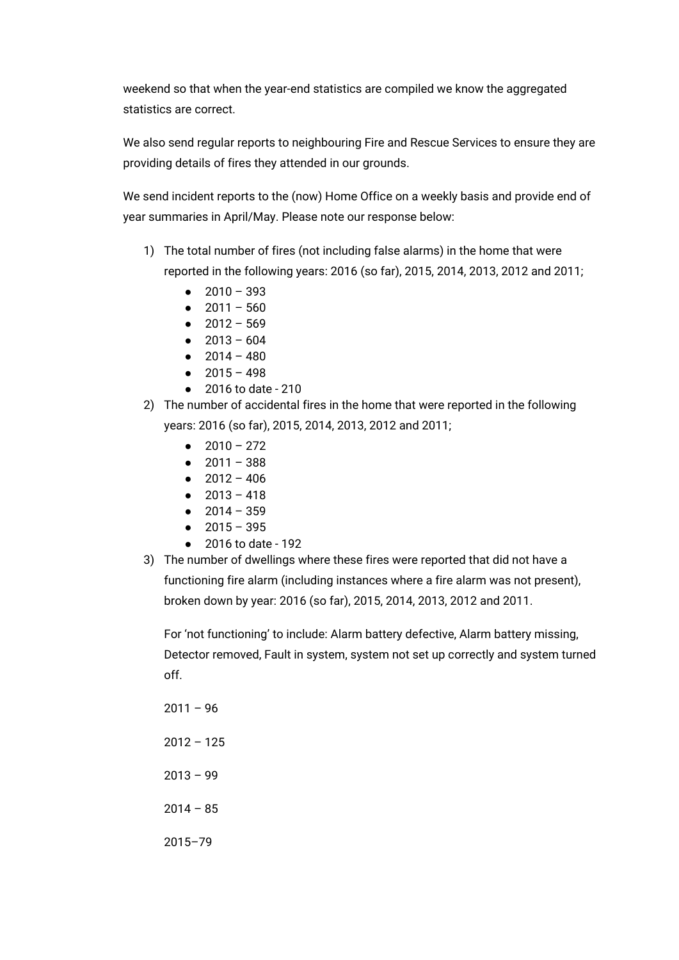weekend so that when the year-end statistics are compiled we know the aggregated statistics are correct.

We also send regular reports to neighbouring Fire and Rescue Services to ensure they are providing details of fires they attended in our grounds.

We send incident reports to the (now) Home Office on a weekly basis and provide end of year summaries in April/May. Please note our response below:

- 1) The total number of fires (not including false alarms) in the home that were reported in the following years: 2016 (so far), 2015, 2014, 2013, 2012 and 2011;
	- $\bullet$  2010 393
	- $2011 560$
	- $2012 569$
	- $\bullet$  2013 604
	- $\bullet$  2014 480
	- $-2015 498$
	- 2016 to date 210
- 2) The number of accidental fires in the home that were reported in the following years: 2016 (so far), 2015, 2014, 2013, 2012 and 2011;
	- $2010 272$
	- $2011 388$
	- $2012 406$
	- $\bullet$  2013 418
	- $2014 359$
	- 2015 395
	- 2016 to date 192
- 3) The number of dwellings where these fires were reported that did not have a functioning fire alarm (including instances where a fire alarm was not present), broken down by year: 2016 (so far), 2015, 2014, 2013, 2012 and 2011.

For 'not functioning' to include: Alarm battery defective, Alarm battery missing, Detector removed, Fault in system, system not set up correctly and system turned off.

 $2014 - 85$ 

2015–79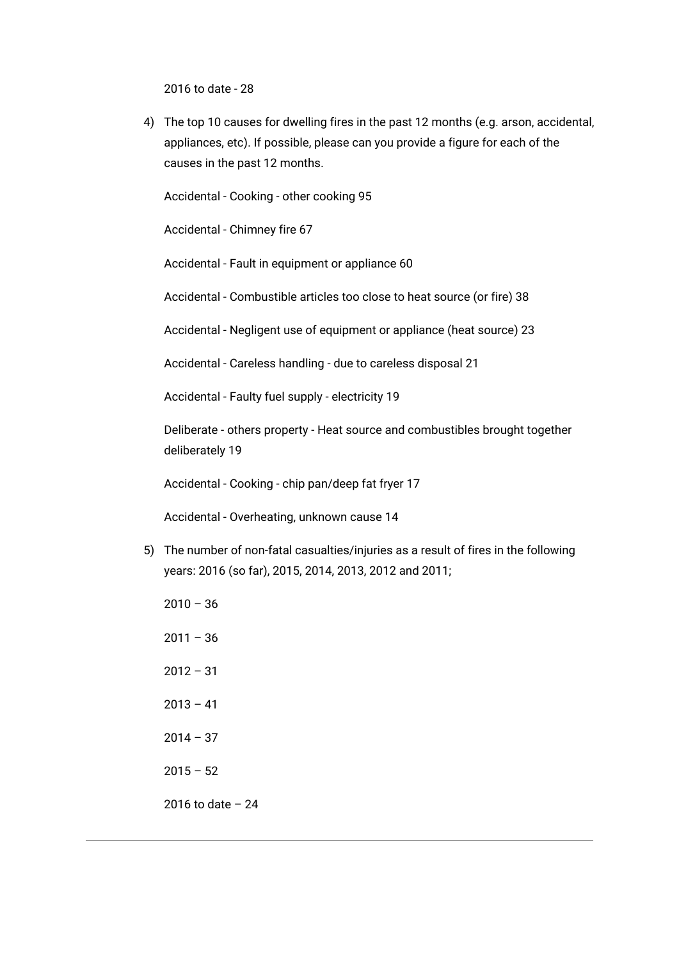2016 to date - 28

4) The top 10 causes for dwelling fires in the past 12 months (e.g. arson, accidental, appliances, etc). If possible, please can you provide a figure for each of the causes in the past 12 months.

Accidental - Cooking - other cooking 95

Accidental - Chimney fire 67

Accidental - Fault in equipment or appliance 60

Accidental - Combustible articles too close to heat source (or fire) 38

Accidental - Negligent use of equipment or appliance (heat source) 23

Accidental - Careless handling - due to careless disposal 21

Accidental - Faulty fuel supply - electricity 19

Deliberate - others property - Heat source and combustibles brought together deliberately 19

Accidental - Cooking - chip pan/deep fat fryer 17

Accidental - Overheating, unknown cause 14

- 5) The number of non-fatal casualties/injuries as a result of fires in the following years: 2016 (so far), 2015, 2014, 2013, 2012 and 2011;
	- $2010 36$
	- $2011 36$
	- 2012 31
	- $2013 41$
	- $2014 37$
	- $2015 52$
	- 2016 to date 24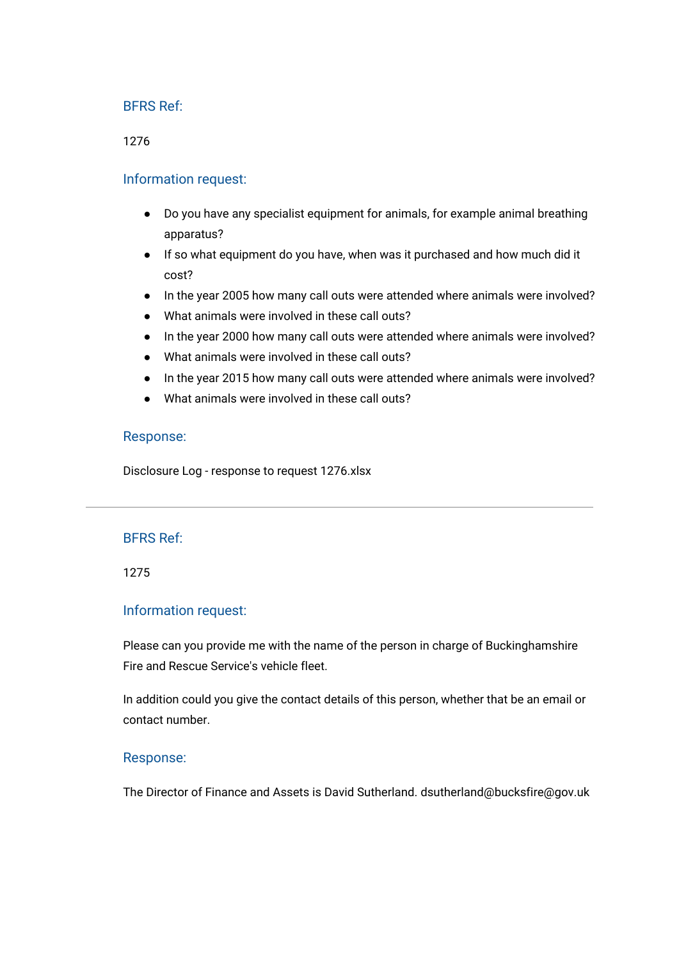1276

## Information request:

- Do you have any specialist equipment for animals, for example animal breathing apparatus?
- If so what equipment do you have, when was it purchased and how much did it cost?
- In the year 2005 how many call outs were attended where animals were involved?
- What animals were involved in these call outs?
- In the year 2000 how many call outs were attended where animals were involved?
- What animals were involved in these call outs?
- In the year 2015 how many call outs were attended where animals were involved?
- What animals were involved in these call outs?

## Response:

[Disclosure Log - response to request 1276.xlsx](https://bucksfire.gov.uk/index.php/download_file/view/2155/1125/)

#### BFRS Ref:

1275

#### Information request:

Please can you provide me with the name of the person in charge of Buckinghamshire Fire and Rescue Service's vehicle fleet.

In addition could you give the contact details of this person, whether that be an email or contact number.

#### Response:

The Director of Finance and Assets is David Sutherland. dsutherland@bucksfire@gov.uk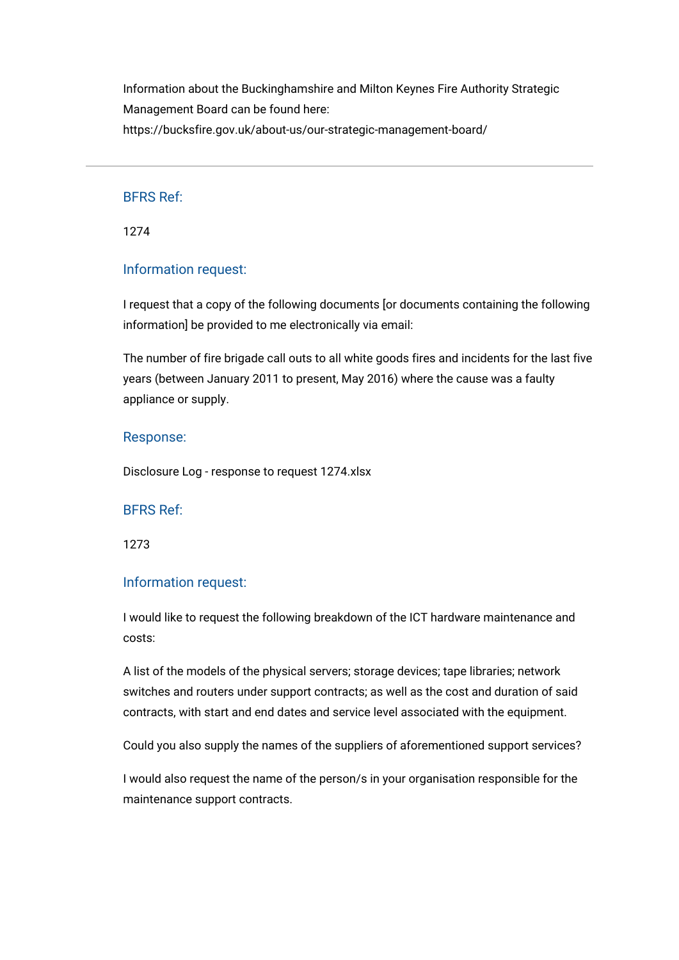Information about the Buckinghamshire and Milton Keynes Fire Authority Strategic Management Board can be found here: <https://bucksfire.gov.uk/about-us/our-strategic-management-board/>

BFRS Ref:

1274

## Information request:

I request that a copy of the following documents [or documents containing the following information] be provided to me electronically via email:

The number of fire brigade call outs to all white goods fires and incidents for the last five years (between January 2011 to present, May 2016) where the cause was a faulty appliance or supply.

#### Response:

[Disclosure Log - response to request 1274.xlsx](https://bucksfire.gov.uk/index.php/download_file/view/2154/1125/)

BFRS Ref:

1273

## Information request:

I would like to request the following breakdown of the ICT hardware maintenance and costs:

A list of the models of the physical servers; storage devices; tape libraries; network switches and routers under support contracts; as well as the cost and duration of said contracts, with start and end dates and service level associated with the equipment.

Could you also supply the names of the suppliers of aforementioned support services?

I would also request the name of the person/s in your organisation responsible for the maintenance support contracts.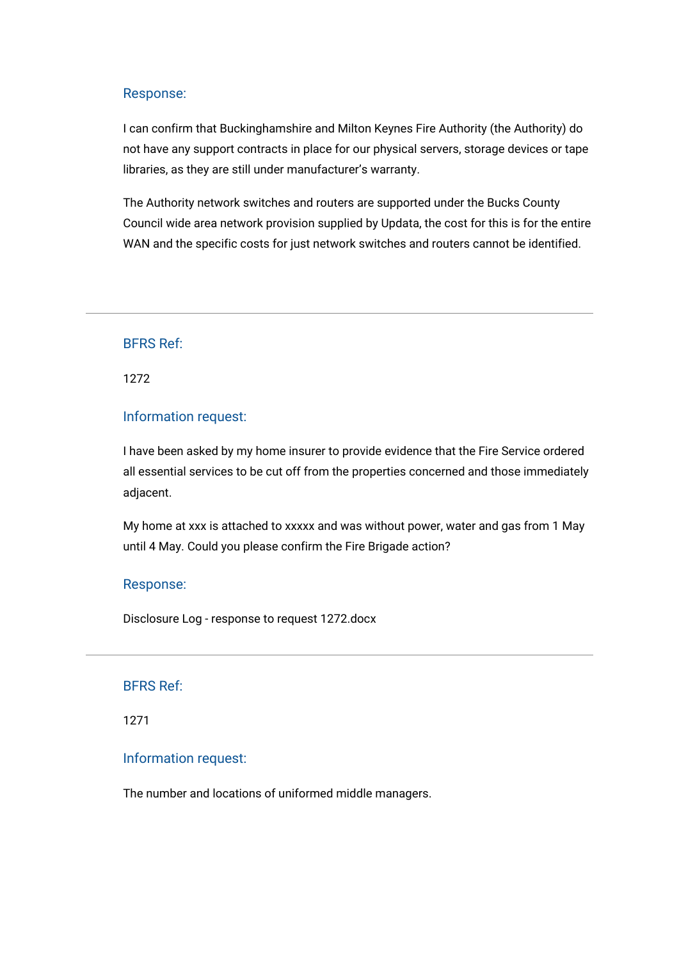I can confirm that Buckinghamshire and Milton Keynes Fire Authority (the Authority) do not have any support contracts in place for our physical servers, storage devices or tape libraries, as they are still under manufacturer's warranty.

The Authority network switches and routers are supported under the Bucks County Council wide area network provision supplied by Updata, the cost for this is for the entire WAN and the specific costs for just network switches and routers cannot be identified.

BFRS Ref:

1272

## Information request:

I have been asked by my home insurer to provide evidence that the Fire Service ordered all essential services to be cut off from the properties concerned and those immediately adjacent.

My home at xxx is attached to xxxxx and was without power, water and gas from 1 May until 4 May. Could you please confirm the Fire Brigade action?

#### Response:

[Disclosure Log - response to request 1272.docx](https://bucksfire.gov.uk/index.php/download_file/view/2148/1125/)

#### BFRS Ref:

1271

#### Information request:

The number and locations of uniformed middle managers.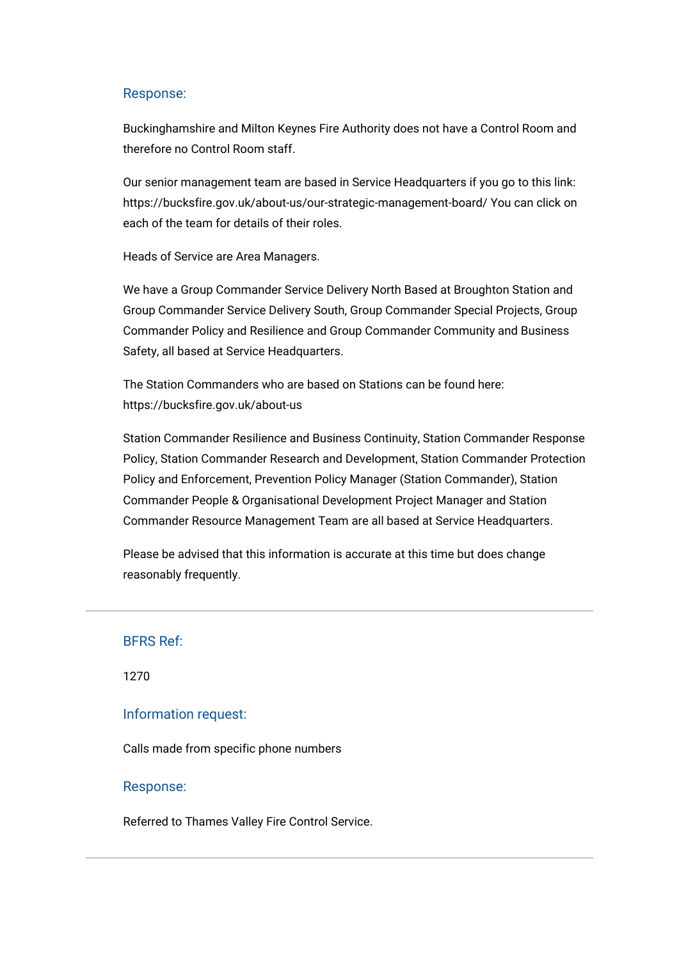Buckinghamshire and Milton Keynes Fire Authority does not have a Control Room and therefore no Control Room staff.

Our senior management team are based in Service Headquarters if you go to this link: <https://bucksfire.gov.uk/about-us/our-strategic-management-board/> You can click on each of the team for details of their roles.

Heads of Service are Area Managers.

We have a Group Commander Service Delivery North Based at Broughton Station and Group Commander Service Delivery South, Group Commander Special Projects, Group Commander Policy and Resilience and Group Commander Community and Business Safety, all based at Service Headquarters.

The Station Commanders who are based on Stations can be found here: <https://bucksfire.gov.uk/about-us>

Station Commander Resilience and Business Continuity, Station Commander Response Policy, Station Commander Research and Development, Station Commander Protection Policy and Enforcement, Prevention Policy Manager (Station Commander), Station Commander People & Organisational Development Project Manager and Station Commander Resource Management Team are all based at Service Headquarters.

Please be advised that this information is accurate at this time but does change reasonably frequently.

```
BFRS Ref:
```
1270

#### Information request:

Calls made from specific phone numbers

#### Response:

Referred to Thames Valley Fire Control Service.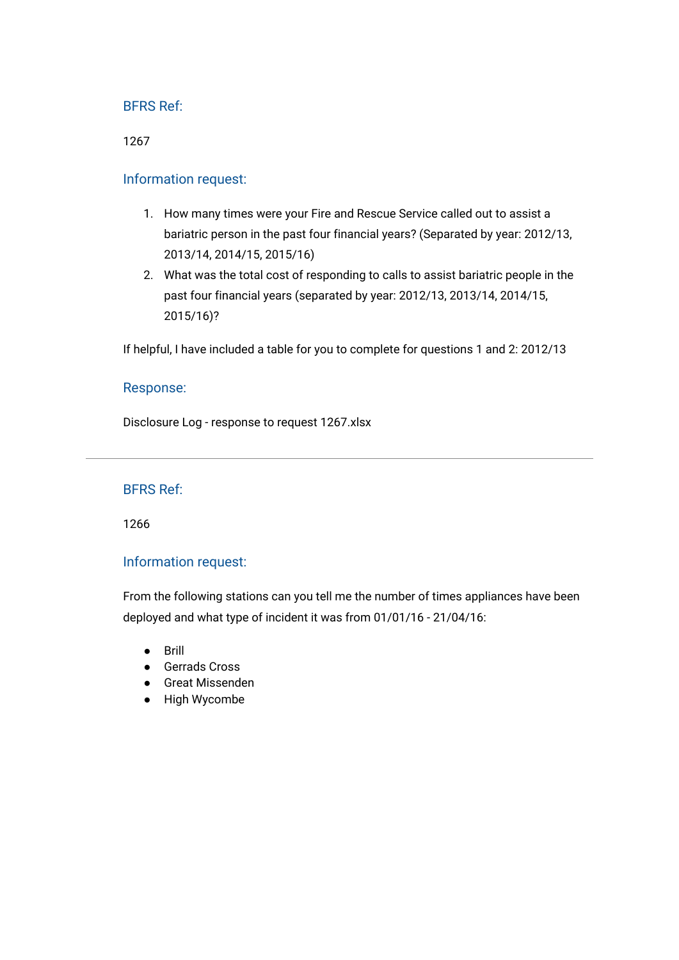1267

## Information request:

- 1. How many times were your Fire and Rescue Service called out to assist a bariatric person in the past four financial years? (Separated by year: 2012/13, 2013/14, 2014/15, 2015/16)
- 2. What was the total cost of responding to calls to assist bariatric people in the past four financial years (separated by year: 2012/13, 2013/14, 2014/15, 2015/16)?

If helpful, I have included a table for you to complete for questions 1 and 2: 2012/13

#### Response:

[Disclosure Log - response to request 1267.xlsx](https://bucksfire.gov.uk/index.php/download_file/view/2146/1125/)

## BFRS Ref:

1266

## Information request:

From the following stations can you tell me the number of times appliances have been deployed and what type of incident it was from 01/01/16 - 21/04/16:

- Brill
- Gerrads Cross
- Great Missenden
- High Wycombe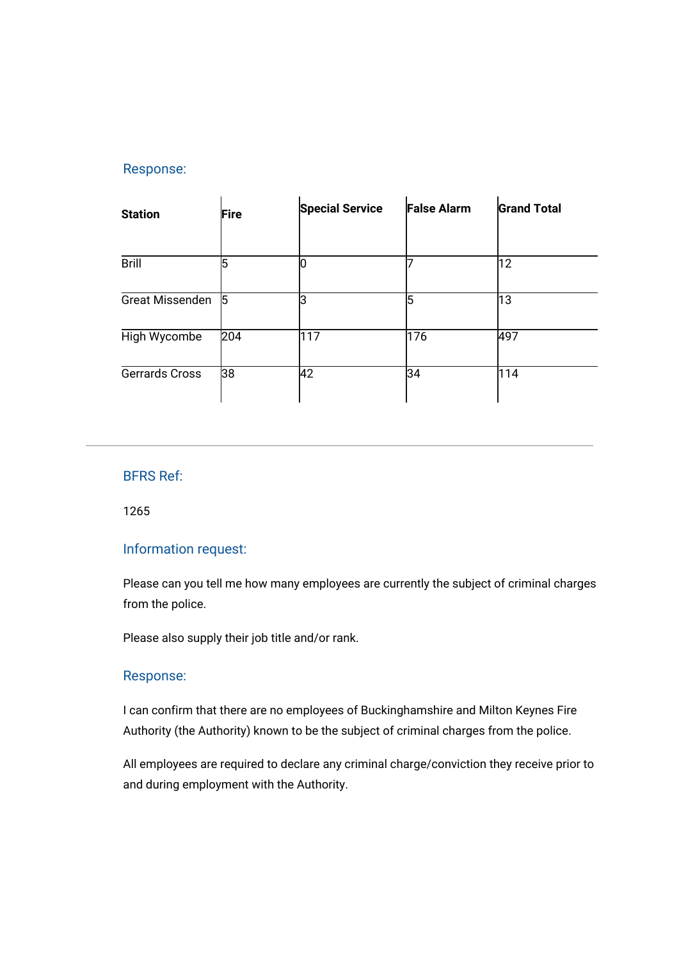| <b>Station</b>         | Fire | <b>Special Service</b> | <b>False Alarm</b> | <b>Grand Total</b> |
|------------------------|------|------------------------|--------------------|--------------------|
| <b>Brill</b>           | l5   | 10                     |                    | 12                 |
| <b>Great Missenden</b> | 15   | IЗ                     |                    | 13                 |
| High Wycombe           | 204  | 117                    | 176                | 497                |
| Gerrards Cross         | 38   | 42                     | 34                 | 114                |

# BFRS Ref:

1265

## Information request:

Please can you tell me how many employees are currently the subject of criminal charges from the police.

Please also supply their job title and/or rank.

# Response:

I can confirm that there are no employees of Buckinghamshire and Milton Keynes Fire Authority (the Authority) known to be the subject of criminal charges from the police.

All employees are required to declare any criminal charge/conviction they receive prior to and during employment with the Authority.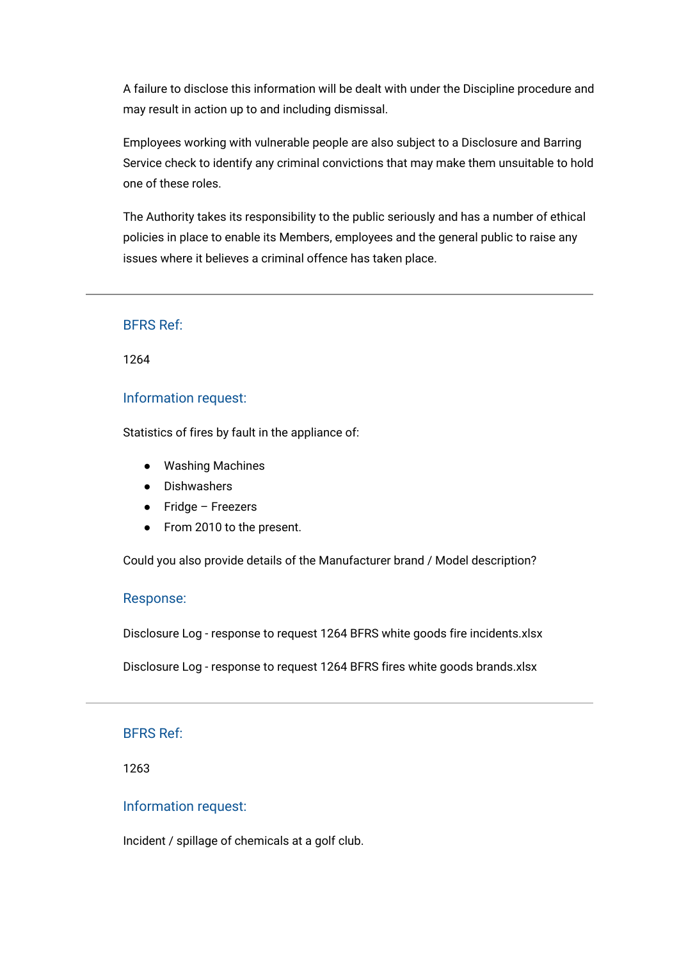A failure to disclose this information will be dealt with under the Discipline procedure and may result in action up to and including dismissal.

Employees working with vulnerable people are also subject to a Disclosure and Barring Service check to identify any criminal convictions that may make them unsuitable to hold one of these roles.

The Authority takes its responsibility to the public seriously and has a number of ethical policies in place to enable its Members, employees and the general public to raise any issues where it believes a criminal offence has taken place.

## BFRS Ref:

1264

### Information request:

Statistics of fires by fault in the appliance of:

- Washing Machines
- Dishwashers
- Fridge Freezers
- From 2010 to the present.

Could you also provide details of the Manufacturer brand / Model description?

#### Response:

[Disclosure Log - response to request 1264 BFRS white goods fire incidents.xlsx](https://bucksfire.gov.uk/index.php/download_file/view/2145/1125/)

[Disclosure Log - response to request 1264 BFRS fires white goods brands.xlsx](https://bucksfire.gov.uk/index.php/download_file/view/2144/1125/)

#### BFRS Ref:

1263

#### Information request:

Incident / spillage of chemicals at a golf club.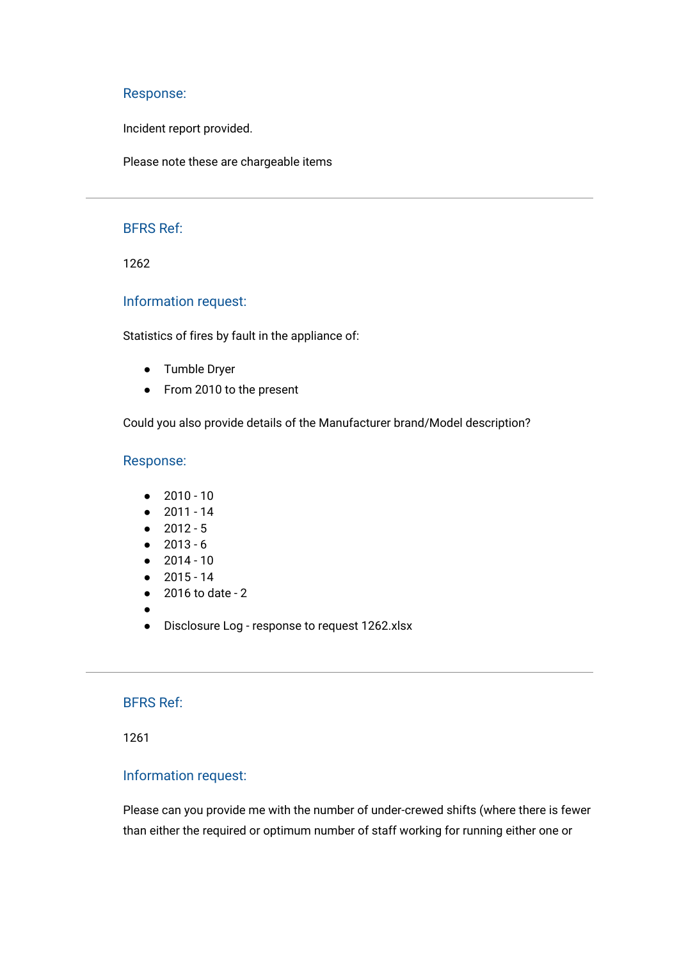Incident report provided.

Please note these are chargeable items

#### BFRS Ref:

1262

### Information request:

Statistics of fires by fault in the appliance of:

- Tumble Dryer
- From 2010 to the present

Could you also provide details of the Manufacturer brand/Model description?

#### Response:

- 2010 10
- 2011 14
- $2012 5$
- 2013 6
- 2014 10
- 2015 14
- 2016 to date 2
- ●
- [Disclosure Log response to request 1262.xlsx](https://bucksfire.gov.uk/index.php/download_file/view/2143/1125/)

## BFRS Ref:

1261

## Information request:

Please can you provide me with the number of under-crewed shifts (where there is fewer than either the required or optimum number of staff working for running either one or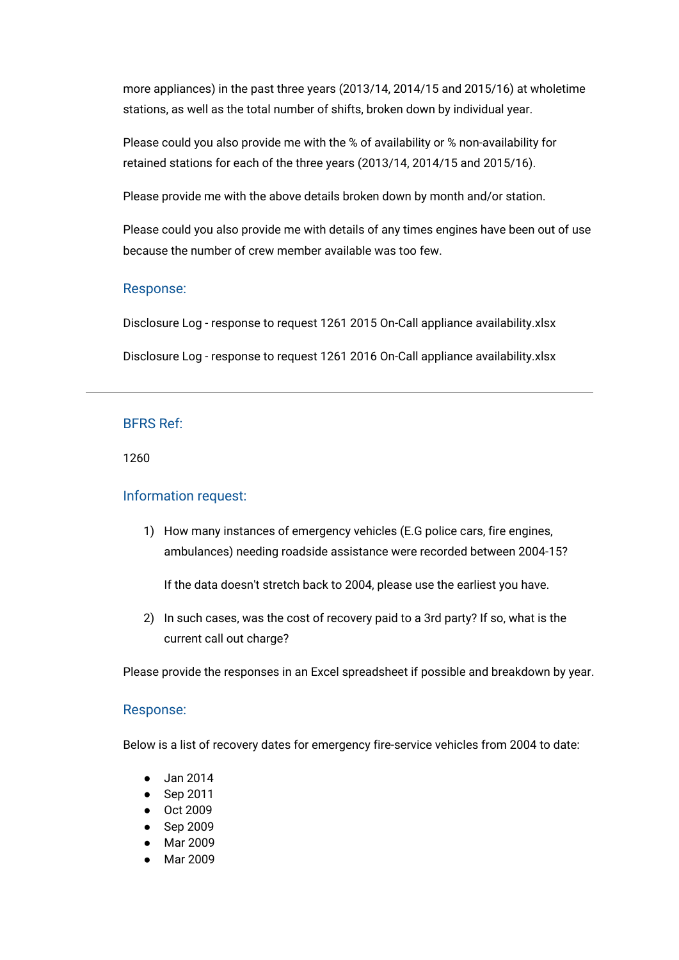more appliances) in the past three years (2013/14, 2014/15 and 2015/16) at wholetime stations, as well as the total number of shifts, broken down by individual year.

Please could you also provide me with the % of availability or % non-availability for retained stations for each of the three years (2013/14, 2014/15 and 2015/16).

Please provide me with the above details broken down by month and/or station.

Please could you also provide me with details of any times engines have been out of use because the number of crew member available was too few.

# Response:

[Disclosure Log - response to request 1261 2015 On-Call appliance availability.xlsx](https://bucksfire.gov.uk/index.php/download_file/view/2141/1125/) [Disclosure Log - response to request 1261 2016 On-Call appliance availability.xlsx](https://bucksfire.gov.uk/index.php/download_file/view/2142/1125/)

## BFRS Ref:

1260

## Information request:

1) How many instances of emergency vehicles (E.G police cars, fire engines, ambulances) needing roadside assistance were recorded between 2004-15?

If the data doesn't stretch back to 2004, please use the earliest you have.

2) In such cases, was the cost of recovery paid to a 3rd party? If so, what is the current call out charge?

Please provide the responses in an Excel spreadsheet if possible and breakdown by year.

## Response:

Below is a list of recovery dates for emergency fire-service vehicles from 2004 to date:

- Jan 2014
- Sep 2011
- Oct 2009
- Sep 2009
- Mar 2009
- Mar 2009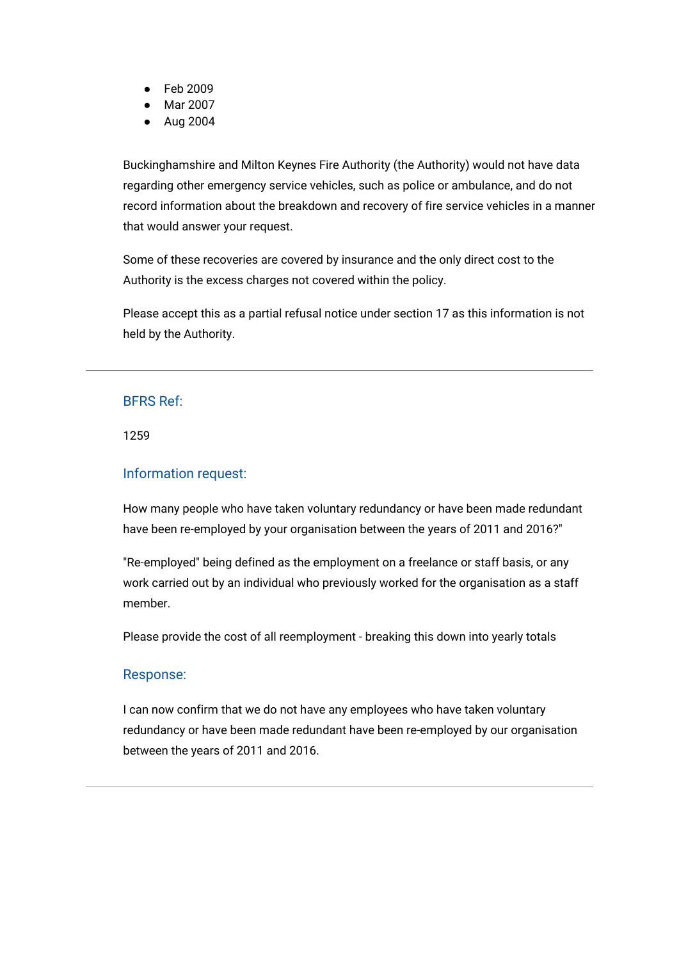- Feb 2009
- Mar 2007
- Aug 2004

Buckinghamshire and Milton Keynes Fire Authority (the Authority) would not have data regarding other emergency service vehicles, such as police or ambulance, and do not record information about the breakdown and recovery of fire service vehicles in a manner that would answer your request.

Some of these recoveries are covered by insurance and the only direct cost to the Authority is the excess charges not covered within the policy.

Please accept this as a partial refusal notice under section 17 as this information is not held by the Authority.

## BFRS Ref:

1259

## Information request:

How many people who have taken voluntary redundancy or have been made redundant have been re-employed by your organisation between the years of 2011 and 2016?"

"Re-employed" being defined as the employment on a freelance or staff basis, or any work carried out by an individual who previously worked for the organisation as a staff member.

Please provide the cost of all reemployment - breaking this down into yearly totals

## Response:

I can now confirm that we do not have any employees who have taken voluntary redundancy or have been made redundant have been re-employed by our organisation between the years of 2011 and 2016.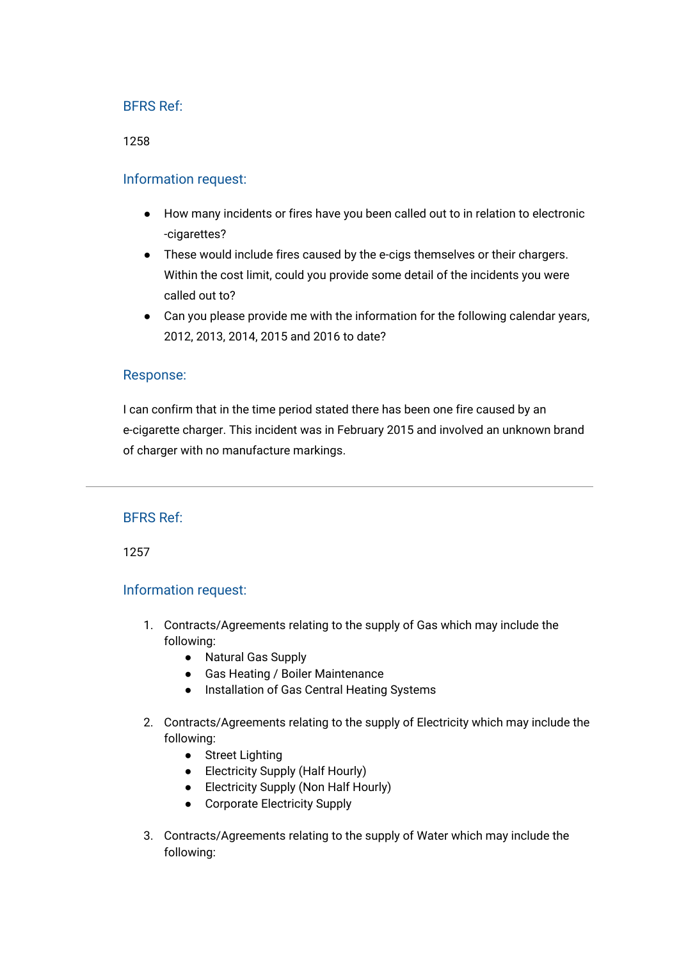1258

## Information request:

- How many incidents or fires have you been called out to in relation to electronic -cigarettes?
- These would include fires caused by the e-cigs themselves or their chargers. Within the cost limit, could you provide some detail of the incidents you were called out to?
- Can you please provide me with the information for the following calendar years, 2012, 2013, 2014, 2015 and 2016 to date?

## Response:

I can confirm that in the time period stated there has been one fire caused by an e-cigarette charger. This incident was in February 2015 and involved an unknown brand of charger with no manufacture markings.

## BFRS Ref:

1257

## Information request:

- 1. Contracts/Agreements relating to the supply of Gas which may include the following:
	- Natural Gas Supply
	- Gas Heating / Boiler Maintenance
	- Installation of Gas Central Heating Systems
- 2. Contracts/Agreements relating to the supply of Electricity which may include the following:
	- Street Lighting
	- Electricity Supply (Half Hourly)
	- Electricity Supply (Non Half Hourly)
	- Corporate Electricity Supply
- 3. Contracts/Agreements relating to the supply of Water which may include the following: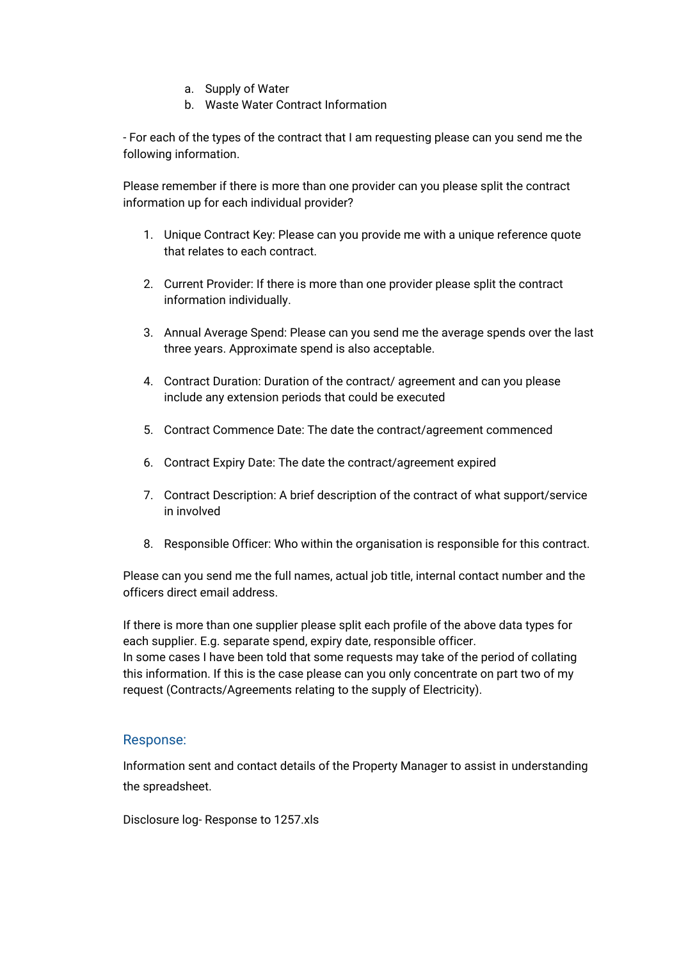- a. Supply of Water
- b. Waste Water Contract Information

- For each of the types of the contract that I am requesting please can you send me the following information.

Please remember if there is more than one provider can you please split the contract information up for each individual provider?

- 1. Unique Contract Key: Please can you provide me with a unique reference quote that relates to each contract.
- 2. Current Provider: If there is more than one provider please split the contract information individually.
- 3. Annual Average Spend: Please can you send me the average spends over the last three years. Approximate spend is also acceptable.
- 4. Contract Duration: Duration of the contract/ agreement and can you please include any extension periods that could be executed
- 5. Contract Commence Date: The date the contract/agreement commenced
- 6. Contract Expiry Date: The date the contract/agreement expired
- 7. Contract Description: A brief description of the contract of what support/service in involved
- 8. Responsible Officer: Who within the organisation is responsible for this contract.

Please can you send me the full names, actual job title, internal contact number and the officers direct email address.

If there is more than one supplier please split each profile of the above data types for each supplier. E.g. separate spend, expiry date, responsible officer. In some cases I have been told that some requests may take of the period of collating this information. If this is the case please can you only concentrate on part two of my request (Contracts/Agreements relating to the supply of Electricity).

# Response:

Information sent and contact details of the Property Manager to assist in understanding the spreadsheet.

[Disclosure log- Response to 1257.xls](https://bucksfire.gov.uk/index.php/download_file/view/2140/1125/)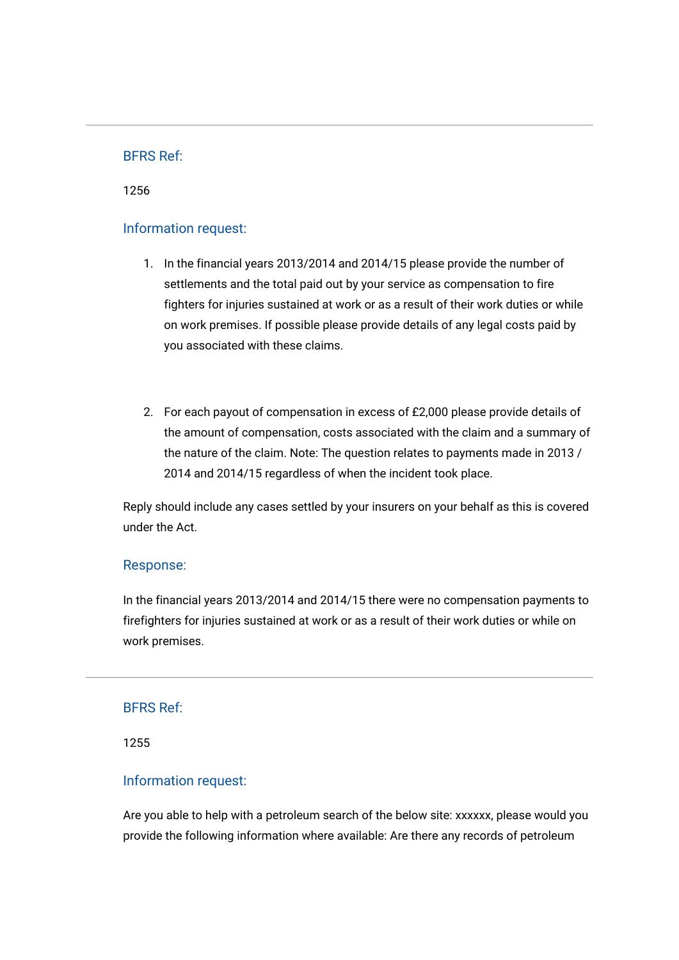1256

## Information request:

- 1. In the financial years 2013/2014 and 2014/15 please provide the number of settlements and the total paid out by your service as compensation to fire fighters for injuries sustained at work or as a result of their work duties or while on work premises. If possible please provide details of any legal costs paid by you associated with these claims.
- 2. For each payout of compensation in excess of £2,000 please provide details of the amount of compensation, costs associated with the claim and a summary of the nature of the claim. Note: The question relates to payments made in 2013 / 2014 and 2014/15 regardless of when the incident took place.

Reply should include any cases settled by your insurers on your behalf as this is covered under the Act.

#### Response:

In the financial years 2013/2014 and 2014/15 there were no compensation payments to firefighters for injuries sustained at work or as a result of their work duties or while on work premises.

#### BFRS Ref:

1255

## Information request:

Are you able to help with a petroleum search of the below site: xxxxxx, please would you provide the following information where available: Are there any records of petroleum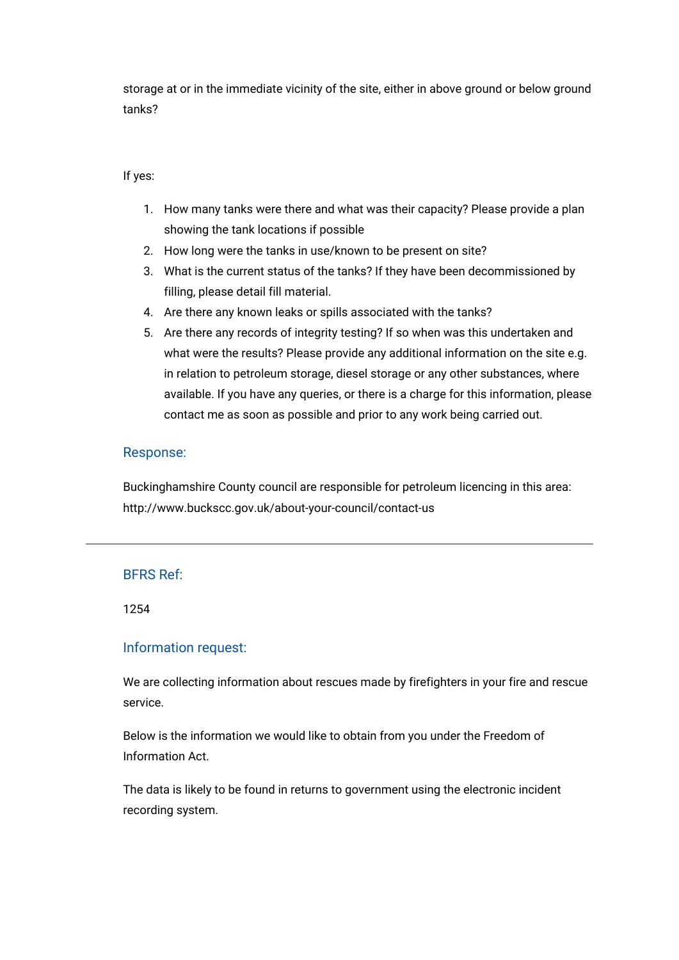storage at or in the immediate vicinity of the site, either in above ground or below ground tanks?

#### If yes:

- 1. How many tanks were there and what was their capacity? Please provide a plan showing the tank locations if possible
- 2. How long were the tanks in use/known to be present on site?
- 3. What is the current status of the tanks? If they have been decommissioned by filling, please detail fill material.
- 4. Are there any known leaks or spills associated with the tanks?
- 5. Are there any records of integrity testing? If so when was this undertaken and what were the results? Please provide any additional information on the site e.g. in relation to petroleum storage, diesel storage or any other substances, where available. If you have any queries, or there is a charge for this information, please contact me as soon as possible and prior to any work being carried out.

## Response:

Buckinghamshire County council are responsible for petroleum licencing in this area: <http://www.buckscc.gov.uk/about-your-council/contact-us>

## BFRS Ref:

1254

## Information request:

We are collecting information about rescues made by firefighters in your fire and rescue service.

Below is the information we would like to obtain from you under the Freedom of Information Act.

The data is likely to be found in returns to government using the electronic incident recording system.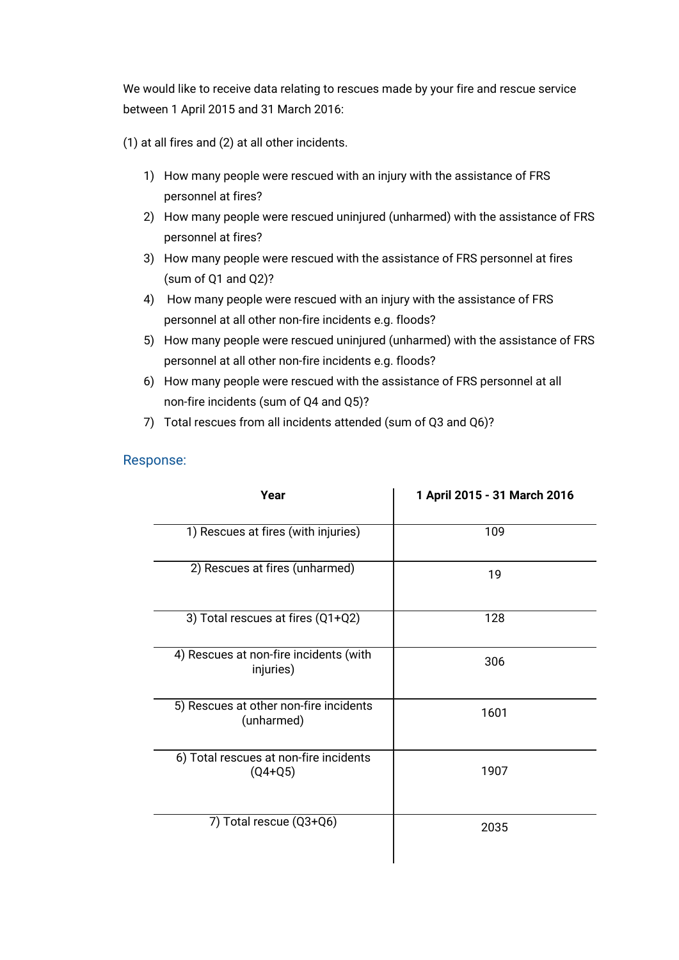We would like to receive data relating to rescues made by your fire and rescue service between 1 April 2015 and 31 March 2016:

(1) at all fires and (2) at all other incidents.

- 1) How many people were rescued with an injury with the assistance of FRS personnel at fires?
- 2) How many people were rescued uninjured (unharmed) with the assistance of FRS personnel at fires?
- 3) How many people were rescued with the assistance of FRS personnel at fires (sum of Q1 and Q2)?
- 4) How many people were rescued with an injury with the assistance of FRS personnel at all other non-fire incidents e.g. floods?
- 5) How many people were rescued uninjured (unharmed) with the assistance of FRS personnel at all other non-fire incidents e.g. floods?
- 6) How many people were rescued with the assistance of FRS personnel at all non-fire incidents (sum of Q4 and Q5)?
- 7) Total rescues from all incidents attended (sum of Q3 and Q6)?

## Response:

| Year                                                 | 1 April 2015 - 31 March 2016 |
|------------------------------------------------------|------------------------------|
| 1) Rescues at fires (with injuries)                  | 109                          |
| 2) Rescues at fires (unharmed)                       | 19                           |
| 3) Total rescues at fires (Q1+Q2)                    | 128                          |
| 4) Rescues at non-fire incidents (with<br>injuries)  | 306                          |
| 5) Rescues at other non-fire incidents<br>(unharmed) | 1601                         |
| 6) Total rescues at non-fire incidents<br>$(Q4+Q5)$  | 1907                         |
| 7) Total rescue (Q3+Q6)                              | 2035                         |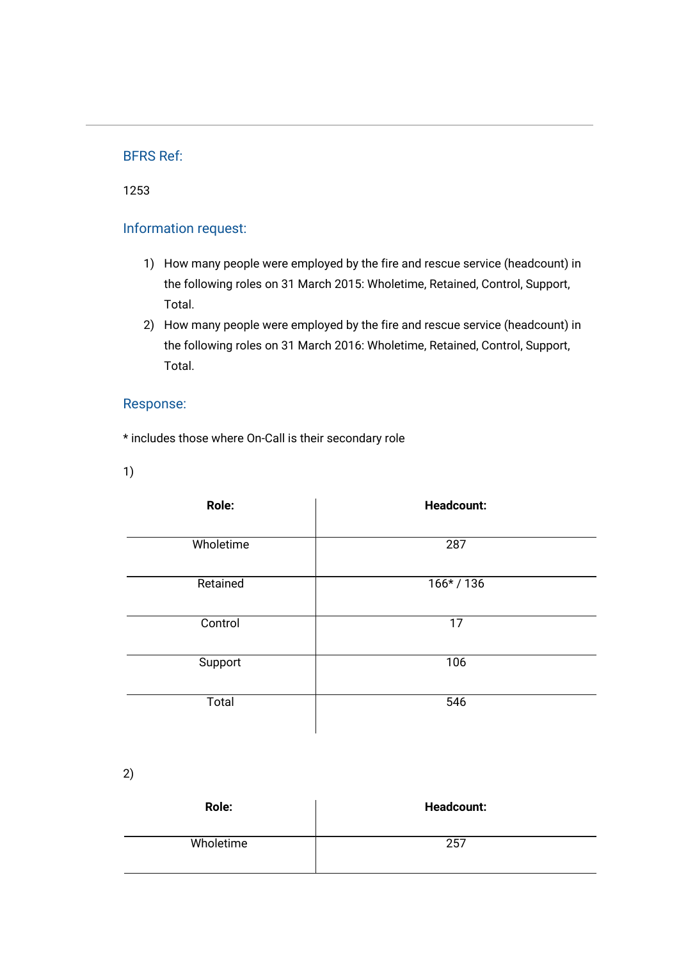1253

# Information request:

- 1) How many people were employed by the fire and rescue service (headcount) in the following roles on 31 March 2015: Wholetime, Retained, Control, Support, Total.
- 2) How many people were employed by the fire and rescue service (headcount) in the following roles on 31 March 2016: Wholetime, Retained, Control, Support, Total.

# Response:

\* includes those where On-Call is their secondary role

1)

| Role:     | <b>Headcount:</b> |
|-----------|-------------------|
| Wholetime | 287               |
| Retained  | $166* / 136$      |
| Control   | 17                |
| Support   | 106               |
| Total     | 546               |

2)

| Role:     | <b>Headcount:</b> |
|-----------|-------------------|
| Wholetime | 257               |